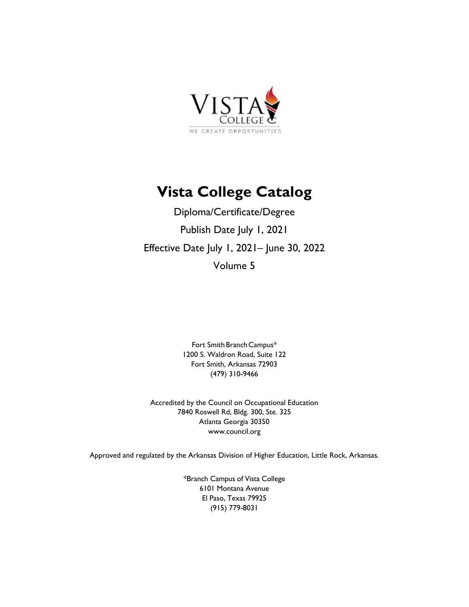

# **Vista College Catalog**

Diploma/Certificate/Degree Publish Date July 1, 2021 Effective Date July 1, 2021– June 30, 2022 Volume 5

> Fort Smith Branch Campus\* 1200 S. Waldron Road, Suite 122 Fort Smith, Arkansas 72903 (479) 310-9466

Accredited by the Council on Occupational Education 7840 Roswell Rd, Bldg. 300, Ste. 325 Atlanta Georgia 30350 www.council.org

Approved and regulated by the Arkansas Division of Higher Education, Little Rock, Arkansas.

\*Branch Campus of Vista College 6101 Montana Avenue El Paso, Texas 79925 (915) 779-8031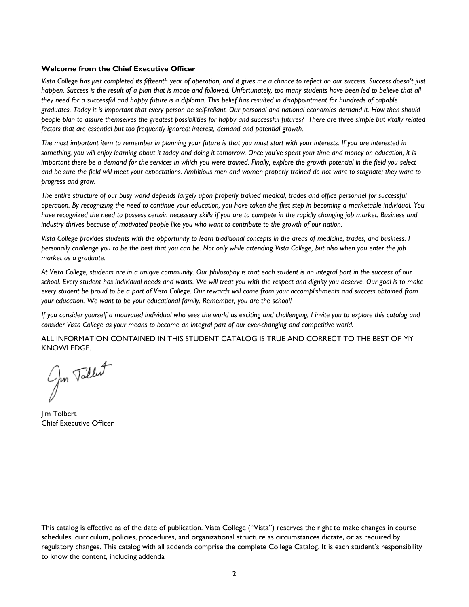#### **Welcome from the Chief Executive Officer**

*Vista College has just completed its fifteenth year of operation, and it gives me a chance to reflect on our success. Success doesn't just*  happen. Success is the result of a plan that is made and followed. Unfortunately, too many students have been led to believe that all *they need for a successful and happy future is a diploma. This belief has resulted in disappointment for hundreds of capable graduates. Today it is important that every person be self-reliant. Our personal and national economies demand it. How then should people plan to assure themselves the greatest possibilities for happy and successful futures? There are three simple but vitally related factors that are essential but too frequently ignored: interest, demand and potential growth.* 

*The most important item to remember in planning your future is that you must start with your interests. If you are interested in something, you will enjoy learning about it today and doing it tomorrow. Once you've spent your time and money on education, it is important there be a demand for the services in which you were trained. Finally, explore the growth potential in the field you select and be sure the field will meet your expectations. Ambitious men and women properly trained do not want to stagnate; they want to progress and grow.* 

*The entire structure of our busy world depends largely upon properly trained medical, trades and office personnel for successful operation. By recognizing the need to continue your education, you have taken the first step in becoming a marketable individual. You have recognized the need to possess certain necessary skills if you are to compete in the rapidly changing job market. Business and industry thrives because of motivated people like you who want to contribute to the growth of our nation.* 

*Vista College provides students with the opportunity to learn traditional concepts in the areas of medicine, trades, and business. I personally challenge you to be the best that you can be. Not only while attending Vista College, but also when you enter the job market as a graduate.* 

*At Vista College, students are in a unique community. Our philosophy is that each student is an integral part in the success of our school. Every student has individual needs and wants. We will treat you with the respect and dignity you deserve. Our goal is to make every student be proud to be a part of Vista College. Our rewards will come from your accomplishments and success obtained from your education. We want to be your educational family. Remember, you are the school!* 

*If you consider yourself a motivated individual who sees the world as exciting and challenging, I invite you to explore this catalog and consider Vista College as your means to become an integral part of our ever-changing and competitive world.* 

ALL INFORMATION CONTAINED IN THIS STUDENT CATALOG IS TRUE AND CORRECT TO THE BEST OF MY KNOWLEDGE.

Jun Tollet

Jim Tolbert Chief Executive Officer

This catalog is effective as of the date of publication. Vista College ("Vista") reserves the right to make changes in course schedules, curriculum, policies, procedures, and organizational structure as circumstances dictate, or as required by regulatory changes. This catalog with all addenda comprise the complete College Catalog. It is each student's responsibility to know the content, including addenda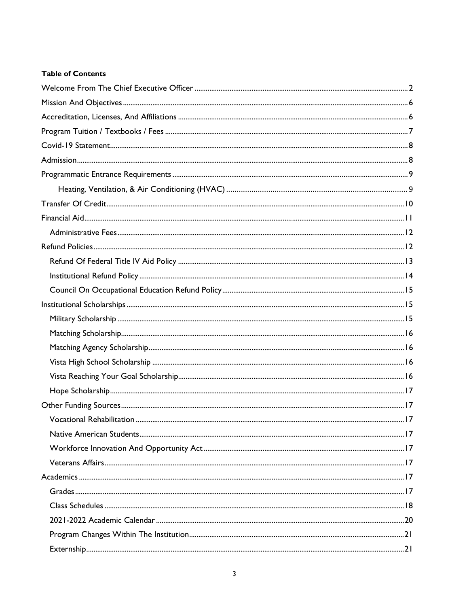# **Table of Contents**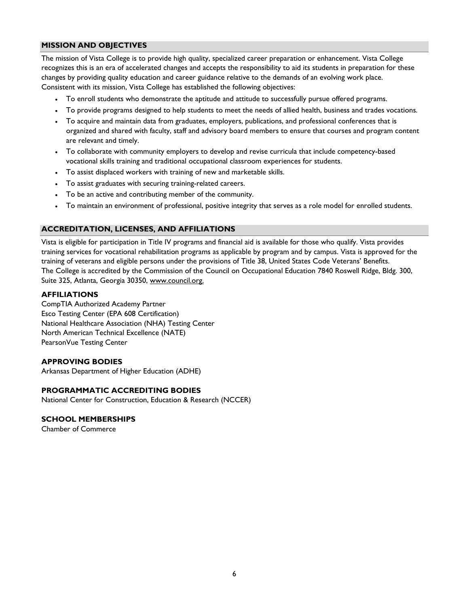## **MISSION AND OBJECTIVES**

The mission of Vista College is to provide high quality, specialized career preparation or enhancement. Vista College recognizes this is an era of accelerated changes and accepts the responsibility to aid its students in preparation for these changes by providing quality education and career guidance relative to the demands of an evolving work place. Consistent with its mission, Vista College has established the following objectives:

- To enroll students who demonstrate the aptitude and attitude to successfully pursue offered programs.
- To provide programs designed to help students to meet the needs of allied health, business and trades vocations.
- To acquire and maintain data from graduates, employers, publications, and professional conferences that is organized and shared with faculty, staff and advisory board members to ensure that courses and program content are relevant and timely.
- To collaborate with community employers to develop and revise curricula that include competency-based vocational skills training and traditional occupational classroom experiences for students.
- To assist displaced workers with training of new and marketable skills.
- To assist graduates with securing training-related careers.
- To be an active and contributing member of the community.
- To maintain an environment of professional, positive integrity that serves as a role model for enrolled students.

## **ACCREDITATION, LICENSES, AND AFFILIATIONS**

Vista is eligible for participation in Title IV programs and financial aid is available for those who qualify. Vista provides training services for vocational rehabilitation programs as applicable by program and by campus. Vista is approved for the training of veterans and eligible persons under the provisions of Title 38, United States Code Veterans' Benefits. The College is accredited by the Commission of the Council on Occupational Education 7840 Roswell Ridge, Bldg. 300, Suite 325, Atlanta, Georgia 30350, www.council.org.

## **AFFILIATIONS**

CompTIA Authorized Academy Partner Esco Testing Center (EPA 608 Certification) National Healthcare Association (NHA) Testing Center North American Technical Excellence (NATE) PearsonVue Testing Center

## **APPROVING BODIES**

Arkansas Department of Higher Education (ADHE)

## **PROGRAMMATIC ACCREDITING BODIES**

National Center for Construction, Education & Research (NCCER)

#### **SCHOOL MEMBERSHIPS**

Chamber of Commerce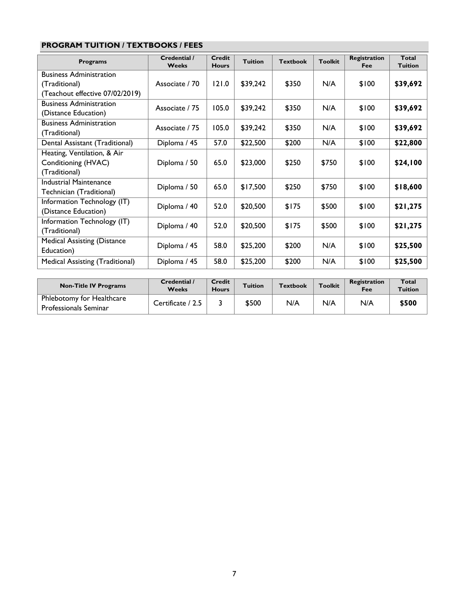# **PROGRAM TUITION / TEXTBOOKS / FEES**

| <b>Programs</b>                    | Credential /<br><b>Weeks</b> | Credit<br><b>Hours</b> | <b>Tuition</b> | <b>Textbook</b> | <b>Toolkit</b> | <b>Registration</b><br>Fee | Total<br><b>Tuition</b> |
|------------------------------------|------------------------------|------------------------|----------------|-----------------|----------------|----------------------------|-------------------------|
| <b>Business Administration</b>     |                              |                        |                |                 |                |                            |                         |
| (Traditional)                      | Associate / 70               | 121.0                  | \$39,242       | \$350           | N/A            | \$100                      | \$39,692                |
| (Teachout effective 07/02/2019)    |                              |                        |                |                 |                |                            |                         |
| <b>Business Administration</b>     | Associate / 75               | 105.0                  | \$39,242       | \$350           | N/A            | \$100                      | \$39,692                |
| (Distance Education)               |                              |                        |                |                 |                |                            |                         |
| <b>Business Administration</b>     | Associate / 75               | 105.0                  |                |                 | N/A            |                            |                         |
| (Traditional)                      |                              |                        | \$39,242       | \$350           |                | \$100                      | \$39,692                |
| Dental Assistant (Traditional)     | Diploma / 45                 | 57.0                   | \$22,500       | \$200           | N/A            | \$100                      | \$22,800                |
| Heating, Ventilation, & Air        |                              |                        |                |                 |                |                            |                         |
| Conditioning (HVAC)                | Diploma / 50                 | 65.0                   | \$23,000       | \$250           | \$750          | \$100                      | \$24,100                |
| (Traditional)                      |                              |                        |                |                 |                |                            |                         |
| <b>Industrial Maintenance</b>      | Diploma / 50                 | 65.0                   | \$17,500       | \$250           | \$750          | \$100                      | \$18,600                |
| Technician (Traditional)           |                              |                        |                |                 |                |                            |                         |
| Information Technology (IT)        | Diploma / 40                 | 52.0                   | \$20,500       | \$175           | \$500          | \$100                      | \$21,275                |
| (Distance Education)               |                              |                        |                |                 |                |                            |                         |
| Information Technology (IT)        | Diploma / 40                 | 52.0                   | \$20,500       | \$175           | \$500          | \$100                      | \$21,275                |
| (Traditional)                      |                              |                        |                |                 |                |                            |                         |
| <b>Medical Assisting (Distance</b> | Diploma / 45                 | 58.0                   | \$25,200       | \$200           | N/A            | \$100                      | \$25,500                |
| Education)                         |                              |                        |                |                 |                |                            |                         |
| Medical Assisting (Traditional)    | Diploma / 45                 | 58.0                   | \$25,200       | \$200           | N/A            | \$100                      | \$25,500                |

| <b>Non-Title IV Programs</b>                              | Credential /<br><b>Weeks</b> | Credit<br><b>Hours</b> | <b>Tuition</b> | <b>Textbook</b> | <b>Toolkit</b> | <b>Registration</b><br>Fee | Total<br><b>Tuition</b> |
|-----------------------------------------------------------|------------------------------|------------------------|----------------|-----------------|----------------|----------------------------|-------------------------|
| Phlebotomy for Healthcare<br><b>Professionals Seminar</b> | Certificate / 2.5            |                        | \$500          | N/A             | N/A            | N/A                        | \$500                   |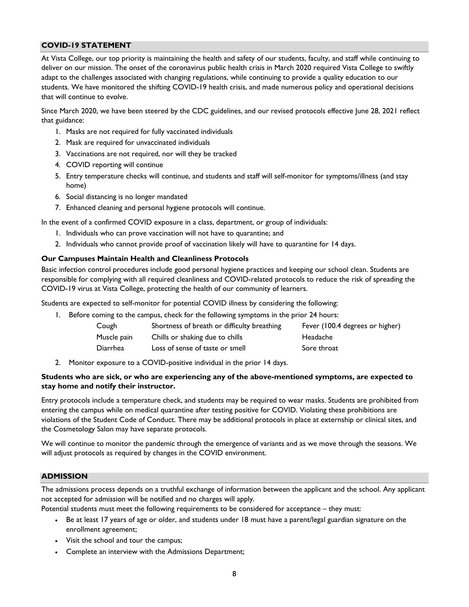## **COVID-19 STATEMENT**

At Vista College, our top priority is maintaining the health and safety of our students, faculty, and staff while continuing to deliver on our mission. The onset of the coronavirus public health crisis in March 2020 required Vista College to swiftly adapt to the challenges associated with changing regulations, while continuing to provide a quality education to our students. We have monitored the shifting COVID-19 health crisis, and made numerous policy and operational decisions that will continue to evolve.

Since March 2020, we have been steered by the CDC guidelines, and our revised protocols effective June 28, 2021 reflect that guidance:

- 1. Masks are not required for fully vaccinated individuals
- 2. Mask are required for unvaccinated individuals
- 3. Vaccinations are not required, nor will they be tracked
- 4. COVID reporting will continue
- 5. Entry temperature checks will continue, and students and staff will self-monitor for symptoms/illness (and stay home)
- 6. Social distancing is no longer mandated
- 7. Enhanced cleaning and personal hygiene protocols will continue.

In the event of a confirmed COVID exposure in a class, department, or group of individuals:

- 1. Individuals who can prove vaccination will not have to quarantine; and
- 2. Individuals who cannot provide proof of vaccination likely will have to quarantine for 14 days.

#### **Our Campuses Maintain Health and Cleanliness Protocols**

Basic infection control procedures include good personal hygiene practices and keeping our school clean. Students are responsible for complying with all required cleanliness and COVID-related protocols to reduce the risk of spreading the COVID-19 virus at Vista College, protecting the health of our community of learners.

Students are expected to self-monitor for potential COVID illness by considering the following:

1. Before coming to the campus, check for the following symptoms in the prior 24 hours:

| Cough       | Shortness of breath or difficulty breathing | Fever (100.4 degrees or higher) |
|-------------|---------------------------------------------|---------------------------------|
| Muscle pain | Chills or shaking due to chills             | Headache                        |
| Diarrhea    | Loss of sense of taste or smell             | Sore throat                     |

2. Monitor exposure to a COVID-positive individual in the prior 14 days.

#### **Students who are sick, or who are experiencing any of the above-mentioned symptoms, are expected to stay home and notify their instructor.**

Entry protocols include a temperature check, and students may be required to wear masks. Students are prohibited from entering the campus while on medical quarantine after testing positive for COVID. Violating these prohibitions are violations of the Student Code of Conduct. There may be additional protocols in place at externship or clinical sites, and the Cosmetology Salon may have separate protocols.

We will continue to monitor the pandemic through the emergence of variants and as we move through the seasons. We will adjust protocols as required by changes in the COVID environment.

## **ADMISSION**

The admissions process depends on a truthful exchange of information between the applicant and the school. Any applicant not accepted for admission will be notified and no charges will apply.

Potential students must meet the following requirements to be considered for acceptance – they must:

- Be at least 17 years of age or older, and students under 18 must have a parent/legal guardian signature on the enrollment agreement;
- Visit the school and tour the campus;
- Complete an interview with the Admissions Department;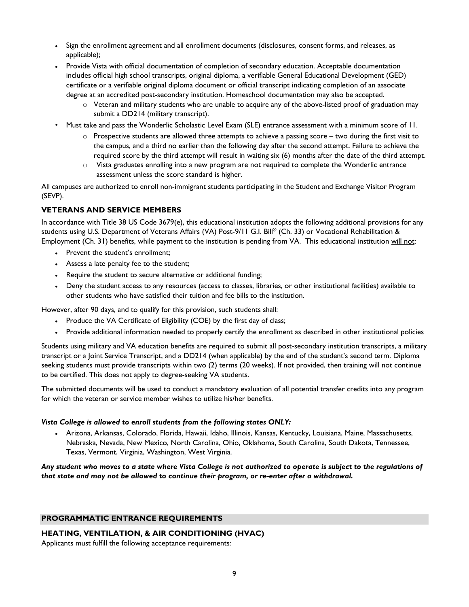- Sign the enrollment agreement and all enrollment documents (disclosures, consent forms, and releases, as applicable);
- Provide Vista with official documentation of completion of secondary education. Acceptable documentation includes official high school transcripts, original diploma, a verifiable General Educational Development (GED) certificate or a verifiable original diploma document or official transcript indicating completion of an associate degree at an accredited post-secondary institution. Homeschool documentation may also be accepted.
	- o Veteran and military students who are unable to acquire any of the above-listed proof of graduation may submit a DD214 (military transcript).
- Must take and pass the Wonderlic Scholastic Level Exam (SLE) entrance assessment with a minimum score of 11.
	- $\circ$  Prospective students are allowed three attempts to achieve a passing score two during the first visit to the campus, and a third no earlier than the following day after the second attempt. Failure to achieve the required score by the third attempt will result in waiting six (6) months after the date of the third attempt.
	- o Vista graduates enrolling into a new program are not required to complete the Wonderlic entrance assessment unless the score standard is higher.

All campuses are authorized to enroll non-immigrant students participating in the Student and Exchange Visitor Program (SEVP).

## **VETERANS AND SERVICE MEMBERS**

In accordance with Title 38 US Code 3679(e), this educational institution adopts the following additional provisions for any students using U.S. Department of Veterans Affairs (VA) Post-9/11 G.I. Bill® (Ch. 33) or Vocational Rehabilitation & Employment (Ch. 31) benefits, while payment to the institution is pending from VA. This educational institution will not:

- Prevent the student's enrollment;
- Assess a late penalty fee to the student;
- Require the student to secure alternative or additional funding;
- Deny the student access to any resources (access to classes, libraries, or other institutional facilities) available to other students who have satisfied their tuition and fee bills to the institution.

However, after 90 days, and to qualify for this provision, such students shall:

- Produce the VA Certificate of Eligibility (COE) by the first day of class;
- Provide additional information needed to properly certify the enrollment as described in other institutional policies

Students using military and VA education benefits are required to submit all post-secondary institution transcripts, a military transcript or a Joint Service Transcript, and a DD214 (when applicable) by the end of the student's second term. Diploma seeking students must provide transcripts within two (2) terms (20 weeks). If not provided, then training will not continue to be certified. This does not apply to degree-seeking VA students.

The submitted documents will be used to conduct a mandatory evaluation of all potential transfer credits into any program for which the veteran or service member wishes to utilize his/her benefits.

#### *Vista College is allowed to enroll students from the following states ONLY:*

 Arizona, Arkansas, Colorado, Florida, Hawaii, Idaho, Illinois, Kansas, Kentucky, Louisiana, Maine, Massachusetts, Nebraska, Nevada, New Mexico, North Carolina, Ohio, Oklahoma, South Carolina, South Dakota, Tennessee, Texas, Vermont, Virginia, Washington, West Virginia.

*Any student who moves to a state where Vista College is not authorized to operate is subject to the regulations of that state and may not be allowed to continue their program, or re-enter after a withdrawal.* 

#### **PROGRAMMATIC ENTRANCE REQUIREMENTS**

## **HEATING, VENTILATION, & AIR CONDITIONING (HVAC)**

Applicants must fulfill the following acceptance requirements: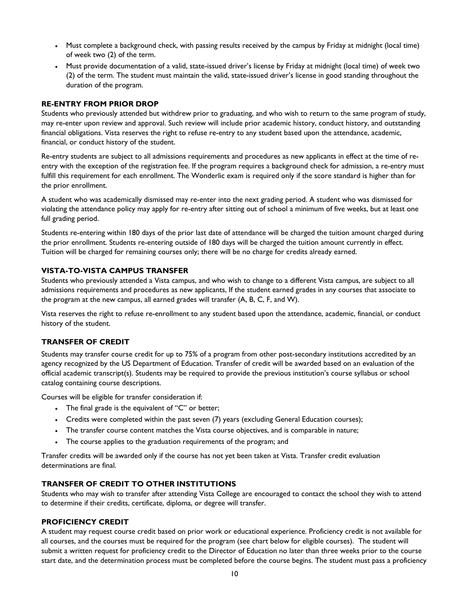- Must complete a background check, with passing results received by the campus by Friday at midnight (local time) of week two (2) of the term.
- Must provide documentation of a valid, state-issued driver's license by Friday at midnight (local time) of week two (2) of the term. The student must maintain the valid, state-issued driver's license in good standing throughout the duration of the program.

## **RE-ENTRY FROM PRIOR DROP**

Students who previously attended but withdrew prior to graduating, and who wish to return to the same program of study, may re-enter upon review and approval. Such review will include prior academic history, conduct history, and outstanding financial obligations. Vista reserves the right to refuse re-entry to any student based upon the attendance, academic, financial, or conduct history of the student.

Re-entry students are subject to all admissions requirements and procedures as new applicants in effect at the time of reentry with the exception of the registration fee. If the program requires a background check for admission, a re-entry must fulfill this requirement for each enrollment. The Wonderlic exam is required only if the score standard is higher than for the prior enrollment.

A student who was academically dismissed may re-enter into the next grading period. A student who was dismissed for violating the attendance policy may apply for re-entry after sitting out of school a minimum of five weeks, but at least one full grading period.

Students re-entering within 180 days of the prior last date of attendance will be charged the tuition amount charged during the prior enrollment. Students re-entering outside of 180 days will be charged the tuition amount currently in effect. Tuition will be charged for remaining courses only; there will be no charge for credits already earned.

#### **VISTA-TO-VISTA CAMPUS TRANSFER**

Students who previously attended a Vista campus, and who wish to change to a different Vista campus, are subject to all admissions requirements and procedures as new applicants, If the student earned grades in any courses that associate to the program at the new campus, all earned grades will transfer (A, B, C, F, and W).

Vista reserves the right to refuse re-enrollment to any student based upon the attendance, academic, financial, or conduct history of the student.

#### **TRANSFER OF CREDIT**

Students may transfer course credit for up to 75% of a program from other post-secondary institutions accredited by an agency recognized by the US Department of Education. Transfer of credit will be awarded based on an evaluation of the official academic transcript(s). Students may be required to provide the previous institution's course syllabus or school catalog containing course descriptions.

Courses will be eligible for transfer consideration if:

- The final grade is the equivalent of "C" or better;
- Credits were completed within the past seven (7) years (excluding General Education courses);
- The transfer course content matches the Vista course objectives, and is comparable in nature;
- The course applies to the graduation requirements of the program; and

Transfer credits will be awarded only if the course has not yet been taken at Vista. Transfer credit evaluation determinations are final.

#### **TRANSFER OF CREDIT TO OTHER INSTITUTIONS**

Students who may wish to transfer after attending Vista College are encouraged to contact the school they wish to attend to determine if their credits, certificate, diploma, or degree will transfer.

#### **PROFICIENCY CREDIT**

A student may request course credit based on prior work or educational experience. Proficiency credit is not available for all courses, and the courses must be required for the program (see chart below for eligible courses). The student will submit a written request for proficiency credit to the Director of Education no later than three weeks prior to the course start date, and the determination process must be completed before the course begins. The student must pass a proficiency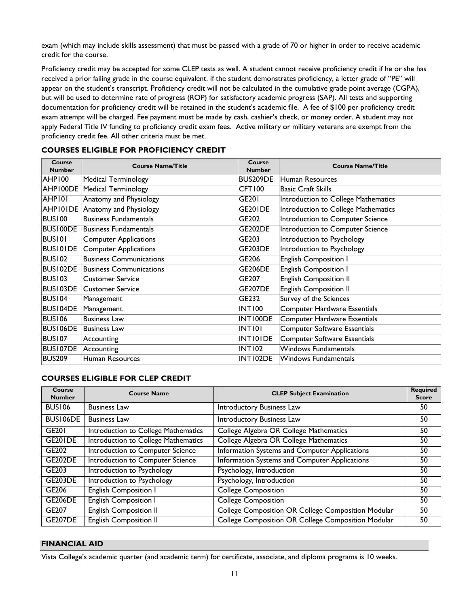exam (which may include skills assessment) that must be passed with a grade of 70 or higher in order to receive academic credit for the course.

Proficiency credit may be accepted for some CLEP tests as well. A student cannot receive proficiency credit if he or she has received a prior failing grade in the course equivalent. If the student demonstrates proficiency, a letter grade of "PE" will appear on the student's transcript. Proficiency credit will not be calculated in the cumulative grade point average (CGPA), but will be used to determine rate of progress (ROP) for satisfactory academic progress (SAP). All tests and supporting documentation for proficiency credit will be retained in the student's academic file. A fee of \$100 per proficiency credit exam attempt will be charged. Fee payment must be made by cash, cashier's check, or money order. A student may not apply Federal Title IV funding to proficiency credit exam fees. Active military or military veterans are exempt from the proficiency credit fee. All other criteria must be met.

| Course<br><b>Number</b> | <b>Course Name/Title</b>       | Course<br><b>Number</b> | <b>Course Name/Title</b>            |
|-------------------------|--------------------------------|-------------------------|-------------------------------------|
| AHP100                  | Medical Terminology            | BUS209DE                | Human Resources                     |
|                         | AHP100DE Medical Terminology   | CFT100                  | <b>Basic Craft Skills</b>           |
| <b>AHPI01</b>           | <b>Anatomy and Physiology</b>  | GE201                   | Introduction to College Mathematics |
| <b>AHPIOIDE</b>         | Anatomy and Physiology         | GE201DE                 | Introduction to College Mathematics |
| BUS100                  | <b>Business Fundamentals</b>   | GE202                   | Introduction to Computer Science    |
| <b>BUS100DE</b>         | Business Fundamentals          | <b>GE202DE</b>          | Introduction to Computer Science    |
| <b>BUSIOI</b>           | <b>Computer Applications</b>   | GE203                   | Introduction to Psychology          |
| <b>BUSIOIDE</b>         | Computer Applications          | <b>GE203DE</b>          | Introduction to Psychology          |
| <b>BUS102</b>           | <b>Business Communications</b> | GE206                   | <b>English Composition I</b>        |
| BUS102DE                | <b>Business Communications</b> | <b>GE206DE</b>          | <b>English Composition I</b>        |
| BUS103                  | <b>Customer Service</b>        | GE207                   | <b>English Composition II</b>       |
| <b>BUS103DE</b>         | Customer Service               | <b>GE207DE</b>          | <b>English Composition II</b>       |
| BUS104                  | Management                     | GE232                   | Survey of the Sciences              |
| <b>BUSI04DE</b>         | Management                     | INT100                  | Computer Hardware Essentials        |
| <b>BUS106</b>           | <b>Business Law</b>            | INT100DE                | <b>Computer Hardware Essentials</b> |
| <b>BUS106DE</b>         | Business Law                   | INTI01                  | <b>Computer Software Essentials</b> |
| <b>BUS107</b>           | Accounting                     | <b>INTIOIDE</b>         | <b>Computer Software Essentials</b> |
| <b>BUS107DE</b>         | Accounting                     | INT102                  | Windows Fundamentals                |
| <b>BUS209</b>           | Human Resources                | INT102DE                | <b>Windows Fundamentals</b>         |

## **COURSES ELIGIBLE FOR PROFICIENCY CREDIT**

## **COURSES ELIGIBLE FOR CLEP CREDIT**

| Course<br><b>Number</b> | <b>Course Name</b>                  | <b>CLEP Subject Examination</b>                      | <b>Required</b><br><b>Score</b> |
|-------------------------|-------------------------------------|------------------------------------------------------|---------------------------------|
| <b>BUS106</b>           | <b>Business Law</b>                 | Introductory Business Law                            | 50                              |
| BUS106DE                | <b>Business Law</b>                 | Introductory Business Law                            | 50                              |
| GE201                   | Introduction to College Mathematics | College Algebra OR College Mathematics               | 50                              |
| <b>GE201DE</b>          | Introduction to College Mathematics | College Algebra OR College Mathematics               | 50                              |
| GE202                   | Introduction to Computer Science    | <b>Information Systems and Computer Applications</b> | 50                              |
| <b>GE202DE</b>          | Introduction to Computer Science    | Information Systems and Computer Applications        | 50                              |
| GE203                   | Introduction to Psychology          | Psychology, Introduction                             | 50                              |
| <b>GE203DE</b>          | Introduction to Psychology          | Psychology, Introduction                             | 50                              |
| GE206                   | <b>English Composition I</b>        | <b>College Composition</b>                           | 50                              |
| <b>GE206DE</b>          | <b>English Composition I</b>        | <b>College Composition</b>                           | 50                              |
| GE207                   | <b>English Composition II</b>       | College Composition OR College Composition Modular   | 50                              |
| <b>GE207DE</b>          | <b>English Composition II</b>       | College Composition OR College Composition Modular   | 50                              |

#### **FINANCIAL AID**

Vista College's academic quarter (and academic term) for certificate, associate, and diploma programs is 10 weeks.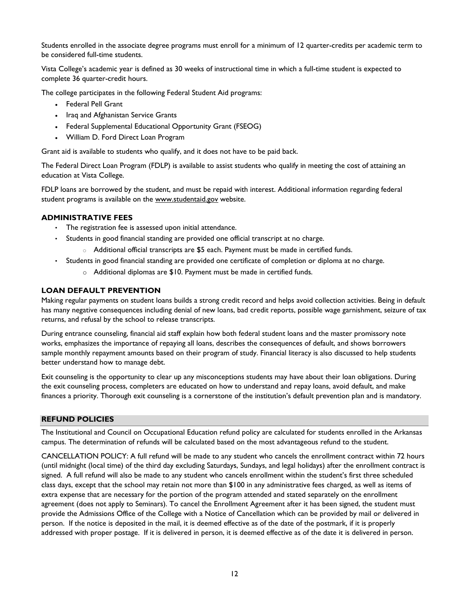Students enrolled in the associate degree programs must enroll for a minimum of 12 quarter-credits per academic term to be considered full-time students.

Vista College's academic year is defined as 30 weeks of instructional time in which a full-time student is expected to complete 36 quarter-credit hours.

The college participates in the following Federal Student Aid programs:

- Federal Pell Grant
- Iraq and Afghanistan Service Grants
- Federal Supplemental Educational Opportunity Grant (FSEOG)
- William D. Ford Direct Loan Program

Grant aid is available to students who qualify, and it does not have to be paid back.

The Federal Direct Loan Program (FDLP) is available to assist students who qualify in meeting the cost of attaining an education at Vista College.

FDLP loans are borrowed by the student, and must be repaid with interest. Additional information regarding federal student programs is available on the www.studentaid.gov website.

## **ADMINISTRATIVE FEES**

- The registration fee is assessed upon initial attendance.
- Students in good financial standing are provided one official transcript at no charge.
	- $\circ$  Additional official transcripts are \$5 each. Payment must be made in certified funds.
- Students in good financial standing are provided one certificate of completion or diploma at no charge.
	- $\circ$  Additional diplomas are \$10. Payment must be made in certified funds.

## **LOAN DEFAULT PREVENTION**

Making regular payments on student loans builds a strong credit record and helps avoid collection activities. Being in default has many negative consequences including denial of new loans, bad credit reports, possible wage garnishment, seizure of tax returns, and refusal by the school to release transcripts.

During entrance counseling, financial aid staff explain how both federal student loans and the master promissory note works, emphasizes the importance of repaying all loans, describes the consequences of default, and shows borrowers sample monthly repayment amounts based on their program of study. Financial literacy is also discussed to help students better understand how to manage debt.

Exit counseling is the opportunity to clear up any misconceptions students may have about their loan obligations. During the exit counseling process, completers are educated on how to understand and repay loans, avoid default, and make finances a priority. Thorough exit counseling is a cornerstone of the institution's default prevention plan and is mandatory.

#### **REFUND POLICIES**

The Institutional and Council on Occupational Education refund policy are calculated for students enrolled in the Arkansas campus. The determination of refunds will be calculated based on the most advantageous refund to the student.

CANCELLATION POLICY: A full refund will be made to any student who cancels the enrollment contract within 72 hours (until midnight (local time) of the third day excluding Saturdays, Sundays, and legal holidays) after the enrollment contract is signed. A full refund will also be made to any student who cancels enrollment within the student's first three scheduled class days, except that the school may retain not more than \$100 in any administrative fees charged, as well as items of extra expense that are necessary for the portion of the program attended and stated separately on the enrollment agreement (does not apply to Seminars). To cancel the Enrollment Agreement after it has been signed, the student must provide the Admissions Office of the College with a Notice of Cancellation which can be provided by mail or delivered in person. If the notice is deposited in the mail, it is deemed effective as of the date of the postmark, if it is properly addressed with proper postage. If it is delivered in person, it is deemed effective as of the date it is delivered in person.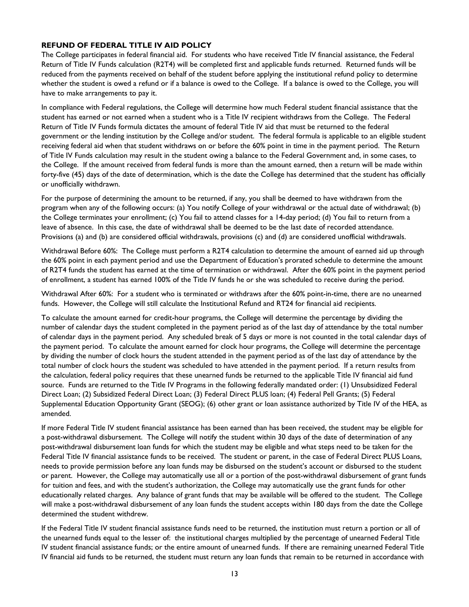### **REFUND OF FEDERAL TITLE IV AID POLICY**

The College participates in federal financial aid. For students who have received Title IV financial assistance, the Federal Return of Title IV Funds calculation (R2T4) will be completed first and applicable funds returned. Returned funds will be reduced from the payments received on behalf of the student before applying the institutional refund policy to determine whether the student is owed a refund or if a balance is owed to the College. If a balance is owed to the College, you will have to make arrangements to pay it.

In compliance with Federal regulations, the College will determine how much Federal student financial assistance that the student has earned or not earned when a student who is a Title IV recipient withdraws from the College. The Federal Return of Title IV Funds formula dictates the amount of federal Title IV aid that must be returned to the federal government or the lending institution by the College and/or student. The federal formula is applicable to an eligible student receiving federal aid when that student withdraws on or before the 60% point in time in the payment period. The Return of Title IV Funds calculation may result in the student owing a balance to the Federal Government and, in some cases, to the College. If the amount received from federal funds is more than the amount earned, then a return will be made within forty-five (45) days of the date of determination, which is the date the College has determined that the student has officially or unofficially withdrawn.

For the purpose of determining the amount to be returned, if any, you shall be deemed to have withdrawn from the program when any of the following occurs: (a) You notify College of your withdrawal or the actual date of withdrawal; (b) the College terminates your enrollment; (c) You fail to attend classes for a 14-day period; (d) You fail to return from a leave of absence. In this case, the date of withdrawal shall be deemed to be the last date of recorded attendance. Provisions (a) and (b) are considered official withdrawals, provisions (c) and (d) are considered unofficial withdrawals.

Withdrawal Before 60%: The College must perform a R2T4 calculation to determine the amount of earned aid up through the 60% point in each payment period and use the Department of Education's prorated schedule to determine the amount of R2T4 funds the student has earned at the time of termination or withdrawal. After the 60% point in the payment period of enrollment, a student has earned 100% of the Title IV funds he or she was scheduled to receive during the period.

Withdrawal After 60%: For a student who is terminated or withdraws after the 60% point-in-time, there are no unearned funds. However, the College will still calculate the Institutional Refund and RT24 for financial aid recipients.

To calculate the amount earned for credit-hour programs, the College will determine the percentage by dividing the number of calendar days the student completed in the payment period as of the last day of attendance by the total number of calendar days in the payment period. Any scheduled break of 5 days or more is not counted in the total calendar days of the payment period. To calculate the amount earned for clock hour programs, the College will determine the percentage by dividing the number of clock hours the student attended in the payment period as of the last day of attendance by the total number of clock hours the student was scheduled to have attended in the payment period. If a return results from the calculation, federal policy requires that these unearned funds be returned to the applicable Title IV financial aid fund source. Funds are returned to the Title IV Programs in the following federally mandated order: (1) Unsubsidized Federal Direct Loan; (2) Subsidized Federal Direct Loan; (3) Federal Direct PLUS loan; (4) Federal Pell Grants; (5) Federal Supplemental Education Opportunity Grant (SEOG); (6) other grant or loan assistance authorized by Title IV of the HEA, as amended.

If more Federal Title IV student financial assistance has been earned than has been received, the student may be eligible for a post-withdrawal disbursement. The College will notify the student within 30 days of the date of determination of any post-withdrawal disbursement loan funds for which the student may be eligible and what steps need to be taken for the Federal Title IV financial assistance funds to be received. The student or parent, in the case of Federal Direct PLUS Loans, needs to provide permission before any loan funds may be disbursed on the student's account or disbursed to the student or parent. However, the College may automatically use all or a portion of the post-withdrawal disbursement of grant funds for tuition and fees, and with the student's authorization, the College may automatically use the grant funds for other educationally related charges. Any balance of grant funds that may be available will be offered to the student. The College will make a post-withdrawal disbursement of any loan funds the student accepts within 180 days from the date the College determined the student withdrew.

If the Federal Title IV student financial assistance funds need to be returned, the institution must return a portion or all of the unearned funds equal to the lesser of: the institutional charges multiplied by the percentage of unearned Federal Title IV student financial assistance funds; or the entire amount of unearned funds. If there are remaining unearned Federal Title IV financial aid funds to be returned, the student must return any loan funds that remain to be returned in accordance with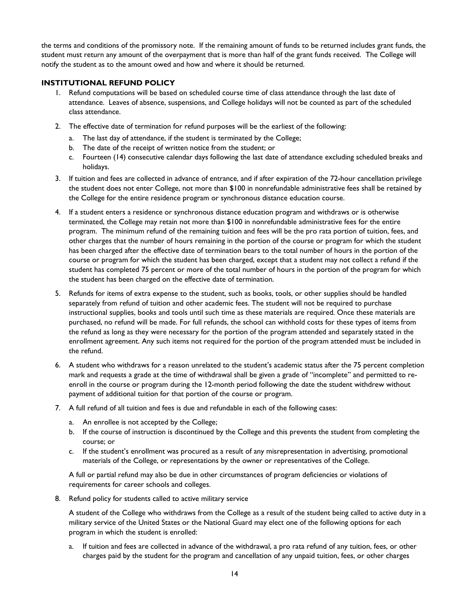the terms and conditions of the promissory note. If the remaining amount of funds to be returned includes grant funds, the student must return any amount of the overpayment that is more than half of the grant funds received. The College will notify the student as to the amount owed and how and where it should be returned.

## **INSTITUTIONAL REFUND POLICY**

- 1. Refund computations will be based on scheduled course time of class attendance through the last date of attendance. Leaves of absence, suspensions, and College holidays will not be counted as part of the scheduled class attendance.
- 2. The effective date of termination for refund purposes will be the earliest of the following:
	- a. The last day of attendance, if the student is terminated by the College;
	- b. The date of the receipt of written notice from the student; or
	- c. Fourteen (14) consecutive calendar days following the last date of attendance excluding scheduled breaks and holidays.
- 3. If tuition and fees are collected in advance of entrance, and if after expiration of the 72-hour cancellation privilege the student does not enter College, not more than \$100 in nonrefundable administrative fees shall be retained by the College for the entire residence program or synchronous distance education course.
- 4. If a student enters a residence or synchronous distance education program and withdraws or is otherwise terminated, the College may retain not more than \$100 in nonrefundable administrative fees for the entire program. The minimum refund of the remaining tuition and fees will be the pro rata portion of tuition, fees, and other charges that the number of hours remaining in the portion of the course or program for which the student has been charged after the effective date of termination bears to the total number of hours in the portion of the course or program for which the student has been charged, except that a student may not collect a refund if the student has completed 75 percent or more of the total number of hours in the portion of the program for which the student has been charged on the effective date of termination.
- 5. Refunds for items of extra expense to the student, such as books, tools, or other supplies should be handled separately from refund of tuition and other academic fees. The student will not be required to purchase instructional supplies, books and tools until such time as these materials are required. Once these materials are purchased, no refund will be made. For full refunds, the school can withhold costs for these types of items from the refund as long as they were necessary for the portion of the program attended and separately stated in the enrollment agreement. Any such items not required for the portion of the program attended must be included in the refund.
- 6. A student who withdraws for a reason unrelated to the student's academic status after the 75 percent completion mark and requests a grade at the time of withdrawal shall be given a grade of "incomplete" and permitted to reenroll in the course or program during the 12-month period following the date the student withdrew without payment of additional tuition for that portion of the course or program.
- 7. A full refund of all tuition and fees is due and refundable in each of the following cases:
	- a. An enrollee is not accepted by the College;
	- b. If the course of instruction is discontinued by the College and this prevents the student from completing the course; or
	- c. If the student's enrollment was procured as a result of any misrepresentation in advertising, promotional materials of the College, or representations by the owner or representatives of the College.

A full or partial refund may also be due in other circumstances of program deficiencies or violations of requirements for career schools and colleges.

8. Refund policy for students called to active military service

A student of the College who withdraws from the College as a result of the student being called to active duty in a military service of the United States or the National Guard may elect one of the following options for each program in which the student is enrolled:

a. If tuition and fees are collected in advance of the withdrawal, a pro rata refund of any tuition, fees, or other charges paid by the student for the program and cancellation of any unpaid tuition, fees, or other charges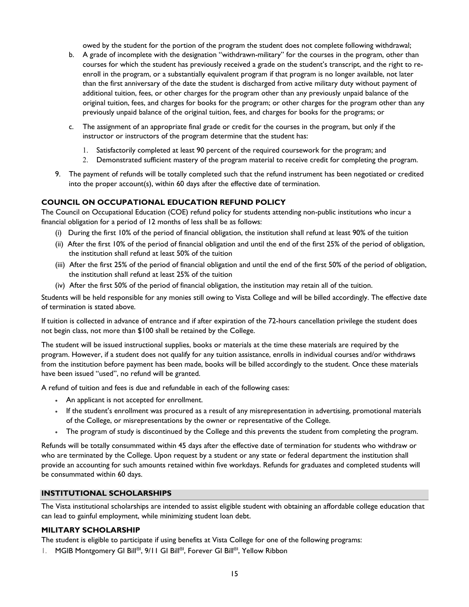owed by the student for the portion of the program the student does not complete following withdrawal;

- b. A grade of incomplete with the designation "withdrawn-military" for the courses in the program, other than courses for which the student has previously received a grade on the student's transcript, and the right to reenroll in the program, or a substantially equivalent program if that program is no longer available, not later than the first anniversary of the date the student is discharged from active military duty without payment of additional tuition, fees, or other charges for the program other than any previously unpaid balance of the original tuition, fees, and charges for books for the program; or other charges for the program other than any previously unpaid balance of the original tuition, fees, and charges for books for the programs; or
- c. The assignment of an appropriate final grade or credit for the courses in the program, but only if the instructor or instructors of the program determine that the student has:
	- 1. Satisfactorily completed at least 90 percent of the required coursework for the program; and
	- 2. Demonstrated sufficient mastery of the program material to receive credit for completing the program.
- 9. The payment of refunds will be totally completed such that the refund instrument has been negotiated or credited into the proper account(s), within 60 days after the effective date of termination.

## **COUNCIL ON OCCUPATIONAL EDUCATION REFUND POLICY**

The Council on Occupational Education (COE) refund policy for students attending non-public institutions who incur a financial obligation for a period of 12 months of less shall be as follows:

- (i) During the first 10% of the period of financial obligation, the institution shall refund at least 90% of the tuition
- (ii) After the first 10% of the period of financial obligation and until the end of the first 25% of the period of obligation, the institution shall refund at least 50% of the tuition
- (iii) After the first 25% of the period of financial obligation and until the end of the first 50% of the period of obligation, the institution shall refund at least 25% of the tuition
- (iv) After the first 50% of the period of financial obligation, the institution may retain all of the tuition.

Students will be held responsible for any monies still owing to Vista College and will be billed accordingly. The effective date of termination is stated above.

If tuition is collected in advance of entrance and if after expiration of the 72-hours cancellation privilege the student does not begin class, not more than \$100 shall be retained by the College.

The student will be issued instructional supplies, books or materials at the time these materials are required by the program. However, if a student does not qualify for any tuition assistance, enrolls in individual courses and/or withdraws from the institution before payment has been made, books will be billed accordingly to the student. Once these materials have been issued "used", no refund will be granted.

A refund of tuition and fees is due and refundable in each of the following cases:

- An applicant is not accepted for enrollment.
- If the student's enrollment was procured as a result of any misrepresentation in advertising, promotional materials of the College, or misrepresentations by the owner or representative of the College.
- The program of study is discontinued by the College and this prevents the student from completing the program.

Refunds will be totally consummated within 45 days after the effective date of termination for students who withdraw or who are terminated by the College. Upon request by a student or any state or federal department the institution shall provide an accounting for such amounts retained within five workdays. Refunds for graduates and completed students will be consummated within 60 days.

#### **INSTITUTIONAL SCHOLARSHIPS**

The Vista institutional scholarships are intended to assist eligible student with obtaining an affordable college education that can lead to gainful employment, while minimizing student loan debt.

#### **MILITARY SCHOLARSHIP**

The student is eligible to participate if using benefits at Vista College for one of the following programs:

I. MGIB Montgomery GI Bill®I, 9/11 GI Bill®I, Forever GI Bill®I, Yellow Ribbon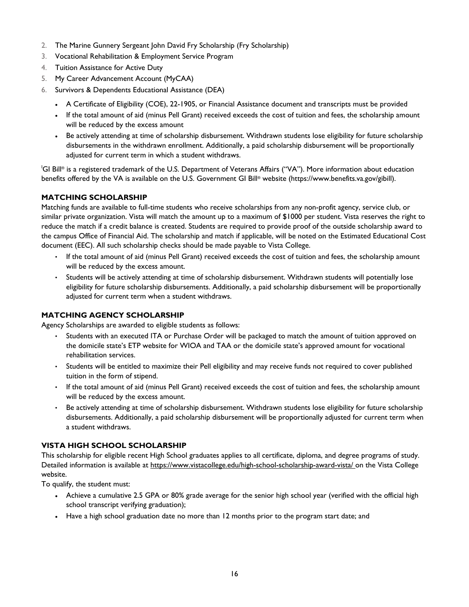- 2. The Marine Gunnery Sergeant John David Fry Scholarship (Fry Scholarship)
- 3. Vocational Rehabilitation & Employment Service Program
- 4. Tuition Assistance for Active Duty
- 5. My Career Advancement Account (MyCAA)
- 6. Survivors & Dependents Educational Assistance (DEA)
	- A Certificate of Eligibility (COE), 22-1905, or Financial Assistance document and transcripts must be provided
	- If the total amount of aid (minus Pell Grant) received exceeds the cost of tuition and fees, the scholarship amount will be reduced by the excess amount
	- Be actively attending at time of scholarship disbursement. Withdrawn students lose eligibility for future scholarship disbursements in the withdrawn enrollment. Additionally, a paid scholarship disbursement will be proportionally adjusted for current term in which a student withdraws.

I GI Bill® is a registered trademark of the U.S. Department of Veterans Affairs ("VA"). More information about education benefits offered by the VA is available on the U.S. Government GI Bill® website (https://www.benefits.va.gov/gibill).

## **MATCHING SCHOLARSHIP**

Matching funds are available to full-time students who receive scholarships from any non-profit agency, service club, or similar private organization. Vista will match the amount up to a maximum of \$1000 per student. Vista reserves the right to reduce the match if a credit balance is created. Students are required to provide proof of the outside scholarship award to the campus Office of Financial Aid. The scholarship and match if applicable, will be noted on the Estimated Educational Cost document (EEC). All such scholarship checks should be made payable to Vista College.

- If the total amount of aid (minus Pell Grant) received exceeds the cost of tuition and fees, the scholarship amount will be reduced by the excess amount.
- Students will be actively attending at time of scholarship disbursement. Withdrawn students will potentially lose eligibility for future scholarship disbursements. Additionally, a paid scholarship disbursement will be proportionally adjusted for current term when a student withdraws.

## **MATCHING AGENCY SCHOLARSHIP**

Agency Scholarships are awarded to eligible students as follows:

- Students with an executed ITA or Purchase Order will be packaged to match the amount of tuition approved on the domicile state's ETP website for WIOA and TAA or the domicile state's approved amount for vocational rehabilitation services.
- Students will be entitled to maximize their Pell eligibility and may receive funds not required to cover published tuition in the form of stipend.
- If the total amount of aid (minus Pell Grant) received exceeds the cost of tuition and fees, the scholarship amount will be reduced by the excess amount.
- Be actively attending at time of scholarship disbursement. Withdrawn students lose eligibility for future scholarship disbursements. Additionally, a paid scholarship disbursement will be proportionally adjusted for current term when a student withdraws.

#### **VISTA HIGH SCHOOL SCHOLARSHIP**

This scholarship for eligible recent High School graduates applies to all certificate, diploma, and degree programs of study. Detailed information is available at https://www.vistacollege.edu/high-school-scholarship-award-vista/ on the Vista College website.

To qualify, the student must:

- Achieve a cumulative 2.5 GPA or 80% grade average for the senior high school year (verified with the official high school transcript verifying graduation);
- Have a high school graduation date no more than 12 months prior to the program start date; and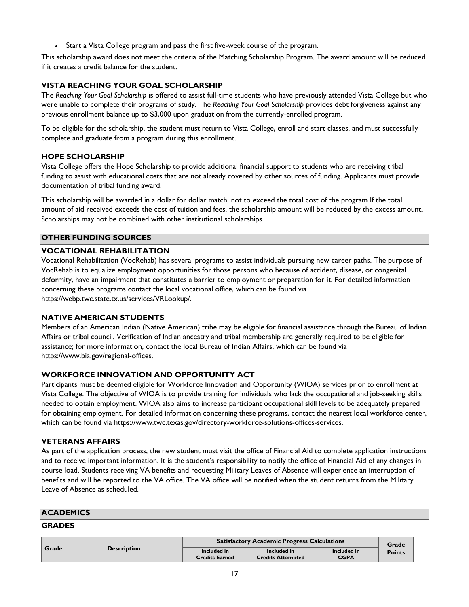Start a Vista College program and pass the first five-week course of the program.

This scholarship award does not meet the criteria of the Matching Scholarship Program. The award amount will be reduced if it creates a credit balance for the student.

## **VISTA REACHING YOUR GOAL SCHOLARSHIP**

The *Reaching Your Goal Scholarship* is offered to assist full-time students who have previously attended Vista College but who were unable to complete their programs of study. The *Reaching Your Goal Scholarship* provides debt forgiveness against any previous enrollment balance up to \$3,000 upon graduation from the currently-enrolled program.

To be eligible for the scholarship, the student must return to Vista College, enroll and start classes, and must successfully complete and graduate from a program during this enrollment.

## **HOPE SCHOLARSHIP**

Vista College offers the Hope Scholarship to provide additional financial support to students who are receiving tribal funding to assist with educational costs that are not already covered by other sources of funding. Applicants must provide documentation of tribal funding award.

This scholarship will be awarded in a dollar for dollar match, not to exceed the total cost of the program If the total amount of aid received exceeds the cost of tuition and fees, the scholarship amount will be reduced by the excess amount. Scholarships may not be combined with other institutional scholarships.

## **OTHER FUNDING SOURCES**

## **VOCATIONAL REHABILITATION**

Vocational Rehabilitation (VocRehab) has several programs to assist individuals pursuing new career paths. The purpose of VocRehab is to equalize employment opportunities for those persons who because of accident, disease, or congenital deformity, have an impairment that constitutes a barrier to employment or preparation for it. For detailed information concerning these programs contact the local vocational office, which can be found via https://webp.twc.state.tx.us/services/VRLookup/.

#### **NATIVE AMERICAN STUDENTS**

Members of an American Indian (Native American) tribe may be eligible for financial assistance through the Bureau of Indian Affairs or tribal council. Verification of Indian ancestry and tribal membership are generally required to be eligible for assistance; for more information, contact the local Bureau of Indian Affairs, which can be found via https://www.bia.gov/regional-offices.

## **WORKFORCE INNOVATION AND OPPORTUNITY ACT**

Participants must be deemed eligible for Workforce Innovation and Opportunity (WIOA) services prior to enrollment at Vista College. The objective of WIOA is to provide training for individuals who lack the occupational and job-seeking skills needed to obtain employment. WIOA also aims to increase participant occupational skill levels to be adequately prepared for obtaining employment. For detailed information concerning these programs, contact the nearest local workforce center, which can be found via https://www.twc.texas.gov/directory-workforce-solutions-offices-services.

#### **VETERANS AFFAIRS**

As part of the application process, the new student must visit the office of Financial Aid to complete application instructions and to receive important information. It is the student's responsibility to notify the office of Financial Aid of any changes in course load. Students receiving VA benefits and requesting Military Leaves of Absence will experience an interruption of benefits and will be reported to the VA office. The VA office will be notified when the student returns from the Military Leave of Absence as scheduled.

#### **ACADEMICS**

#### **GRADES**

|       |                    | <b>Satisfactory Academic Progress Calculations</b> | Grade                                   |                            |               |
|-------|--------------------|----------------------------------------------------|-----------------------------------------|----------------------------|---------------|
| Grade | <b>Description</b> | Included in<br><b>Credits Earned</b>               | Included in<br><b>Credits Attempted</b> | Included in<br><b>CGPA</b> | <b>Points</b> |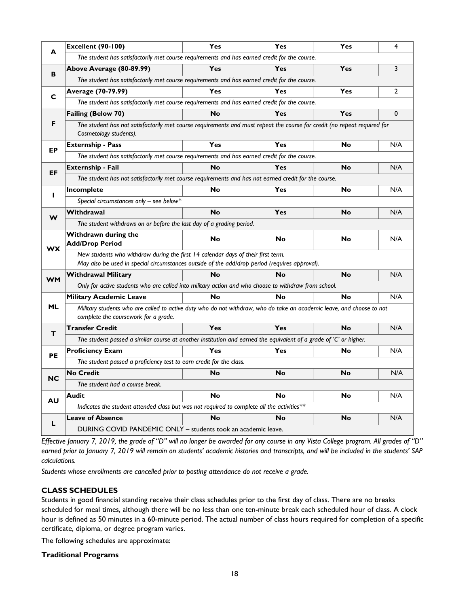|           | <b>Excellent (90-100)</b>                                                                                                                                                         | Yes                                                                                          | Yes       | Yes       | 4              |  |  |  |  |  |  |
|-----------|-----------------------------------------------------------------------------------------------------------------------------------------------------------------------------------|----------------------------------------------------------------------------------------------|-----------|-----------|----------------|--|--|--|--|--|--|
| A         | The student has satisfactorily met course requirements and has earned credit for the course.                                                                                      |                                                                                              |           |           |                |  |  |  |  |  |  |
| в         | Above Average (80-89.99)                                                                                                                                                          | Yes                                                                                          | Yes       | Yes       | 3              |  |  |  |  |  |  |
|           | The student has satisfactorily met course requirements and has earned credit for the course.                                                                                      |                                                                                              |           |           |                |  |  |  |  |  |  |
| C         | Average (70-79.99)                                                                                                                                                                | Yes                                                                                          | Yes       | Yes       | $\overline{2}$ |  |  |  |  |  |  |
|           |                                                                                                                                                                                   | The student has satisfactorily met course requirements and has earned credit for the course. |           |           |                |  |  |  |  |  |  |
|           | <b>Failing (Below 70)</b>                                                                                                                                                         | <b>No</b>                                                                                    | Yes       | Yes       | 0              |  |  |  |  |  |  |
| F         | The student has not satisfactorily met course requirements and must repeat the course for credit (no repeat required for<br>Cosmetology students).                                |                                                                                              |           |           |                |  |  |  |  |  |  |
| EP        | <b>Externship - Pass</b>                                                                                                                                                          | Yes                                                                                          | Yes       | No        | N/A            |  |  |  |  |  |  |
|           | The student has satisfactorily met course requirements and has earned credit for the course.                                                                                      |                                                                                              |           |           |                |  |  |  |  |  |  |
| EF        | <b>Externship - Fail</b>                                                                                                                                                          | <b>No</b>                                                                                    | Yes       | <b>No</b> | N/A            |  |  |  |  |  |  |
|           | The student has not satisfactorily met course requirements and has not earned credit for the course.                                                                              |                                                                                              |           |           |                |  |  |  |  |  |  |
| п         | Incomplete                                                                                                                                                                        | No                                                                                           | Yes       | No        | N/A            |  |  |  |  |  |  |
|           | Special circumstances only - see below*                                                                                                                                           |                                                                                              |           |           |                |  |  |  |  |  |  |
| W         | Withdrawal                                                                                                                                                                        | <b>No</b>                                                                                    | Yes       | No        | N/A            |  |  |  |  |  |  |
|           | The student withdraws on or before the last day of a grading period.                                                                                                              |                                                                                              |           |           |                |  |  |  |  |  |  |
| <b>WX</b> | Withdrawn during the<br><b>Add/Drop Period</b>                                                                                                                                    | No                                                                                           | <b>No</b> | <b>No</b> | N/A            |  |  |  |  |  |  |
|           | New students who withdraw during the first 14 calendar days of their first term.<br>May also be used in special circumstances outside of the add/drop period (requires approval). |                                                                                              |           |           |                |  |  |  |  |  |  |
|           | <b>Withdrawal Military</b>                                                                                                                                                        | <b>No</b>                                                                                    | <b>No</b> | No        | N/A            |  |  |  |  |  |  |
| <b>WM</b> | Only for active students who are called into military action and who choose to withdraw from school.                                                                              |                                                                                              |           |           |                |  |  |  |  |  |  |
|           | <b>Military Academic Leave</b>                                                                                                                                                    | No                                                                                           | <b>No</b> | No        | N/A            |  |  |  |  |  |  |
| <b>ML</b> | Military students who are called to active duty who do not withdraw, who do take an academic leave, and choose to not<br>complete the coursework for a grade.                     |                                                                                              |           |           |                |  |  |  |  |  |  |
| т         | <b>Transfer Credit</b>                                                                                                                                                            | Yes                                                                                          | Yes       | <b>No</b> | N/A            |  |  |  |  |  |  |
|           | The student passed a similar course at another institution and earned the equivalent of a grade of 'C' or higher.                                                                 |                                                                                              |           |           |                |  |  |  |  |  |  |
| <b>PE</b> | <b>Proficiency Exam</b>                                                                                                                                                           | Yes                                                                                          | Yes       | No        | N/A            |  |  |  |  |  |  |
|           | The student passed a proficiency test to earn credit for the class.                                                                                                               |                                                                                              |           |           |                |  |  |  |  |  |  |
| <b>NC</b> | <b>No Credit</b>                                                                                                                                                                  | <b>No</b>                                                                                    | <b>No</b> | <b>No</b> | N/A            |  |  |  |  |  |  |
|           | The student had a course break.                                                                                                                                                   |                                                                                              |           |           |                |  |  |  |  |  |  |
| AU        | <b>Audit</b>                                                                                                                                                                      | <b>No</b>                                                                                    | No        | No        | N/A            |  |  |  |  |  |  |
|           | Indicates the student attended class but was not required to complete all the activities**                                                                                        |                                                                                              |           |           |                |  |  |  |  |  |  |
| L         | <b>Leave of Absence</b>                                                                                                                                                           | <b>No</b>                                                                                    | No        | No        | N/A            |  |  |  |  |  |  |
|           | DURING COVID PANDEMIC ONLY - students took an academic leave.                                                                                                                     |                                                                                              |           |           |                |  |  |  |  |  |  |

*Effective January 7, 2019, the grade of "D" will no longer be awarded for any course in any Vista College program. All grades of "D" earned prior to January 7, 2019 will remain on students' academic histories and transcripts, and will be included in the students' SAP calculations.* 

*Students whose enrollments are cancelled prior to posting attendance do not receive a grade.* 

## **CLASS SCHEDULES**

Students in good financial standing receive their class schedules prior to the first day of class. There are no breaks scheduled for meal times, although there will be no less than one ten-minute break each scheduled hour of class. A clock hour is defined as 50 minutes in a 60-minute period. The actual number of class hours required for completion of a specific certificate, diploma, or degree program varies.

The following schedules are approximate:

#### **Traditional Programs**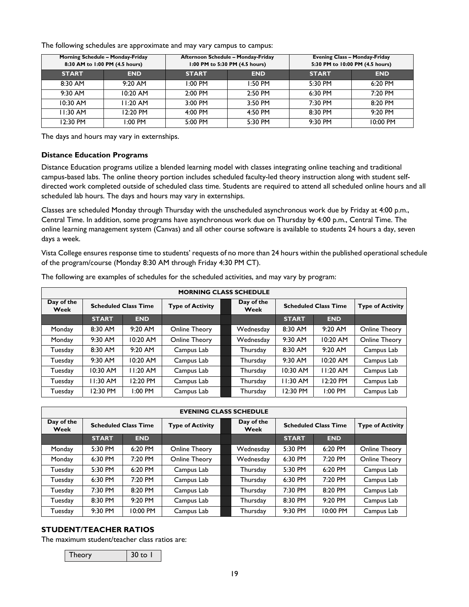The following schedules are approximate and may vary campus to campus:

| Morning Schedule - Monday-Friday<br>8:30 AM to 1:00 PM (4.5 hours) |            |              | Afternoon Schedule - Monday-Friday<br>1:00 PM to 5:30 PM (4.5 hours) | <b>Evening Class - Monday-Friday</b><br>5:30 PM to 10:00 PM (4.5 hours) |            |  |
|--------------------------------------------------------------------|------------|--------------|----------------------------------------------------------------------|-------------------------------------------------------------------------|------------|--|
| <b>START</b>                                                       | <b>END</b> | <b>START</b> | <b>END</b>                                                           | <b>START</b>                                                            | <b>END</b> |  |
| 8:30 AM                                                            | $9:20$ AM  | $1:00$ PM    | 1:50 PM                                                              | 5:30 PM                                                                 | 6:20 PM    |  |
| $9:30$ AM                                                          | $10:20$ AM | $2:00$ PM    | 2:50 PM                                                              | 6:30 PM                                                                 | $7:20$ PM  |  |
| $10:30$ AM                                                         | $1:20$ AM  | 3:00 PM      | 3:50 PM                                                              | 7:30 PM                                                                 | $8:20$ PM  |  |
| $11:30$ AM                                                         | 12:20 PM   | 4:00 PM      | 4:50 PM                                                              | 8:30 PM                                                                 | $9:20$ PM  |  |
| 12:30 PM                                                           | $1:00$ PM  | 5:00 PM      | 5:30 PM                                                              | $9:30$ PM                                                               | 10:00 PM   |  |

The days and hours may vary in externships.

#### **Distance Education Programs**

Distance Education programs utilize a blended learning model with classes integrating online teaching and traditional campus-based labs. The online theory portion includes scheduled faculty-led theory instruction along with student selfdirected work completed outside of scheduled class time. Students are required to attend all scheduled online hours and all scheduled lab hours. The days and hours may vary in externships.

Classes are scheduled Monday through Thursday with the unscheduled asynchronous work due by Friday at 4:00 p.m., Central Time. In addition, some programs have asynchronous work due on Thursday by 4:00 p.m., Central Time. The online learning management system (Canvas) and all other course software is available to students 24 hours a day, seven days a week.

Vista College ensures response time to students' requests of no more than 24 hours within the published operational schedule of the program/course (Monday 8:30 AM through Friday 4:30 PM CT).

| <b>MORNING CLASS SCHEDULE</b> |                             |            |                         |  |                    |                             |            |                         |
|-------------------------------|-----------------------------|------------|-------------------------|--|--------------------|-----------------------------|------------|-------------------------|
| Day of the<br>Week            | <b>Scheduled Class Time</b> |            | <b>Type of Activity</b> |  | Day of the<br>Week | <b>Scheduled Class Time</b> |            | <b>Type of Activity</b> |
|                               | <b>START</b>                | <b>END</b> |                         |  |                    | <b>START</b>                | <b>END</b> |                         |
| Monday                        | 8:30 AM                     | 9:20 AM    | Online Theory           |  | Wednesday          | 8:30 AM                     | 9:20 AM    | Online Theory           |
| Monday                        | 9:30 AM                     | 10:20 AM   | Online Theory           |  | Wednesday          | 9:30 AM                     | 10:20 AM   | Online Theory           |
| Tuesday                       | 8:30 AM                     | 9:20 AM    | Campus Lab              |  | Thursday           | 8:30 AM                     | 9:20 AM    | Campus Lab              |
| Tuesday                       | 9:30 AM                     | 10:20 AM   | Campus Lab              |  | Thursday           | 9:30 AM                     | 10:20 AM   | Campus Lab              |
| Tuesday                       | 10:30 AM                    | $11:20$ AM | Campus Lab              |  | Thursday           | 10:30 AM                    | 11:20 AM   | Campus Lab              |
| Tuesday                       | $1:30$ AM                   | 12:20 PM   | Campus Lab              |  | Thursday           | 11:30 AM                    | 12:20 PM   | Campus Lab              |
| Tuesday                       | 12:30 PM                    | $1:00$ PM  | Campus Lab              |  | Thursday           | 12:30 PM                    | 1:00 PM    | Campus Lab              |

The following are examples of schedules for the scheduled activities, and may vary by program:

| <b>EVENING CLASS SCHEDULE</b> |              |                             |                         |  |                    |              |                             |                         |
|-------------------------------|--------------|-----------------------------|-------------------------|--|--------------------|--------------|-----------------------------|-------------------------|
| Day of the<br>Week            |              | <b>Scheduled Class Time</b> | <b>Type of Activity</b> |  | Day of the<br>Week |              | <b>Scheduled Class Time</b> | <b>Type of Activity</b> |
|                               | <b>START</b> | <b>END</b>                  |                         |  |                    | <b>START</b> | <b>END</b>                  |                         |
| Monday                        | 5:30 PM      | $6:20$ PM                   | Online Theory           |  | Wednesday          | 5:30 PM      | $6:20$ PM                   | <b>Online Theory</b>    |
| Monday                        | 6:30 PM      | 7:20 PM                     | Online Theory           |  | Wednesday          | 6:30 PM      | 7:20 PM                     | Online Theory           |
| Tuesday                       | 5:30 PM      | 6:20 PM                     | Campus Lab              |  | Thursday           | 5:30 PM      | 6:20 PM                     | Campus Lab              |
| Tuesday                       | 6:30 PM      | 7:20 PM                     | Campus Lab              |  | Thursday           | 6:30 PM      | 7:20 PM                     | Campus Lab              |
| Tuesday                       | 7:30 PM      | 8:20 PM                     | Campus Lab              |  | Thursday           | 7:30 PM      | 8:20 PM                     | Campus Lab              |
| Tuesday                       | 8:30 PM      | 9:20 PM                     | Campus Lab              |  | Thursday           | 8:30 PM      | 9:20 PM                     | Campus Lab              |
| Tuesday                       | 9:30 PM      | 10:00 PM                    | Campus Lab              |  | Thursday           | 9:30 PM      | 10:00 PM                    | Campus Lab              |

## **STUDENT/TEACHER RATIOS**

The maximum student/teacher class ratios are:

Theory 30 to 1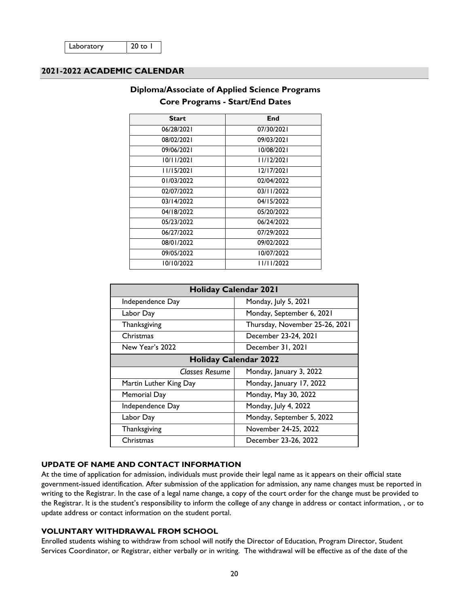## **2021-2022 ACADEMIC CALENDAR**

|              | $201C + 10g$ and $20u$ can $u = 100$ Dates |
|--------------|--------------------------------------------|
| <b>Start</b> | End                                        |
| 06/28/2021   | 07/30/2021                                 |
| 08/02/2021   | 09/03/2021                                 |
| 09/06/2021   | 10/08/2021                                 |
| 10/11/2021   | 11/12/2021                                 |
| 11/15/2021   | 12/17/2021                                 |
| 01/03/2022   | 02/04/2022                                 |
| 02/07/2022   | 03/11/2022                                 |
| 03/14/2022   | 04/15/2022                                 |
| 04/18/2022   | 05/20/2022                                 |
| 05/23/2022   | 06/24/2022                                 |
| 06/27/2022   | 07/29/2022                                 |
| 08/01/2022   | 09/02/2022                                 |
| 09/05/2022   | 10/07/2022                                 |
| 10/10/2022   | 11/11/2022                                 |
|              |                                            |

## **Diploma/Associate of Applied Science Programs Core Programs - Start/End Dates**

| <b>Holiday Calendar 2021</b> |                                |  |
|------------------------------|--------------------------------|--|
| Independence Day             | Monday, July 5, 2021           |  |
| Labor Day                    | Monday, September 6, 2021      |  |
| Thanksgiving                 | Thursday, November 25-26, 2021 |  |
| Christmas                    | December 23-24, 2021           |  |
| New Year's 2022              | December 31, 2021              |  |
|                              | <b>Holiday Calendar 2022</b>   |  |
| <b>Classes Resume</b>        | Monday, January 3, 2022        |  |
| Martin Luther King Day       | Monday, January 17, 2022       |  |
| Memorial Day                 | Monday, May 30, 2022           |  |
| Independence Day             | Monday, July 4, 2022           |  |
| Labor Day                    | Monday, September 5, 2022      |  |
| Thanksgiving                 | November 24-25, 2022           |  |
| Christmas                    | December 23-26, 2022           |  |

## **UPDATE OF NAME AND CONTACT INFORMATION**

At the time of application for admission, individuals must provide their legal name as it appears on their official state government-issued identification. After submission of the application for admission, any name changes must be reported in writing to the Registrar. In the case of a legal name change, a copy of the court order for the change must be provided to the Registrar. It is the student's responsibility to inform the college of any change in address or contact information, , or to update address or contact information on the student portal.

## **VOLUNTARY WITHDRAWAL FROM SCHOOL**

Enrolled students wishing to withdraw from school will notify the Director of Education, Program Director, Student Services Coordinator, or Registrar, either verbally or in writing. The withdrawal will be effective as of the date of the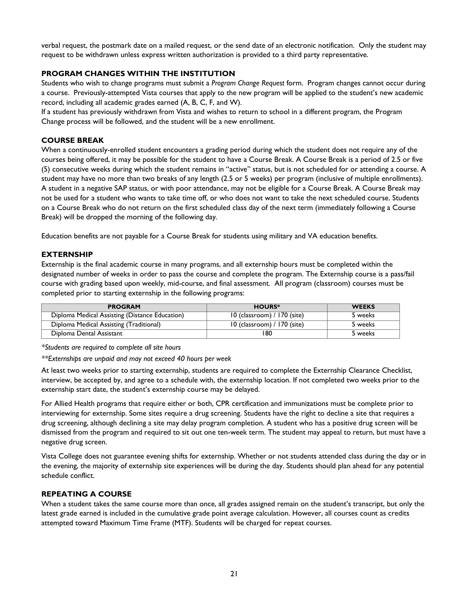verbal request, the postmark date on a mailed request, or the send date of an electronic notification. Only the student may request to be withdrawn unless express written authorization is provided to a third party representative.

## **PROGRAM CHANGES WITHIN THE INSTITUTION**

Students who wish to change programs must submit a *Program Change Request* form. Program changes cannot occur during a course. Previously-attempted Vista courses that apply to the new program will be applied to the student's new academic record, including all academic grades earned (A, B, C, F, and W).

If a student has previously withdrawn from Vista and wishes to return to school in a different program, the Program Change process will be followed, and the student will be a new enrollment.

#### **COURSE BREAK**

When a continuously-enrolled student encounters a grading period during which the student does not require any of the courses being offered, it may be possible for the student to have a Course Break. A Course Break is a period of 2.5 or five (5) consecutive weeks during which the student remains in "active" status, but is not scheduled for or attending a course. A student may have no more than two breaks of any length (2.5 or 5 weeks) per program (inclusive of multiple enrollments). A student in a negative SAP status, or with poor attendance, may not be eligible for a Course Break. A Course Break may not be used for a student who wants to take time off, or who does not want to take the next scheduled course. Students on a Course Break who do not return on the first scheduled class day of the next term (immediately following a Course Break) will be dropped the morning of the following day.

Education benefits are not payable for a Course Break for students using military and VA education benefits.

#### **EXTERNSHIP**

Externship is the final academic course in many programs, and all externship hours must be completed within the designated number of weeks in order to pass the course and complete the program. The Externship course is a pass/fail course with grading based upon weekly, mid-course, and final assessment. All program (classroom) courses must be completed prior to starting externship in the following programs:

| <b>PROGRAM</b>                                 | <b>HOURS*</b>                 | <b>WEEKS</b> |
|------------------------------------------------|-------------------------------|--------------|
| Diploma Medical Assisting (Distance Education) | 10 (classroom) / 170 (site)   | 5 weeks      |
| Diploma Medical Assisting (Traditional)        | $10$ (classroom) / 170 (site) | 5 weeks      |
| Diploma Dental Assistant                       | 180                           | 5 weeks      |

*\*Students are required to complete all site hours* 

*\*\*Externships are unpaid and may not exceed 40 hours per week* 

At least two weeks prior to starting externship, students are required to complete the Externship Clearance Checklist, interview, be accepted by, and agree to a schedule with, the externship location. If not completed two weeks prior to the externship start date, the student's externship course may be delayed.

For Allied Health programs that require either or both, CPR certification and immunizations must be complete prior to interviewing for externship. Some sites require a drug screening. Students have the right to decline a site that requires a drug screening, although declining a site may delay program completion. A student who has a positive drug screen will be dismissed from the program and required to sit out one ten-week term. The student may appeal to return, but must have a negative drug screen.

Vista College does not guarantee evening shifts for externship. Whether or not students attended class during the day or in the evening, the majority of externship site experiences will be during the day. Students should plan ahead for any potential schedule conflict.

## **REPEATING A COURSE**

When a student takes the same course more than once, all grades assigned remain on the student's transcript, but only the latest grade earned is included in the cumulative grade point average calculation. However, all courses count as credits attempted toward Maximum Time Frame (MTF). Students will be charged for repeat courses.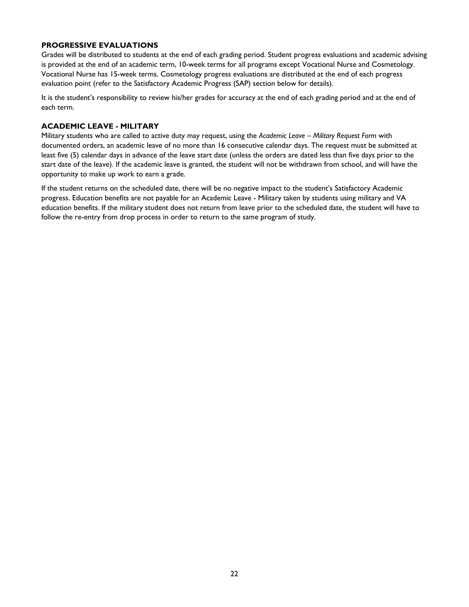#### **PROGRESSIVE EVALUATIONS**

Grades will be distributed to students at the end of each grading period. Student progress evaluations and academic advising is provided at the end of an academic term, 10-week terms for all programs except Vocational Nurse and Cosmetology. Vocational Nurse has 15-week terms. Cosmetology progress evaluations are distributed at the end of each progress evaluation point (refer to the Satisfactory Academic Progress (SAP) section below for details).

It is the student's responsibility to review his/her grades for accuracy at the end of each grading period and at the end of each term.

## **ACADEMIC LEAVE - MILITARY**

Military students who are called to active duty may request, using the *Academic Leave – Military Request Form* with documented orders, an academic leave of no more than 16 consecutive calendar days. The request must be submitted at least five (5) calendar days in advance of the leave start date (unless the orders are dated less than five days prior to the start date of the leave). If the academic leave is granted, the student will not be withdrawn from school, and will have the opportunity to make up work to earn a grade.

If the student returns on the scheduled date, there will be no negative impact to the student's Satisfactory Academic progress. Education benefits are not payable for an Academic Leave - Military taken by students using military and VA education benefits. If the military student does not return from leave prior to the scheduled date, the student will have to follow the re-entry from drop process in order to return to the same program of study.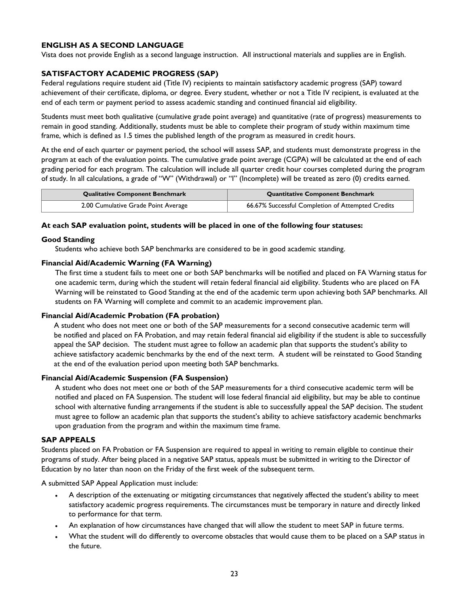## **ENGLISH AS A SECOND LANGUAGE**

Vista does not provide English as a second language instruction. All instructional materials and supplies are in English.

#### **SATISFACTORY ACADEMIC PROGRESS (SAP)**

Federal regulations require student aid (Title IV) recipients to maintain satisfactory academic progress (SAP) toward achievement of their certificate, diploma, or degree. Every student, whether or not a Title IV recipient, is evaluated at the end of each term or payment period to assess academic standing and continued financial aid eligibility.

Students must meet both qualitative (cumulative grade point average) and quantitative (rate of progress) measurements to remain in good standing. Additionally, students must be able to complete their program of study within maximum time frame, which is defined as 1.5 times the published length of the program as measured in credit hours.

At the end of each quarter or payment period, the school will assess SAP, and students must demonstrate progress in the program at each of the evaluation points. The cumulative grade point average (CGPA) will be calculated at the end of each grading period for each program. The calculation will include all quarter credit hour courses completed during the program of study. In all calculations, a grade of "W" (Withdrawal) or "I" (Incomplete) will be treated as zero (0) credits earned.

| <b>Qualitative Component Benchmark</b> | <b>Quantitative Component Benchmark</b>           |  |
|----------------------------------------|---------------------------------------------------|--|
| 2.00 Cumulative Grade Point Average    | 66.67% Successful Completion of Attempted Credits |  |

#### **At each SAP evaluation point, students will be placed in one of the following four statuses:**

#### **Good Standing**

Students who achieve both SAP benchmarks are considered to be in good academic standing.

#### **Financial Aid/Academic Warning (FA Warning)**

The first time a student fails to meet one or both SAP benchmarks will be notified and placed on FA Warning status for one academic term, during which the student will retain federal financial aid eligibility. Students who are placed on FA Warning will be reinstated to Good Standing at the end of the academic term upon achieving both SAP benchmarks. All students on FA Warning will complete and commit to an academic improvement plan.

#### **Financial Aid/Academic Probation (FA probation)**

A student who does not meet one or both of the SAP measurements for a second consecutive academic term will be notified and placed on FA Probation, and may retain federal financial aid eligibility if the student is able to successfully appeal the SAP decision. The student must agree to follow an academic plan that supports the student's ability to achieve satisfactory academic benchmarks by the end of the next term. A student will be reinstated to Good Standing at the end of the evaluation period upon meeting both SAP benchmarks.

#### **Financial Aid/Academic Suspension (FA Suspension)**

A student who does not meet one or both of the SAP measurements for a third consecutive academic term will be notified and placed on FA Suspension. The student will lose federal financial aid eligibility, but may be able to continue school with alternative funding arrangements if the student is able to successfully appeal the SAP decision. The student must agree to follow an academic plan that supports the student's ability to achieve satisfactory academic benchmarks upon graduation from the program and within the maximum time frame.

#### **SAP APPEALS**

Students placed on FA Probation or FA Suspension are required to appeal in writing to remain eligible to continue their programs of study. After being placed in a negative SAP status, appeals must be submitted in writing to the Director of Education by no later than noon on the Friday of the first week of the subsequent term.

A submitted SAP Appeal Application must include:

- A description of the extenuating or mitigating circumstances that negatively affected the student's ability to meet satisfactory academic progress requirements. The circumstances must be temporary in nature and directly linked to performance for that term.
- An explanation of how circumstances have changed that will allow the student to meet SAP in future terms.
- What the student will do differently to overcome obstacles that would cause them to be placed on a SAP status in the future.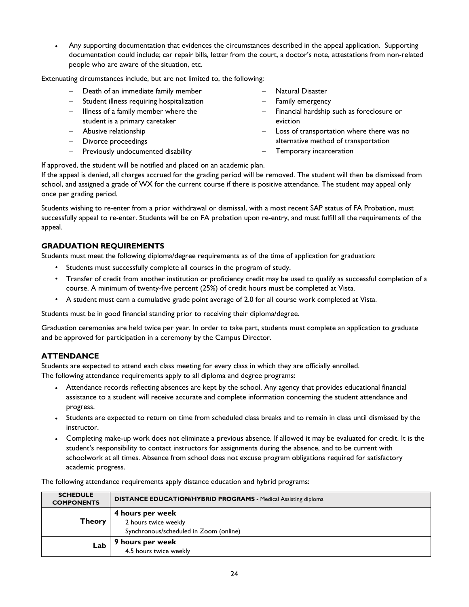Any supporting documentation that evidences the circumstances described in the appeal application. Supporting documentation could include; car repair bills, letter from the court, a doctor's note, attestations from non-related people who are aware of the situation, etc.

Extenuating circumstances include, but are not limited to, the following:

- Death of an immediate family member
- Student illness requiring hospitalization
- $-$  Illness of a family member where the student is a primary caretaker
- Abusive relationship
- Divorce proceedings
- Previously undocumented disability
- Natural Disaster
- Family emergency
- $-$  Financial hardship such as foreclosure or eviction
- Loss of transportation where there was no alternative method of transportation
	- Temporary incarceration

If approved, the student will be notified and placed on an academic plan.

If the appeal is denied, all charges accrued for the grading period will be removed. The student will then be dismissed from school, and assigned a grade of WX for the current course if there is positive attendance. The student may appeal only once per grading period.

Students wishing to re-enter from a prior withdrawal or dismissal, with a most recent SAP status of FA Probation, must successfully appeal to re-enter. Students will be on FA probation upon re-entry, and must fulfill all the requirements of the appeal.

## **GRADUATION REQUIREMENTS**

Students must meet the following diploma/degree requirements as of the time of application for graduation:

- Students must successfully complete all courses in the program of study.
- Transfer of credit from another institution or proficiency credit may be used to qualify as successful completion of a course. A minimum of twenty-five percent (25%) of credit hours must be completed at Vista.
- A student must earn a cumulative grade point average of 2.0 for all course work completed at Vista.

Students must be in good financial standing prior to receiving their diploma/degree.

Graduation ceremonies are held twice per year. In order to take part, students must complete an application to graduate and be approved for participation in a ceremony by the Campus Director.

## **ATTENDANCE**

Students are expected to attend each class meeting for every class in which they are officially enrolled. The following attendance requirements apply to all diploma and degree programs:

- Attendance records reflecting absences are kept by the school. Any agency that provides educational financial assistance to a student will receive accurate and complete information concerning the student attendance and progress.
- Students are expected to return on time from scheduled class breaks and to remain in class until dismissed by the instructor.
- Completing make-up work does not eliminate a previous absence. If allowed it may be evaluated for credit. It is the student's responsibility to contact instructors for assignments during the absence, and to be current with schoolwork at all times. Absence from school does not excuse program obligations required for satisfactory academic progress.

The following attendance requirements apply distance education and hybrid programs:

| <b>SCHEDULE</b><br><b>COMPONENTS</b> | <b>DISTANCE EDUCATION/HYBRID PROGRAMS - Medical Assisting diploma</b>              |
|--------------------------------------|------------------------------------------------------------------------------------|
| <b>Theory</b>                        | 4 hours per week<br>2 hours twice weekly<br>Synchronous/scheduled in Zoom (online) |
| Lab                                  | 9 hours per week<br>4.5 hours twice weekly                                         |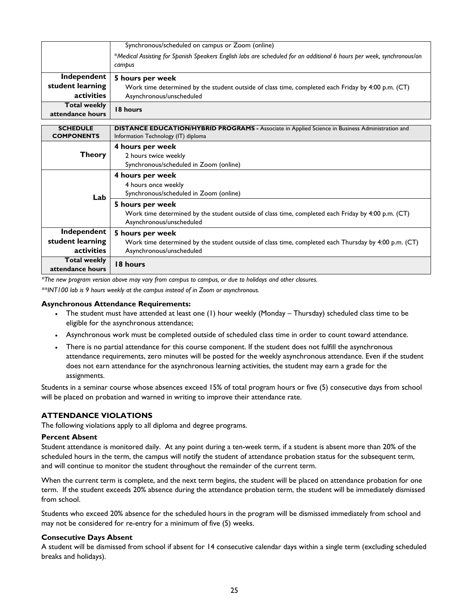|                                         | Synchronous/scheduled on campus or Zoom (online)                                                                                |
|-----------------------------------------|---------------------------------------------------------------------------------------------------------------------------------|
|                                         | *Medical Assisting for Spanish Speakers English labs are scheduled for an additional 6 hours per week, synchronous/on<br>cambus |
| Independent<br>student learning         | 5 hours per week                                                                                                                |
| activities                              | Work time determined by the student outside of class time, completed each Friday by 4:00 p.m. (CT)<br>Asynchronous/unscheduled  |
| <b>Total weekly</b><br>attendance hours | 18 hours                                                                                                                        |

| <b>SCHEDULE</b><br><b>COMPONENTS</b>                                              | <b>DISTANCE EDUCATION/HYBRID PROGRAMS - Associate in Applied Science in Business Administration and</b><br>Information Technology (IT) diploma                                                                                          |
|-----------------------------------------------------------------------------------|-----------------------------------------------------------------------------------------------------------------------------------------------------------------------------------------------------------------------------------------|
| <b>Theory</b>                                                                     | 4 hours per week<br>2 hours twice weekly<br>Synchronous/scheduled in Zoom (online)                                                                                                                                                      |
| Lab                                                                               | 4 hours per week<br>4 hours once weekly<br>Synchronous/scheduled in Zoom (online)<br>5 hours per week<br>Work time determined by the student outside of class time, completed each Friday by 4:00 p.m. (CT)<br>Asynchronous/unscheduled |
| Independent<br>student learning<br>activities<br>Total weekly<br>attendance hours | 5 hours per week<br>Work time determined by the student outside of class time, completed each Thursday by 4:00 p.m. (CT)<br>Asynchronous/unscheduled<br>18 hours                                                                        |

*\*The new program version above may vary from campus to campus, or due to holidays and other closures.* 

*\*\*INT100 lab is 9 hours weekly at the campus instead of in Zoom or asynchronous.*

#### **Asynchronous Attendance Requirements:**

- The student must have attended at least one (1) hour weekly (Monday Thursday) scheduled class time to be eligible for the asynchronous attendance;
- Asynchronous work must be completed outside of scheduled class time in order to count toward attendance.
- There is no partial attendance for this course component. If the student does not fulfill the asynchronous attendance requirements, zero minutes will be posted for the weekly asynchronous attendance. Even if the student does not earn attendance for the asynchronous learning activities, the student may earn a grade for the assignments.

Students in a seminar course whose absences exceed 15% of total program hours or five (5) consecutive days from school will be placed on probation and warned in writing to improve their attendance rate.

#### **ATTENDANCE VIOLATIONS**

The following violations apply to all diploma and degree programs.

#### **Percent Absent**

Student attendance is monitored daily. At any point during a ten-week term, if a student is absent more than 20% of the scheduled hours in the term, the campus will notify the student of attendance probation status for the subsequent term, and will continue to monitor the student throughout the remainder of the current term.

When the current term is complete, and the next term begins, the student will be placed on attendance probation for one term. If the student exceeds 20% absence during the attendance probation term, the student will be immediately dismissed from school.

Students who exceed 20% absence for the scheduled hours in the program will be dismissed immediately from school and may not be considered for re-entry for a minimum of five (5) weeks.

#### **Consecutive Days Absent**

A student will be dismissed from school if absent for 14 consecutive calendar days within a single term (excluding scheduled breaks and holidays).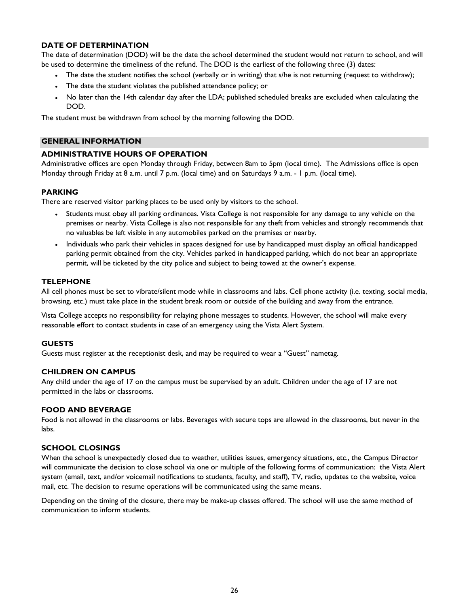### **DATE OF DETERMINATION**

The date of determination (DOD) will be the date the school determined the student would not return to school, and will be used to determine the timeliness of the refund. The DOD is the earliest of the following three (3) dates:

- The date the student notifies the school (verbally or in writing) that s/he is not returning (request to withdraw);
- The date the student violates the published attendance policy; or
- No later than the 14th calendar day after the LDA; published scheduled breaks are excluded when calculating the DOD.

The student must be withdrawn from school by the morning following the DOD.

#### **GENERAL INFORMATION**

#### **ADMINISTRATIVE HOURS OF OPERATION**

Administrative offices are open Monday through Friday, between 8am to 5pm (local time). The Admissions office is open Monday through Friday at 8 a.m. until 7 p.m. (local time) and on Saturdays 9 a.m. - 1 p.m. (local time).

#### **PARKING**

There are reserved visitor parking places to be used only by visitors to the school.

- Students must obey all parking ordinances. Vista College is not responsible for any damage to any vehicle on the premises or nearby. Vista College is also not responsible for any theft from vehicles and strongly recommends that no valuables be left visible in any automobiles parked on the premises or nearby.
- Individuals who park their vehicles in spaces designed for use by handicapped must display an official handicapped parking permit obtained from the city. Vehicles parked in handicapped parking, which do not bear an appropriate permit, will be ticketed by the city police and subject to being towed at the owner's expense.

#### **TELEPHONE**

All cell phones must be set to vibrate/silent mode while in classrooms and labs. Cell phone activity (i.e. texting, social media, browsing, etc.) must take place in the student break room or outside of the building and away from the entrance.

Vista College accepts no responsibility for relaying phone messages to students. However, the school will make every reasonable effort to contact students in case of an emergency using the Vista Alert System.

#### **GUESTS**

Guests must register at the receptionist desk, and may be required to wear a "Guest" nametag.

#### **CHILDREN ON CAMPUS**

Any child under the age of 17 on the campus must be supervised by an adult. Children under the age of 17 are not permitted in the labs or classrooms.

## **FOOD AND BEVERAGE**

Food is not allowed in the classrooms or labs. Beverages with secure tops are allowed in the classrooms, but never in the labs.

#### **SCHOOL CLOSINGS**

When the school is unexpectedly closed due to weather, utilities issues, emergency situations, etc., the Campus Director will communicate the decision to close school via one or multiple of the following forms of communication: the Vista Alert system (email, text, and/or voicemail notifications to students, faculty, and staff), TV, radio, updates to the website, voice mail, etc. The decision to resume operations will be communicated using the same means.

Depending on the timing of the closure, there may be make-up classes offered. The school will use the same method of communication to inform students.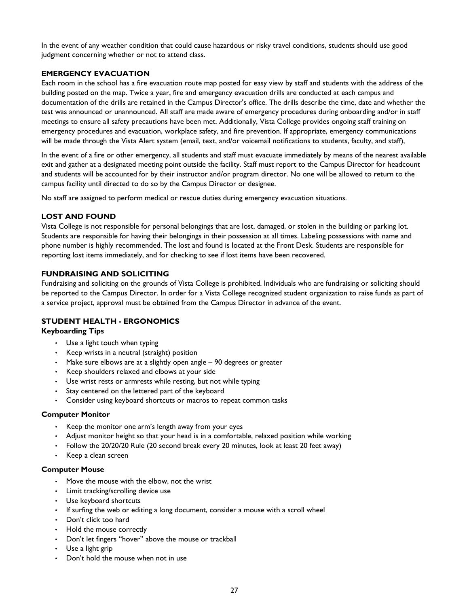In the event of any weather condition that could cause hazardous or risky travel conditions, students should use good judgment concerning whether or not to attend class.

## **EMERGENCY EVACUATION**

Each room in the school has a fire evacuation route map posted for easy view by staff and students with the address of the building posted on the map. Twice a year, fire and emergency evacuation drills are conducted at each campus and documentation of the drills are retained in the Campus Director's office. The drills describe the time, date and whether the test was announced or unannounced. All staff are made aware of emergency procedures during onboarding and/or in staff meetings to ensure all safety precautions have been met. Additionally, Vista College provides ongoing staff training on emergency procedures and evacuation, workplace safety, and fire prevention. If appropriate, emergency communications will be made through the Vista Alert system (email, text, and/or voicemail notifications to students, faculty, and staff),

In the event of a fire or other emergency, all students and staff must evacuate immediately by means of the nearest available exit and gather at a designated meeting point outside the facility. Staff must report to the Campus Director for headcount and students will be accounted for by their instructor and/or program director. No one will be allowed to return to the campus facility until directed to do so by the Campus Director or designee.

No staff are assigned to perform medical or rescue duties during emergency evacuation situations.

## **LOST AND FOUND**

Vista College is not responsible for personal belongings that are lost, damaged, or stolen in the building or parking lot. Students are responsible for having their belongings in their possession at all times. Labeling possessions with name and phone number is highly recommended. The lost and found is located at the Front Desk. Students are responsible for reporting lost items immediately, and for checking to see if lost items have been recovered.

## **FUNDRAISING AND SOLICITING**

Fundraising and soliciting on the grounds of Vista College is prohibited. Individuals who are fundraising or soliciting should be reported to the Campus Director. In order for a Vista College recognized student organization to raise funds as part of a service project, approval must be obtained from the Campus Director in advance of the event.

## **STUDENT HEALTH - ERGONOMICS**

#### **Keyboarding Tips**

- Use a light touch when typing
- Keep wrists in a neutral (straight) position
- Make sure elbows are at a slightly open angle 90 degrees or greater
- Keep shoulders relaxed and elbows at your side
- Use wrist rests or armrests while resting, but not while typing
- Stay centered on the lettered part of the keyboard
- Consider using keyboard shortcuts or macros to repeat common tasks

#### **Computer Monitor**

- Keep the monitor one arm's length away from your eyes
- Adjust monitor height so that your head is in a comfortable, relaxed position while working
- Follow the 20/20/20 Rule (20 second break every 20 minutes, look at least 20 feet away)
- Keep a clean screen

#### **Computer Mouse**

- Move the mouse with the elbow, not the wrist
- Limit tracking/scrolling device use
- Use keyboard shortcuts
- If surfing the web or editing a long document, consider a mouse with a scroll wheel
- Don't click too hard
- Hold the mouse correctly
- Don't let fingers "hover" above the mouse or trackball
- Use a light grip
- Don't hold the mouse when not in use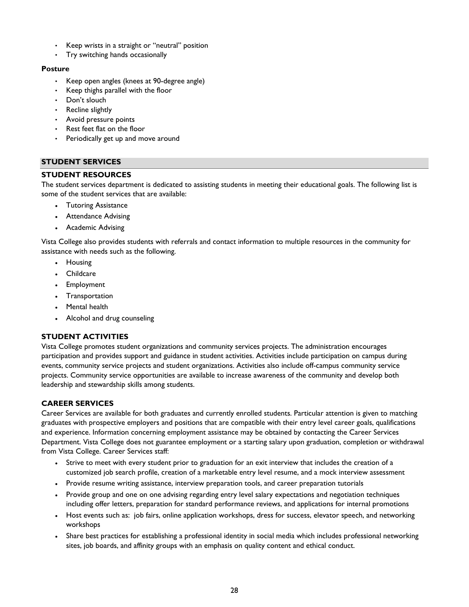- Keep wrists in a straight or "neutral" position
- Try switching hands occasionally

### **Posture**

- Keep open angles (knees at 90-degree angle)
- Keep thighs parallel with the floor
- Don't slouch
- Recline slightly
- Avoid pressure points
- Rest feet flat on the floor
- Periodically get up and move around

## **STUDENT SERVICES**

## **STUDENT RESOURCES**

The student services department is dedicated to assisting students in meeting their educational goals. The following list is some of the student services that are available:

- Tutoring Assistance
- Attendance Advising
- Academic Advising

Vista College also provides students with referrals and contact information to multiple resources in the community for assistance with needs such as the following.

- Housing
- **Childcare**
- Employment
- Transportation
- Mental health
- Alcohol and drug counseling

## **STUDENT ACTIVITIES**

Vista College promotes student organizations and community services projects. The administration encourages participation and provides support and guidance in student activities. Activities include participation on campus during events, community service projects and student organizations. Activities also include off-campus community service projects. Community service opportunities are available to increase awareness of the community and develop both leadership and stewardship skills among students.

## **CAREER SERVICES**

Career Services are available for both graduates and currently enrolled students. Particular attention is given to matching graduates with prospective employers and positions that are compatible with their entry level career goals, qualifications and experience. Information concerning employment assistance may be obtained by contacting the Career Services Department. Vista College does not guarantee employment or a starting salary upon graduation, completion or withdrawal from Vista College. Career Services staff:

- Strive to meet with every student prior to graduation for an exit interview that includes the creation of a customized job search profile, creation of a marketable entry level resume, and a mock interview assessment
- Provide resume writing assistance, interview preparation tools, and career preparation tutorials
- Provide group and one on one advising regarding entry level salary expectations and negotiation techniques including offer letters, preparation for standard performance reviews, and applications for internal promotions
- Host events such as: job fairs, online application workshops, dress for success, elevator speech, and networking workshops
- Share best practices for establishing a professional identity in social media which includes professional networking sites, job boards, and affinity groups with an emphasis on quality content and ethical conduct.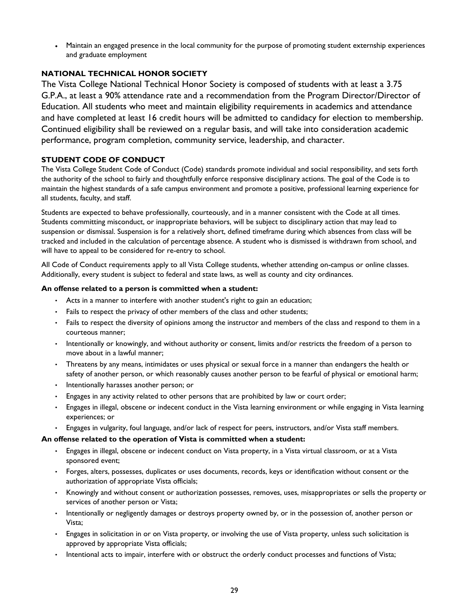Maintain an engaged presence in the local community for the purpose of promoting student externship experiences and graduate employment

## **NATIONAL TECHNICAL HONOR SOCIETY**

The Vista College National Technical Honor Society is composed of students with at least a 3.75 G.P.A., at least a 90% attendance rate and a recommendation from the Program Director/Director of Education. All students who meet and maintain eligibility requirements in academics and attendance and have completed at least 16 credit hours will be admitted to candidacy for election to membership. Continued eligibility shall be reviewed on a regular basis, and will take into consideration academic performance, program completion, community service, leadership, and character.

## **STUDENT CODE OF CONDUCT**

The Vista College Student Code of Conduct (Code) standards promote individual and social responsibility, and sets forth the authority of the school to fairly and thoughtfully enforce responsive disciplinary actions. The goal of the Code is to maintain the highest standards of a safe campus environment and promote a positive, professional learning experience for all students, faculty, and staff.

Students are expected to behave professionally, courteously, and in a manner consistent with the Code at all times. Students committing misconduct, or inappropriate behaviors, will be subject to disciplinary action that may lead to suspension or dismissal. Suspension is for a relatively short, defined timeframe during which absences from class will be tracked and included in the calculation of percentage absence. A student who is dismissed is withdrawn from school, and will have to appeal to be considered for re-entry to school.

All Code of Conduct requirements apply to all Vista College students, whether attending on-campus or online classes. Additionally, every student is subject to federal and state laws, as well as county and city ordinances.

## **An offense related to a person is committed when a student:**

- Acts in a manner to interfere with another student's right to gain an education;
- Fails to respect the privacy of other members of the class and other students;
- Fails to respect the diversity of opinions among the instructor and members of the class and respond to them in a courteous manner;
- Intentionally or knowingly, and without authority or consent, limits and/or restricts the freedom of a person to move about in a lawful manner;
- Threatens by any means, intimidates or uses physical or sexual force in a manner than endangers the health or safety of another person, or which reasonably causes another person to be fearful of physical or emotional harm;
- Intentionally harasses another person; or
- Engages in any activity related to other persons that are prohibited by law or court order;
- Engages in illegal, obscene or indecent conduct in the Vista learning environment or while engaging in Vista learning experiences; or
- Engages in vulgarity, foul language, and/or lack of respect for peers, instructors, and/or Vista staff members.

## **An offense related to the operation of Vista is committed when a student:**

- Engages in illegal, obscene or indecent conduct on Vista property, in a Vista virtual classroom, or at a Vista sponsored event;
- Forges, alters, possesses, duplicates or uses documents, records, keys or identification without consent or the authorization of appropriate Vista officials;
- Knowingly and without consent or authorization possesses, removes, uses, misappropriates or sells the property or services of another person or Vista;
- Intentionally or negligently damages or destroys property owned by, or in the possession of, another person or Vista;
- Engages in solicitation in or on Vista property, or involving the use of Vista property, unless such solicitation is approved by appropriate Vista officials;
- Intentional acts to impair, interfere with or obstruct the orderly conduct processes and functions of Vista;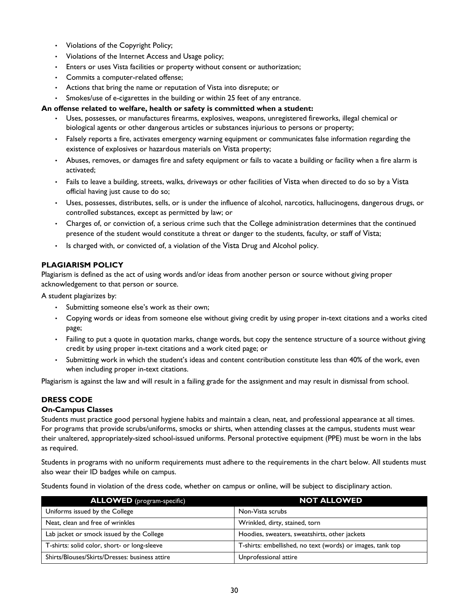- Violations of the Copyright Policy;
- Violations of the Internet Access and Usage policy;
- Enters or uses Vista facilities or property without consent or authorization;
- Commits a computer-related offense;
- Actions that bring the name or reputation of Vista into disrepute; or
- Smokes/use of e-cigarettes in the building or within 25 feet of any entrance.

#### **An offense related to welfare, health or safety is committed when a student:**

- Uses, possesses, or manufactures firearms, explosives, weapons, unregistered fireworks, illegal chemical or biological agents or other dangerous articles or substances injurious to persons or property;
- Falsely reports a fire, activates emergency warning equipment or communicates false information regarding the existence of explosives or hazardous materials on Vista property;
- Abuses, removes, or damages fire and safety equipment or fails to vacate a building or facility when a fire alarm is activated;
- Fails to leave a building, streets, walks, driveways or other facilities of Vista when directed to do so by a Vista official having just cause to do so;
- Uses, possesses, distributes, sells, or is under the influence of alcohol, narcotics, hallucinogens, dangerous drugs, or controlled substances, except as permitted by law; or
- Charges of, or conviction of, a serious crime such that the College administration determines that the continued presence of the student would constitute a threat or danger to the students, faculty, or staff of Vista;
- Is charged with, or convicted of, a violation of the Vista Drug and Alcohol policy.

## **PLAGIARISM POLICY**

Plagiarism is defined as the act of using words and/or ideas from another person or source without giving proper acknowledgement to that person or source.

A student plagiarizes by:

- Submitting someone else's work as their own;
- Copying words or ideas from someone else without giving credit by using proper in-text citations and a works cited page;
- Failing to put a quote in quotation marks, change words, but copy the sentence structure of a source without giving credit by using proper in-text citations and a work cited page; or
- Submitting work in which the student's ideas and content contribution constitute less than 40% of the work, even when including proper in-text citations.

Plagiarism is against the law and will result in a failing grade for the assignment and may result in dismissal from school.

## **DRESS CODE**

#### **On-Campus Classes**

Students must practice good personal hygiene habits and maintain a clean, neat, and professional appearance at all times. For programs that provide scrubs/uniforms, smocks or shirts, when attending classes at the campus, students must wear their unaltered, appropriately-sized school-issued uniforms. Personal protective equipment (PPE) must be worn in the labs as required.

Students in programs with no uniform requirements must adhere to the requirements in the chart below. All students must also wear their ID badges while on campus.

Students found in violation of the dress code, whether on campus or online, will be subject to disciplinary action.

| <b>ALLOWED</b> (program-specific)              | <b>NOT ALLOWED</b>                                         |
|------------------------------------------------|------------------------------------------------------------|
| Uniforms issued by the College                 | Non-Vista scrubs                                           |
| Neat, clean and free of wrinkles               | Wrinkled, dirty, stained, torn                             |
| Lab jacket or smock issued by the College      | Hoodies, sweaters, sweatshirts, other jackets              |
| T-shirts: solid color, short- or long-sleeve   | T-shirts: embellished, no text (words) or images, tank top |
| Shirts/Blouses/Skirts/Dresses: business attire | Unprofessional attire                                      |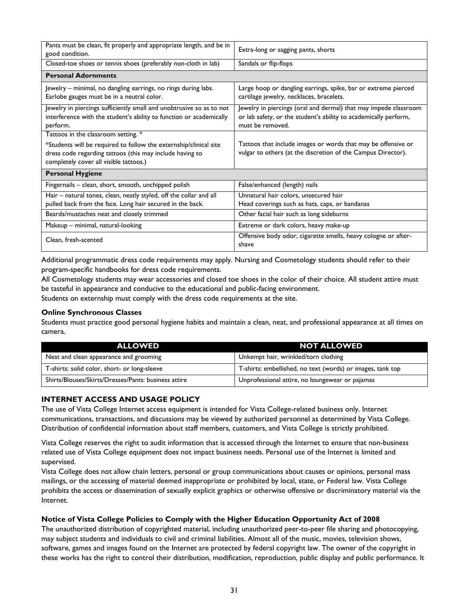| Pants must be clean, fit properly and appropriate length, and be in<br>good condition.                                                                                                                         | Extra-long or sagging pants, shorts                                                                                                                      |
|----------------------------------------------------------------------------------------------------------------------------------------------------------------------------------------------------------------|----------------------------------------------------------------------------------------------------------------------------------------------------------|
| Closed-toe shoes or tennis shoes (preferably non-cloth in lab)                                                                                                                                                 | Sandals or flip-flops                                                                                                                                    |
| <b>Personal Adornments</b>                                                                                                                                                                                     |                                                                                                                                                          |
| Jewelry – minimal, no dangling earrings, no rings during labs.<br>Earlobe gauges must be in a neutral color.                                                                                                   | Large hoop or dangling earrings, spike, bar or extreme pierced<br>cartilage jewelry, necklaces, bracelets.                                               |
| Jewelry in piercings sufficiently small and unobtrusive so as to not<br>interference with the student's ability to function or academically<br>perform.                                                        | Jewelry in piercings (oral and dermal) that may impede classroom<br>or lab safety, or the student's ability to academically perform,<br>must be removed. |
| Tattoos in the classroom setting. *<br>*Students will be required to follow the externship/clinical site<br>dress code regarding tattoos (this may include having to<br>completely cover all visible tattoos.) | Tattoos that include images or words that may be offensive or<br>vulgar to others (at the discretion of the Campus Director).                            |
| <b>Personal Hygiene</b>                                                                                                                                                                                        |                                                                                                                                                          |
| Fingernails - clean, short, smooth, unchipped polish                                                                                                                                                           | False/enhanced (length) nails                                                                                                                            |
| Hair - natural tones, clean, neatly styled, off the collar and all<br>pulled back from the face. Long hair secured in the back.                                                                                | Unnatural hair colors, unsecured hair<br>Head coverings such as hats, caps, or bandanas                                                                  |
| Beards/mustaches neat and closely trimmed                                                                                                                                                                      | Other facial hair such as long sideburns                                                                                                                 |
| Makeup - minimal, natural-looking                                                                                                                                                                              | Extreme or dark colors, heavy make-up                                                                                                                    |
| Clean, fresh-scented                                                                                                                                                                                           | Offensive body odor, cigarette smells, heavy cologne or after-<br>shave                                                                                  |

Additional programmatic dress code requirements may apply. Nursing and Cosmetology students should refer to their program-specific handbooks for dress code requirements.

All Cosmetology students may wear accessories and closed toe shoes in the color of their choice. All student attire must be tasteful in appearance and conducive to the educational and public-facing environment. Students on externship must comply with the dress code requirements at the site.

#### **Online Synchronous Classes**

Students must practice good personal hygiene habits and maintain a clean, neat, and professional appearance at all times on camera.

| <b>ALLOWED</b>                                       | NOT ALLOWED                                                |
|------------------------------------------------------|------------------------------------------------------------|
| Neat and clean appearance and grooming               | Unkempt hair, wrinkled/torn clothing                       |
| T-shirts: solid color, short- or long-sleeve         | T-shirts: embellished, no text (words) or images, tank top |
| Shirts/Blouses/Skirts/Dresses/Pants: business attire | Unprofessional attire, no loungewear or pajamas            |

## **INTERNET ACCESS AND USAGE POLICY**

The use of Vista College Internet access equipment is intended for Vista College-related business only. Internet communications, transactions, and discussions may be viewed by authorized personnel as determined by Vista College. Distribution of confidential information about staff members, customers, and Vista College is strictly prohibited.

Vista College reserves the right to audit information that is accessed through the Internet to ensure that non-business related use of Vista College equipment does not impact business needs. Personal use of the Internet is limited and supervised.

Vista College does not allow chain letters, personal or group communications about causes or opinions, personal mass mailings, or the accessing of material deemed inappropriate or prohibited by local, state, or Federal law. Vista College prohibits the access or dissemination of sexually explicit graphics or otherwise offensive or discriminatory material via the Internet.

#### **Notice of Vista College Policies to Comply with the Higher Education Opportunity Act of 2008**

The unauthorized distribution of copyrighted material, including unauthorized peer-to-peer file sharing and photocopying, may subject students and individuals to civil and criminal liabilities. Almost all of the music, movies, television shows, software, games and images found on the Internet are protected by federal copyright law. The owner of the copyright in these works has the right to control their distribution, modification, reproduction, public display and public performance. It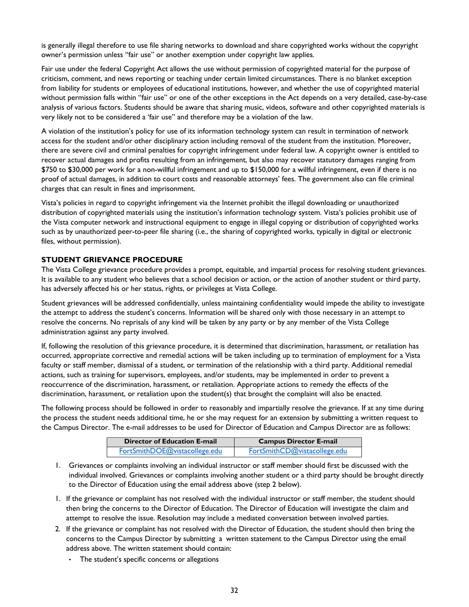is generally illegal therefore to use file sharing networks to download and share copyrighted works without the copyright owner's permission unless "fair use" or another exemption under copyright law applies.

Fair use under the federal Copyright Act allows the use without permission of copyrighted material for the purpose of criticism, comment, and news reporting or teaching under certain limited circumstances. There is no blanket exception from liability for students or employees of educational institutions, however, and whether the use of copyrighted material without permission falls within "fair use" or one of the other exceptions in the Act depends on a very detailed, case-by-case analysis of various factors. Students should be aware that sharing music, videos, software and other copyrighted materials is very likely not to be considered a 'fair use" and therefore may be a violation of the law.

A violation of the institution's policy for use of its information technology system can result in termination of network access for the student and/or other disciplinary action including removal of the student from the institution. Moreover, there are severe civil and criminal penalties for copyright infringement under federal law. A copyright owner is entitled to recover actual damages and profits resulting from an infringement, but also may recover statutory damages ranging from \$750 to \$30,000 per work for a non-willful infringement and up to \$150,000 for a willful infringement, even if there is no proof of actual damages, in addition to court costs and reasonable attorneys' fees. The government also can file criminal charges that can result in fines and imprisonment.

Vista's policies in regard to copyright infringement via the Internet prohibit the illegal downloading or unauthorized distribution of copyrighted materials using the institution's information technology system. Vista's policies prohibit use of the Vista computer network and instructional equipment to engage in illegal copying or distribution of copyrighted works such as by unauthorized peer-to-peer file sharing (i.e., the sharing of copyrighted works, typically in digital or electronic files, without permission).

#### **STUDENT GRIEVANCE PROCEDURE**

The Vista College grievance procedure provides a prompt, equitable, and impartial process for resolving student grievances. It is available to any student who believes that a school decision or action, or the action of another student or third party, has adversely affected his or her status, rights, or privileges at Vista College.

Student grievances will be addressed confidentially, unless maintaining confidentiality would impede the ability to investigate the attempt to address the student's concerns. Information will be shared only with those necessary in an attempt to resolve the concerns. No reprisals of any kind will be taken by any party or by any member of the Vista College administration against any party involved.

If, following the resolution of this grievance procedure, it is determined that discrimination, harassment, or retaliation has occurred, appropriate corrective and remedial actions will be taken including up to termination of employment for a Vista faculty or staff member, dismissal of a student, or termination of the relationship with a third party. Additional remedial actions, such as training for supervisors, employees, and/or students, may be implemented in order to prevent a reoccurrence of the discrimination, harassment, or retaliation. Appropriate actions to remedy the effects of the discrimination, harassment, or retaliation upon the student(s) that brought the complaint will also be enacted.

The following process should be followed in order to reasonably and impartially resolve the grievance. If at any time during the process the student needs additional time, he or she may request for an extension by submitting a written request to the Campus Director. The e-mail addresses to be used for Director of Education and Campus Director are as follows:

| Director of Education E-mail  | <b>Campus Director E-mail</b> |
|-------------------------------|-------------------------------|
| FortSmithDOE@vistacollege.edu | FortSmithCD@vistacollege.edu  |

- 1. Grievances or complaints involving an individual instructor or staff member should first be discussed with the individual involved. Grievances or complaints involving another student or a third party should be brought directly to the Director of Education using the email address above (step 2 below).
- 1. If the grievance or complaint has not resolved with the individual instructor or staff member, the student should then bring the concerns to the Director of Education. The Director of Education will investigate the claim and attempt to resolve the issue. Resolution may include a mediated conversation between involved parties.
- 2. If the grievance or complaint has not resolved with the Director of Education, the student should then bring the concerns to the Campus Director by submitting a written statement to the Campus Director using the email address above. The written statement should contain:
	- The student's specific concerns or allegations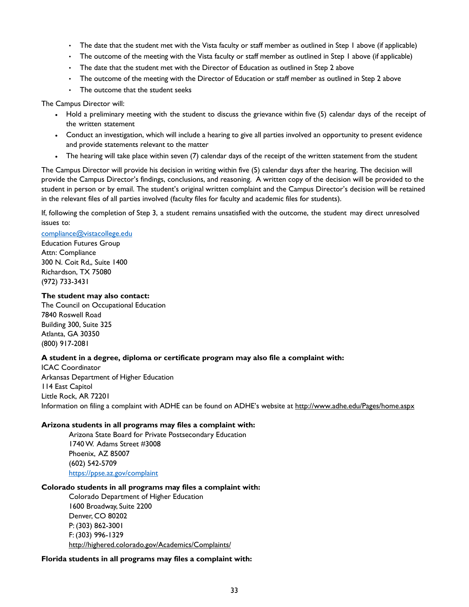- The date that the student met with the Vista faculty or staff member as outlined in Step 1 above (if applicable)
- The outcome of the meeting with the Vista faculty or staff member as outlined in Step 1 above (if applicable)
- The date that the student met with the Director of Education as outlined in Step 2 above
- The outcome of the meeting with the Director of Education or staff member as outlined in Step 2 above
- The outcome that the student seeks

The Campus Director will:

- Hold a preliminary meeting with the student to discuss the grievance within five (5) calendar days of the receipt of the written statement
- Conduct an investigation, which will include a hearing to give all parties involved an opportunity to present evidence and provide statements relevant to the matter
- The hearing will take place within seven (7) calendar days of the receipt of the written statement from the student

The Campus Director will provide his decision in writing within five (5) calendar days after the hearing. The decision will provide the Campus Director's findings, conclusions, and reasoning. A written copy of the decision will be provided to the student in person or by email. The student's original written complaint and the Campus Director's decision will be retained in the relevant files of all parties involved (faculty files for faculty and academic files for students).

If, following the completion of Step 3, a student remains unsatisfied with the outcome, the student may direct unresolved issues to:

#### compliance@vistacollege.edu

Education Futures Group Attn: Compliance 300 N. Coit Rd,, Suite 1400 Richardson, TX 75080 (972) 733-3431

#### **The student may also contact:**

The Council on Occupational Education 7840 Roswell Road Building 300, Suite 325 Atlanta, GA 30350 (800) 917-2081

#### **A student in a degree, diploma or certificate program may also file a complaint with:**

ICAC Coordinator Arkansas Department of Higher Education 114 East Capitol Little Rock, AR 72201 Information on filing a complaint with ADHE can be found on ADHE's website at http://www.adhe.edu/Pages/home.aspx

#### **Arizona students in all programs may files a complaint with:**

Arizona State Board for Private Postsecondary Education 1740 W. Adams Street #3008 Phoenix, AZ 85007 (602) 542-5709 https://ppse.az.gov/complaint

#### **Colorado students in all programs may files a complaint with:**

Colorado Department of Higher Education 1600 Broadway, Suite 2200 Denver, CO 80202 P: (303) 862-3001 F: (303) 996-1329 http://highered.colorado.gov/Academics/Complaints/

#### **Florida students in all programs may files a complaint with:**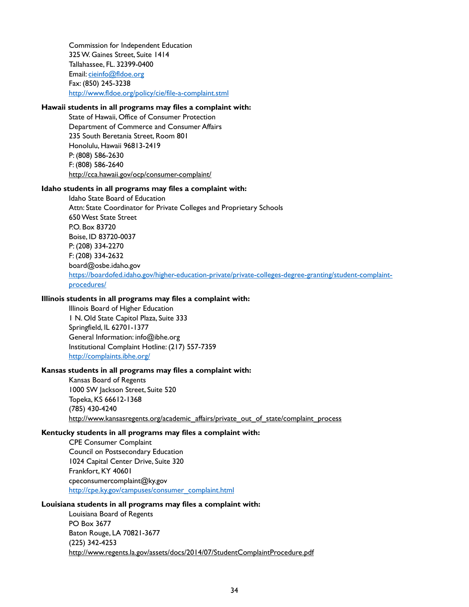Commission for Independent Education 325 W. Gaines Street, Suite 1414 Tallahassee, FL. 32399-0400 Email: cieinfo@fldoe.org Fax: (850) 245-3238 http://www.fldoe.org/policy/cie/file-a-complaint.stml

## **Hawaii students in all programs may files a complaint with:**

State of Hawaii, Office of Consumer Protection Department of Commerce and Consumer Affairs 235 South Beretania Street, Room 801 Honolulu, Hawaii 96813-2419 P: (808) 586-2630 F: (808) 586-2640 http://cca.hawaii.gov/ocp/consumer-complaint/

#### **Idaho students in all programs may files a complaint with:**

Idaho State Board of Education Attn: State Coordinator for Private Colleges and Proprietary Schools 650 West State Street P.O. Box 83720 Boise, ID 83720-0037 P: (208) 334-2270 F: (208) 334-2632 board@osbe.idaho.gov https://boardofed.idaho.gov/higher-education-private/private-colleges-degree-granting/student-complaintprocedures/

#### **Illinois students in all programs may files a complaint with:**

Illinois Board of Higher Education 1 N. Old State Capitol Plaza, Suite 333 Springfield, IL 62701-1377 General Information: info@ibhe.org Institutional Complaint Hotline: (217) 557-7359 http://complaints.ibhe.org/

#### **Kansas students in all programs may files a complaint with:**

Kansas Board of Regents 1000 SW Jackson Street, Suite 520 Topeka, KS 66612-1368 (785) 430-4240 http://www.kansasregents.org/academic\_affairs/private\_out\_of\_state/complaint\_process

#### **Kentucky students in all programs may files a complaint with:**

CPE Consumer Complaint Council on Postsecondary Education 1024 Capital Center Drive, Suite 320 Frankfort, KY 40601 cpeconsumercomplaint@ky.gov http://cpe.ky.gov/campuses/consumer\_complaint.html

#### **Louisiana students in all programs may files a complaint with:**

Louisiana Board of Regents PO Box 3677 Baton Rouge, LA 70821-3677 (225) 342-4253 http://www.regents.la.gov/assets/docs/2014/07/StudentComplaintProcedure.pdf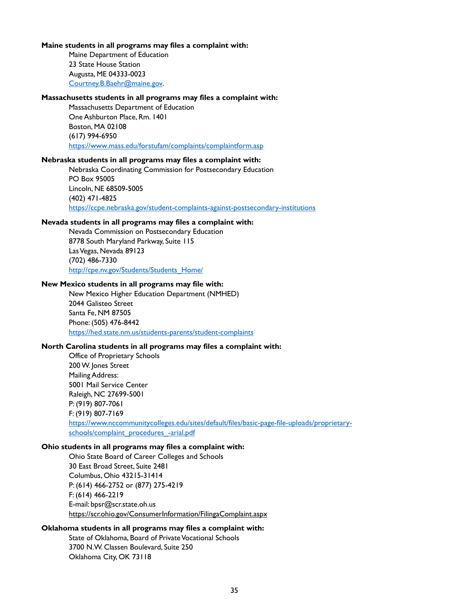#### **Maine students in all programs may files a complaint with:**

Maine Department of Education 23 State House Station Augusta, ME 04333-0023 Courtney.B.Baehr@maine.gov.

#### **Massachusetts students in all programs may files a complaint with:**

Massachusetts Department of Education One Ashburton Place, Rm. 1401 Boston, MA 02108 (617) 994-6950 https://www.mass.edu/forstufam/complaints/complaintform.asp

#### **Nebraska students in all programs may files a complaint with:**

Nebraska Coordinating Commission for Postsecondary Education PO Box 95005 Lincoln, NE 68509-5005 (402) 471-4825 https://ccpe.nebraska.gov/student-complaints-against-postsecondary-institutions

#### **Nevada students in all programs may files a complaint with:**

Nevada Commission on Postsecondary Education 8778 South Maryland Parkway, Suite 115 Las Vegas, Nevada 89123 (702) 486-7330 http://cpe.nv.gov/Students/Students\_Home/

#### **New Mexico students in all programs may file with:**

New Mexico Higher Education Department (NMHED) 2044 Galisteo Street Santa Fe, NM 87505 Phone: (505) 476-8442 https://hed.state.nm.us/students-parents/student-complaints

#### **North Carolina students in all programs may files a complaint with:**

Office of Proprietary Schools 200 W. Jones Street Mailing Address: 5001 Mail Service Center Raleigh, NC 27699-5001 P: (919) 807-7061 F: (919) 807-7169 https://www.nccommunitycolleges.edu/sites/default/files/basic-page-file-uploads/proprietaryschools/complaint\_procedures\_-arial.pdf

#### **Ohio students in all programs may files a complaint with:**

Ohio State Board of Career Colleges and Schools 30 East Broad Street, Suite 2481 Columbus, Ohio 43215-31414 P: (614) 466-2752 or (877) 275-4219 F: (614) 466-2219 E-mail: bpsr@scr.state.oh.us https://scr.ohio.gov/ConsumerInformation/FilingaComplaint.aspx

#### **Oklahoma students in all programs may files a complaint with:**

State of Oklahoma, Board of Private Vocational Schools 3700 N.W. Classen Boulevard, Suite 250 Oklahoma City, OK 73118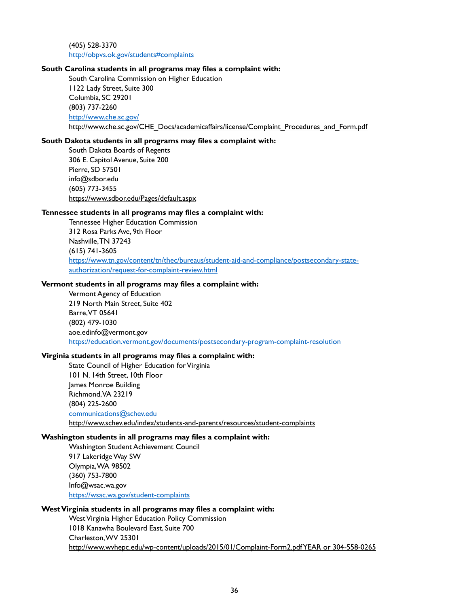(405) 528-3370 http://obpvs.ok.gov/students#complaints

#### **South Carolina students in all programs may files a complaint with:**

South Carolina Commission on Higher Education 1122 Lady Street, Suite 300 Columbia, SC 29201 (803) 737-2260 http://www.che.sc.gov/ http://www.che.sc.gov/CHE\_Docs/academicaffairs/license/Complaint\_Procedures\_and\_Form.pdf

#### **South Dakota students in all programs may files a complaint with:**

South Dakota Boards of Regents 306 E. Capitol Avenue, Suite 200 Pierre, SD 57501 info@sdbor.edu (605) 773-3455 https://www.sdbor.edu/Pages/default.aspx

#### **Tennessee students in all programs may files a complaint with:**

Tennessee Higher Education Commission 312 Rosa Parks Ave, 9th Floor Nashville, TN 37243 (615) 741-3605 https://www.tn.gov/content/tn/thec/bureaus/student-aid-and-compliance/postsecondary-stateauthorization/request-for-complaint-review.html

#### **Vermont students in all programs may files a complaint with:**

Vermont Agency of Education 219 North Main Street, Suite 402 Barre, VT 05641 (802) 479-1030 aoe.edinfo@vermont.gov https://education.vermont.gov/documents/postsecondary-program-complaint-resolution

#### **Virginia students in all programs may files a complaint with:**

State Council of Higher Education for Virginia 101 N. 14th Street, 10th Floor James Monroe Building Richmond, VA 23219 (804) 225-2600 communications@schev.edu http://www.schev.edu/index/students-and-parents/resources/student-complaints

#### **Washington students in all programs may files a complaint with:**

Washington Student Achievement Council 917 Lakeridge Way SW Olympia, WA 98502 (360) 753-7800 Info@wsac.wa.gov https://wsac.wa.gov/student-complaints

#### **West Virginia students in all programs may files a complaint with:**

West Virginia Higher Education Policy Commission 1018 Kanawha Boulevard East, Suite 700 Charleston, WV 25301 http://www.wvhepc.edu/wp-content/uploads/2015/01/Complaint-Form2.pdf YEAR or 304-558-0265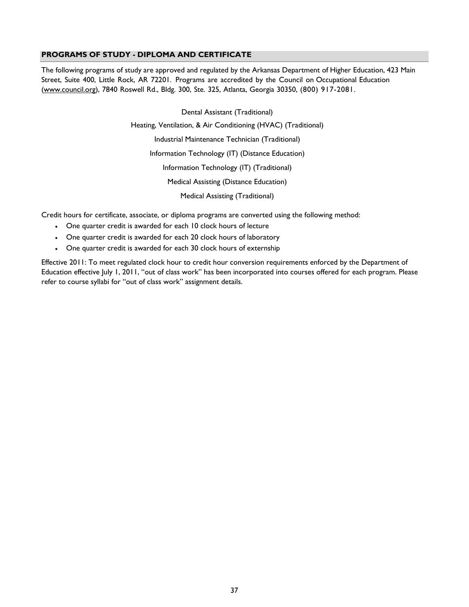## **PROGRAMS OF STUDY - DIPLOMA AND CERTIFICATE**

The following programs of study are approved and regulated by the Arkansas Department of Higher Education, 423 Main Street, Suite 400, Little Rock, AR 72201. Programs are accredited by the Council on Occupational Education (www.council.org), 7840 Roswell Rd., Bldg. 300, Ste. 325, Atlanta, Georgia 30350, (800) 917-2081.

> Dental Assistant (Traditional) Heating, Ventilation, & Air Conditioning (HVAC) (Traditional) Industrial Maintenance Technician (Traditional) Information Technology (IT) (Distance Education) Information Technology (IT) (Traditional) Medical Assisting (Distance Education) Medical Assisting (Traditional)

Credit hours for certificate, associate, or diploma programs are converted using the following method:

- One quarter credit is awarded for each 10 clock hours of lecture
- One quarter credit is awarded for each 20 clock hours of laboratory
- One quarter credit is awarded for each 30 clock hours of externship

Effective 2011: To meet regulated clock hour to credit hour conversion requirements enforced by the Department of Education effective July 1, 2011, "out of class work" has been incorporated into courses offered for each program. Please refer to course syllabi for "out of class work" assignment details.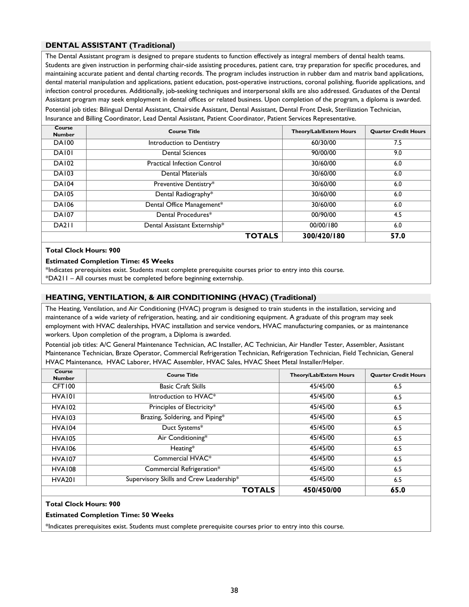## **DENTAL ASSISTANT (Traditional)**

The Dental Assistant program is designed to prepare students to function effectively as integral members of dental health teams. Students are given instruction in performing chair-side assisting procedures, patient care, tray preparation for specific procedures, and maintaining accurate patient and dental charting records. The program includes instruction in rubber dam and matrix band applications, dental material manipulation and applications, patient education, post-operative instructions, coronal polishing, fluoride applications, and infection control procedures. Additionally, job-seeking techniques and interpersonal skills are also addressed. Graduates of the Dental Assistant program may seek employment in dental offices or related business. Upon completion of the program, a diploma is awarded.

Potential job titles: Bilingual Dental Assistant, Chairside Assistant, Dental Assistant, Dental Front Desk, Sterilization Technician, Insurance and Billing Coordinator, Lead Dental Assistant, Patient Coordinator, Patient Services Representative.

| Course<br><b>Number</b> | <b>Course Title</b>                | Theory/Lab/Extern Hours | <b>Quarter Credit Hours</b> |
|-------------------------|------------------------------------|-------------------------|-----------------------------|
| <b>DA100</b>            | Introduction to Dentistry          | 60/30/00                | 7.5                         |
| DA <sub>101</sub>       | <b>Dental Sciences</b>             | 90/00/00                | 9.0                         |
| <b>DA102</b>            | <b>Practical Infection Control</b> | 30/60/00                | 6.0                         |
| <b>DA103</b>            | <b>Dental Materials</b>            | 30/60/00                | 6.0                         |
| <b>DA104</b>            | Preventive Dentistry*              | 30/60/00                | 6.0                         |
| <b>DA105</b>            | Dental Radiography*                | 30/60/00                | 6.0                         |
| <b>DA106</b>            | Dental Office Management*          | 30/60/00                | 6.0                         |
| <b>DA107</b>            | Dental Procedures*                 | 00/90/00                | 4.5                         |
| <b>DA211</b>            | Dental Assistant Externship*       | 00/00/180               | 6.0                         |
|                         | <b>TOTALS</b>                      | 300/420/180             | 57.0                        |

#### **Total Clock Hours: 900**

#### **Estimated Completion Time: 45 Weeks**

\*Indicates prerequisites exist. Students must complete prerequisite courses prior to entry into this course. \*DA211 – All courses must be completed before beginning externship.

#### **HEATING, VENTILATION, & AIR CONDITIONING (HVAC) (Traditional)**

The Heating, Ventilation, and Air Conditioning (HVAC) program is designed to train students in the installation, servicing and maintenance of a wide variety of refrigeration, heating, and air conditioning equipment. A graduate of this program may seek employment with HVAC dealerships, HVAC installation and service vendors, HVAC manufacturing companies, or as maintenance workers. Upon completion of the program, a Diploma is awarded.

Potential job titles: A/C General Maintenance Technician, AC Installer, AC Technician, Air Handler Tester, Assembler, Assistant Maintenance Technician, Braze Operator, Commercial Refrigeration Technician, Refrigeration Technician, Field Technician, General HVAC Maintenance, HVAC Laborer, HVAC Assembler, HVAC Sales, HVAC Sheet Metal Installer/Helper.

| Course<br><b>Number</b> | <b>Course Title</b>                     | Theory/Lab/Extern Hours | <b>Ouarter Credit Hours</b> |
|-------------------------|-----------------------------------------|-------------------------|-----------------------------|
| CFT100                  | <b>Basic Craft Skills</b>               | 45/45/00                | 6.5                         |
| HVA101                  | Introduction to HVAC <sup>*</sup>       | 45/45/00                | 6.5                         |
| <b>HVA102</b>           | Principles of Electricity*              | 45/45/00                | 6.5                         |
| <b>HVA103</b>           | Brazing, Soldering, and Piping*         | 45/45/00                | 6.5                         |
| HVA <sub>104</sub>      | Duct Systems*                           | 45/45/00                | 6.5                         |
| HVA <sub>105</sub>      | Air Conditioning*                       | 45/45/00                | 6.5                         |
| <b>HVA106</b>           | $Heating*$                              | 45/45/00                | 6.5                         |
| HVA107                  | Commercial HVAC*                        | 45/45/00                | 6.5                         |
| HVA108                  | Commercial Refrigeration*               | 45/45/00                | 6.5                         |
| <b>HVA201</b>           | Supervisory Skills and Crew Leadership* | 45/45/00                | 6.5                         |
|                         | <b>TOTALS</b>                           | 450/450/00              | 65.0                        |

#### **Total Clock Hours: 900**

#### **Estimated Completion Time: 50 Weeks**

\*Indicates prerequisites exist. Students must complete prerequisite courses prior to entry into this course.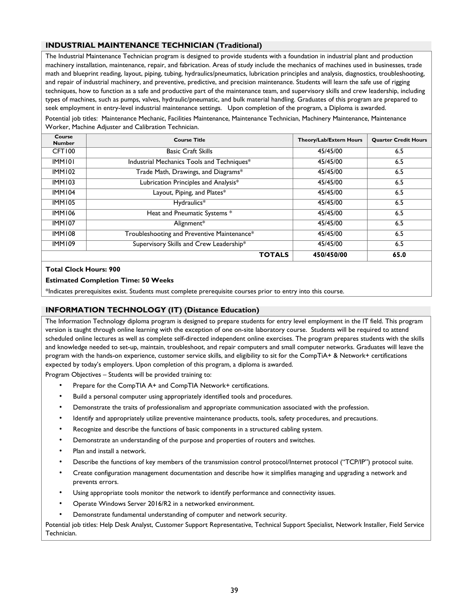### **INDUSTRIAL MAINTENANCE TECHNICIAN (Traditional)**

The Industrial Maintenance Technician program is designed to provide students with a foundation in industrial plant and production machinery installation, maintenance, repair, and fabrication. Areas of study include the mechanics of machines used in businesses, trade math and blueprint reading, layout, piping, tubing, hydraulics/pneumatics, lubrication principles and analysis, diagnostics, troubleshooting, and repair of industrial machinery, and preventive, predictive, and precision maintenance. Students will learn the safe use of rigging techniques, how to function as a safe and productive part of the maintenance team, and supervisory skills and crew leadership, including types of machines, such as pumps, valves, hydraulic/pneumatic, and bulk material handling. Graduates of this program are prepared to seek employment in entry-level industrial maintenance settings. Upon completion of the program, a Diploma is awarded.

Potential job titles: Maintenance Mechanic, Facilities Maintenance, Maintenance Technician, Machinery Maintenance, Maintenance Worker, Machine Adjuster and Calibration Technician.

| Course<br><b>Number</b> | <b>Course Title</b>                         | Theory/Lab/Extern Hours | <b>Quarter Credit Hours</b> |
|-------------------------|---------------------------------------------|-------------------------|-----------------------------|
| CFT100                  | <b>Basic Craft Skills</b>                   | 45/45/00                | 6.5                         |
| <b>IMM101</b>           | Industrial Mechanics Tools and Techniques*  | 45/45/00                | 6.5                         |
| <b>IMM102</b>           | Trade Math, Drawings, and Diagrams*         | 45/45/00                | 6.5                         |
| <b>IMM103</b>           | Lubrication Principles and Analysis*        | 45/45/00                | 6.5                         |
| <b>IMM104</b>           | Layout, Piping, and Plates*                 | 45/45/00                | 6.5                         |
| <b>IMM105</b>           | Hydraulics*                                 | 45/45/00                | 6.5                         |
| <b>IMM106</b>           | Heat and Pneumatic Systems *                | 45/45/00                | 6.5                         |
| <b>IMM107</b>           | Alignment*                                  | 45/45/00                | 6.5                         |
| <b>IMM108</b>           | Troubleshooting and Preventive Maintenance* | 45/45/00                | 6.5                         |
| <b>IMM109</b>           | Supervisory Skills and Crew Leadership*     | 45/45/00                | 6.5                         |
|                         | <b>TOTALS</b>                               | 450/450/00              | 65.0                        |

#### **Total Clock Hours: 900**

#### **Estimated Completion Time: 50 Weeks**

\*Indicates prerequisites exist. Students must complete prerequisite courses prior to entry into this course.

#### **INFORMATION TECHNOLOGY (IT) (Distance Education)**

The Information Technology diploma program is designed to prepare students for entry level employment in the IT field. This program version is taught through online learning with the exception of one on-site laboratory course. Students will be required to attend scheduled online lectures as well as complete self-directed independent online exercises. The program prepares students with the skills and knowledge needed to set-up, maintain, troubleshoot, and repair computers and small computer networks. Graduates will leave the program with the hands-on experience, customer service skills, and eligibility to sit for the CompTiA+ & Network+ certifications expected by today's employers. Upon completion of this program, a diploma is awarded.

Program Objectives – Students will be provided training to:

- Prepare for the CompTIA A+ and CompTIA Network+ certifications.
- Build a personal computer using appropriately identified tools and procedures.
- Demonstrate the traits of professionalism and appropriate communication associated with the profession.
- Identify and appropriately utilize preventive maintenance products, tools, safety procedures, and precautions.
- Recognize and describe the functions of basic components in a structured cabling system.
- Demonstrate an understanding of the purpose and properties of routers and switches.
- Plan and install a network.
- Describe the functions of key members of the transmission control protocol/Internet protocol ("TCP/IP") protocol suite.
- Create configuration management documentation and describe how it simplifies managing and upgrading a network and prevents errors.
- Using appropriate tools monitor the network to identify performance and connectivity issues.
- Operate Windows Server 2016/R2 in a networked environment.
- Demonstrate fundamental understanding of computer and network security.

Potential job titles: Help Desk Analyst, Customer Support Representative, Technical Support Specialist, Network Installer, Field Service Technician.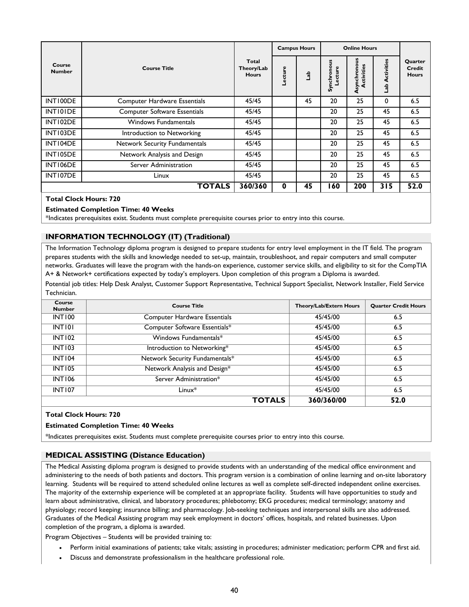|                         |                                     |                                     |         | <b>Campus Hours</b> |                       | <b>Online Hours</b>        |                            |                                   |
|-------------------------|-------------------------------------|-------------------------------------|---------|---------------------|-----------------------|----------------------------|----------------------------|-----------------------------------|
| Course<br><b>Number</b> | <b>Course Title</b>                 | Total<br>Theory/Lab<br><b>Hours</b> | Lecture | 육                   | Synchronous<br>ecture | Asynchronous<br>Activities | ctivities<br>⋖<br>de<br>La | Quarter<br>Credit<br><b>Hours</b> |
| INT100DE                | <b>Computer Hardware Essentials</b> | 45/45                               |         | 45                  | 20                    | 25                         | $\mathbf{0}$               | 6.5                               |
| INTI0IDE                | <b>Computer Software Essentials</b> | 45/45                               |         |                     | 20                    | 25                         | 45                         | 6.5                               |
| INT102DE                | <b>Windows Fundamentals</b>         | 45/45                               |         |                     | 20                    | 25                         | 45                         | 6.5                               |
| INT103DE                | Introduction to Networking          | 45/45                               |         |                     | 20                    | 25                         | 45                         | 6.5                               |
| INT104DE                | Network Security Fundamentals       | 45/45                               |         |                     | 20                    | 25                         | 45                         | 6.5                               |
| INT105DE                | Network Analysis and Design         | 45/45                               |         |                     | 20                    | 25                         | 45                         | 6.5                               |
| INT106DE                | Server Administration               | 45/45                               |         |                     | 20                    | 25                         | 45                         | 6.5                               |
| INT107DE                | Linux                               | 45/45                               |         |                     | 20                    | 25                         | 45                         | 6.5                               |
|                         | TOTALS                              | 360/360                             | 0       | 45                  | 60                    | 200                        | 315                        | 52.0                              |

#### **Total Clock Hours: 720**

#### **Estimated Completion Time: 40 Weeks**

\*Indicates prerequisites exist. Students must complete prerequisite courses prior to entry into this course.

#### **INFORMATION TECHNOLOGY (IT) (Traditional)**

The Information Technology diploma program is designed to prepare students for entry level employment in the IT field. The program prepares students with the skills and knowledge needed to set-up, maintain, troubleshoot, and repair computers and small computer networks. Graduates will leave the program with the hands-on experience, customer service skills, and eligibility to sit for the CompTIA A+ & Network+ certifications expected by today's employers. Upon completion of this program a Diploma is awarded.

Potential job titles: Help Desk Analyst, Customer Support Representative, Technical Support Specialist, Network Installer, Field Service Technician.

| Course<br><b>Number</b> | <b>Course Title</b>            | Theory/Lab/Extern Hours | <b>Ouarter Credit Hours</b> |
|-------------------------|--------------------------------|-------------------------|-----------------------------|
| <b>INT100</b>           | Computer Hardware Essentials   | 45/45/00                | 6.5                         |
| INTI01                  | Computer Software Essentials*  | 45/45/00                | 6.5                         |
| $\overline{INT}$ 102    | Windows Fundamentals*          | 45/45/00                | 6.5                         |
| <b>INT103</b>           | Introduction to Networking*    | 45/45/00                | 6.5                         |
| <b>INT104</b>           | Network Security Fundamentals* | 45/45/00                | 6.5                         |
| <b>INT105</b>           | Network Analysis and Design*   | 45/45/00                | 6.5                         |
| <b>INT106</b>           | Server Administration*         | 45/45/00                | 6.5                         |
| <b>INT107</b>           | $Linux*$                       | 45/45/00                | 6.5                         |
|                         | <b>TOTALS</b>                  | 360/360/00              | 52.0                        |

#### **Total Clock Hours: 720**

#### **Estimated Completion Time: 40 Weeks**

\*Indicates prerequisites exist. Students must complete prerequisite courses prior to entry into this course.

#### **MEDICAL ASSISTING (Distance Education)**

The Medical Assisting diploma program is designed to provide students with an understanding of the medical office environment and administering to the needs of both patients and doctors. This program version is a combination of online learning and on-site laboratory learning. Students will be required to attend scheduled online lectures as well as complete self-directed independent online exercises. The majority of the externship experience will be completed at an appropriate facility. Students will have opportunities to study and learn about administrative, clinical, and laboratory procedures; phlebotomy; EKG procedures; medical terminology; anatomy and physiology; record keeping; insurance billing; and pharmacology. Job-seeking techniques and interpersonal skills are also addressed. Graduates of the Medical Assisting program may seek employment in doctors' offices, hospitals, and related businesses. Upon completion of the program, a diploma is awarded.

Program Objectives – Students will be provided training to:

- Perform initial examinations of patients; take vitals; assisting in procedures; administer medication; perform CPR and first aid.
- Discuss and demonstrate professionalism in the healthcare professional role.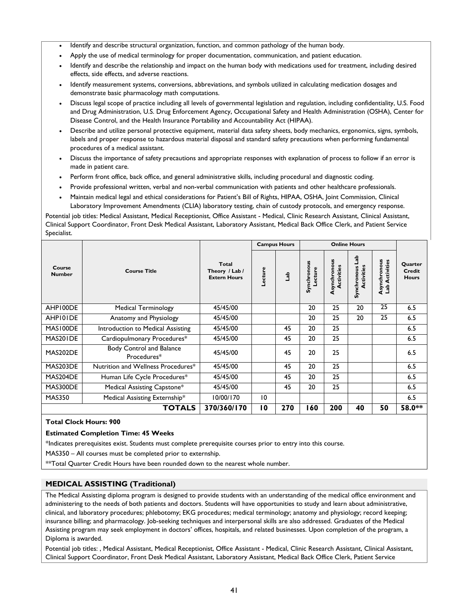- Identify and describe structural organization, function, and common pathology of the human body.
- Apply the use of medical terminology for proper documentation, communication, and patient education.
- Identify and describe the relationship and impact on the human body with medications used for treatment, including desired effects, side effects, and adverse reactions.
- Identify measurement systems, conversions, abbreviations, and symbols utilized in calculating medication dosages and demonstrate basic pharmacology math computations.
- Discuss legal scope of practice including all levels of governmental legislation and regulation, including confidentiality, U.S. Food and Drug Administration, U.S. Drug Enforcement Agency, Occupational Safety and Health Administration (OSHA), Center for Disease Control, and the Health Insurance Portability and Accountability Act (HIPAA).
- Describe and utilize personal protective equipment, material data safety sheets, body mechanics, ergonomics, signs, symbols, labels and proper response to hazardous material disposal and standard safety precautions when performing fundamental procedures of a medical assistant.
- Discuss the importance of safety precautions and appropriate responses with explanation of process to follow if an error is made in patient care.
- Perform front office, back office, and general administrative skills, including procedural and diagnostic coding.
- Provide professional written, verbal and non-verbal communication with patients and other healthcare professionals.
- Maintain medical legal and ethical considerations for Patient's Bill of Rights, HIPAA, OSHA, Joint Commission, Clinical Laboratory Improvement Amendments (CLIA) laboratory testing, chain of custody protocols, and emergency response.

Potential job titles: Medical Assistant, Medical Receptionist, Office Assistant - Medical, Clinic Research Assistant, Clinical Assistant, Clinical Support Coordinator, Front Desk Medical Assistant, Laboratory Assistant, Medical Back Office Clerk, and Patient Service Specialist.

|                         |                                                |                                                | <b>Campus Hours</b> |     |                        |                            | <b>Online Hours</b>                             |                                |                                                 |
|-------------------------|------------------------------------------------|------------------------------------------------|---------------------|-----|------------------------|----------------------------|-------------------------------------------------|--------------------------------|-------------------------------------------------|
| Course<br><b>Number</b> | <b>Course Title</b>                            | Total<br>Theory / Lab /<br><b>Extern Hours</b> | -ecture             | dab | Synchronous<br>Lecture | Asynchronous<br>Activities | deT<br>Activities<br>$\mathbf{v}$<br>Synchronou | Asynchronous<br>Lab Activities | <b>Ouarter</b><br><b>Credit</b><br><b>Hours</b> |
| AHP100DE                | <b>Medical Terminology</b>                     | 45/45/00                                       |                     |     | 20                     | 25                         | 20                                              | 25                             | 6.5                                             |
| AHP101DE                | Anatomy and Physiology                         | 45/45/00                                       |                     |     | 20                     | 25                         | 20                                              | 25                             | 6.5                                             |
| MAS100DE                | Introduction to Medical Assisting              | 45/45/00                                       |                     | 45  | 20                     | 25                         |                                                 |                                | 6.5                                             |
| MAS201DE                | Cardiopulmonary Procedures*                    | 45/45/00                                       |                     | 45  | 20                     | 25                         |                                                 |                                | 6.5                                             |
| MAS202DE                | <b>Body Control and Balance</b><br>Procedures* | 45/45/00                                       |                     | 45  | 20                     | 25                         |                                                 |                                | 6.5                                             |
| MAS203DE                | Nutrition and Wellness Procedures*             | 45/45/00                                       |                     | 45  | 20                     | 25                         |                                                 |                                | 6.5                                             |
| MAS204DE                | Human Life Cycle Procedures*                   | 45/45/00                                       |                     | 45  | 20                     | 25                         |                                                 |                                | 6.5                                             |
| MAS300DE                | Medical Assisting Capstone*                    | 45/45/00                                       |                     | 45  | 20                     | 25                         |                                                 |                                | 6.5                                             |
| <b>MAS350</b>           | Medical Assisting Externship*                  | 10/00/170                                      | 10                  |     |                        |                            |                                                 |                                | 6.5                                             |
|                         | <b>TOTALS</b>                                  | 370/360/170                                    | 10                  | 270 | 160                    | 200                        | 40                                              | 50                             | 58.0**                                          |

## **Total Clock Hours: 900**

#### **Estimated Completion Time: 45 Weeks**

\*Indicates prerequisites exist. Students must complete prerequisite courses prior to entry into this course.

MAS350 – All courses must be completed prior to externship.

\*\*Total Quarter Credit Hours have been rounded down to the nearest whole number.

#### **MEDICAL ASSISTING (Traditional)**

The Medical Assisting diploma program is designed to provide students with an understanding of the medical office environment and administering to the needs of both patients and doctors. Students will have opportunities to study and learn about administrative, clinical, and laboratory procedures; phlebotomy; EKG procedures; medical terminology; anatomy and physiology; record keeping; insurance billing; and pharmacology. Job-seeking techniques and interpersonal skills are also addressed. Graduates of the Medical Assisting program may seek employment in doctors' offices, hospitals, and related businesses. Upon completion of the program, a Diploma is awarded.

Potential job titles: , Medical Assistant, Medical Receptionist, Office Assistant - Medical, Clinic Research Assistant, Clinical Assistant, Clinical Support Coordinator, Front Desk Medical Assistant, Laboratory Assistant, Medical Back Office Clerk, Patient Service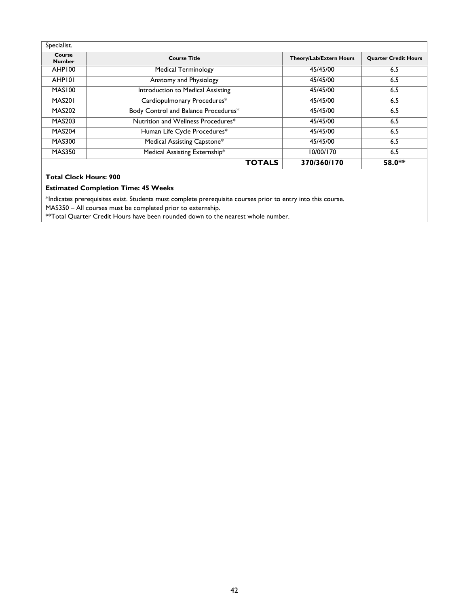| Specialist.             |                                      |                         |                             |
|-------------------------|--------------------------------------|-------------------------|-----------------------------|
| Course<br><b>Number</b> | <b>Course Title</b>                  | Theory/Lab/Extern Hours | <b>Quarter Credit Hours</b> |
| AHP100                  | <b>Medical Terminology</b>           | 45/45/00                | 6.5                         |
| AHP101                  | Anatomy and Physiology               | 45/45/00                | 6.5                         |
| MAS100                  | Introduction to Medical Assisting    | 45/45/00                | 6.5                         |
| MAS <sub>20</sub> 1     | Cardiopulmonary Procedures*          | 45/45/00                | 6.5                         |
| <b>MAS202</b>           | Body Control and Balance Procedures* | 45/45/00                | 6.5                         |
| <b>MAS203</b>           | Nutrition and Wellness Procedures*   | 45/45/00                | 6.5                         |
| <b>MAS204</b>           | Human Life Cycle Procedures*         | 45/45/00                | 6.5                         |
| <b>MAS300</b>           | Medical Assisting Capstone*          | 45/45/00                | 6.5                         |
| <b>MAS350</b>           | Medical Assisting Externship*        | 10/00/170               | 6.5                         |
|                         | <b>TOTALS</b>                        | 370/360/170             | 58.0**                      |

#### **Total Clock Hours: 900**

#### **Estimated Completion Time: 45 Weeks**

\*Indicates prerequisites exist. Students must complete prerequisite courses prior to entry into this course.

MAS350 – All courses must be completed prior to externship.

\*\*Total Quarter Credit Hours have been rounded down to the nearest whole number.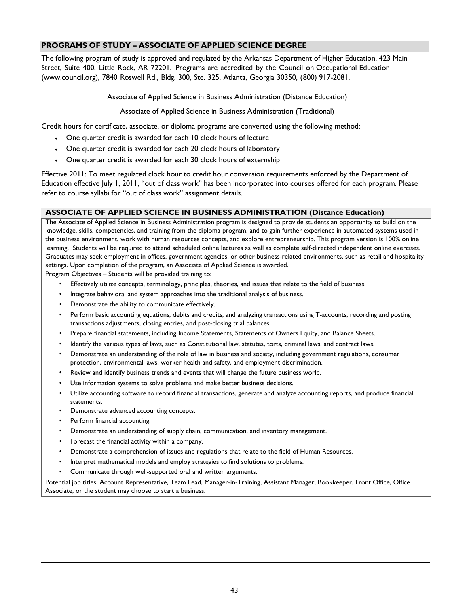## **PROGRAMS OF STUDY – ASSOCIATE OF APPLIED SCIENCE DEGREE**

The following program of study is approved and regulated by the Arkansas Department of Higher Education, 423 Main Street, Suite 400, Little Rock, AR 72201. Programs are accredited by the Council on Occupational Education (www.council.org), 7840 Roswell Rd., Bldg. 300, Ste. 325, Atlanta, Georgia 30350, (800) 917-2081.

Associate of Applied Science in Business Administration (Distance Education)

Associate of Applied Science in Business Administration (Traditional)

Credit hours for certificate, associate, or diploma programs are converted using the following method:

- One quarter credit is awarded for each 10 clock hours of lecture
- One quarter credit is awarded for each 20 clock hours of laboratory
- One quarter credit is awarded for each 30 clock hours of externship

Effective 2011: To meet regulated clock hour to credit hour conversion requirements enforced by the Department of Education effective July 1, 2011, "out of class work" has been incorporated into courses offered for each program. Please refer to course syllabi for "out of class work" assignment details.

#### **ASSOCIATE OF APPLIED SCIENCE IN BUSINESS ADMINISTRATION (Distance Education)**

The Associate of Applied Science in Business Administration program is designed to provide students an opportunity to build on the knowledge, skills, competencies, and training from the diploma program, and to gain further experience in automated systems used in the business environment, work with human resources concepts, and explore entrepreneurship. This program version is 100% online learning. Students will be required to attend scheduled online lectures as well as complete self-directed independent online exercises. Graduates may seek employment in offices, government agencies, or other business-related environments, such as retail and hospitality settings. Upon completion of the program, an Associate of Applied Science is awarded.

Program Objectives – Students will be provided training to:

- Effectively utilize concepts, terminology, principles, theories, and issues that relate to the field of business.
- Integrate behavioral and system approaches into the traditional analysis of business.
- Demonstrate the ability to communicate effectively.
- Perform basic accounting equations, debits and credits, and analyzing transactions using T-accounts, recording and posting transactions adjustments, closing entries, and post-closing trial balances.
- Prepare financial statements, including Income Statements, Statements of Owners Equity, and Balance Sheets.
- Identify the various types of laws, such as Constitutional law, statutes, torts, criminal laws, and contract laws.
- Demonstrate an understanding of the role of law in business and society, including government regulations, consumer protection, environmental laws, worker health and safety, and employment discrimination.
- Review and identify business trends and events that will change the future business world.
- Use information systems to solve problems and make better business decisions.
- Utilize accounting software to record financial transactions, generate and analyze accounting reports, and produce financial statements.
- Demonstrate advanced accounting concepts.
- Perform financial accounting.
- Demonstrate an understanding of supply chain, communication, and inventory management.
- Forecast the financial activity within a company.
- Demonstrate a comprehension of issues and regulations that relate to the field of Human Resources.
- Interpret mathematical models and employ strategies to find solutions to problems.
- Communicate through well-supported oral and written arguments.

Potential job titles: Account Representative, Team Lead, Manager-in-Training, Assistant Manager, Bookkeeper, Front Office, Office Associate, or the student may choose to start a business.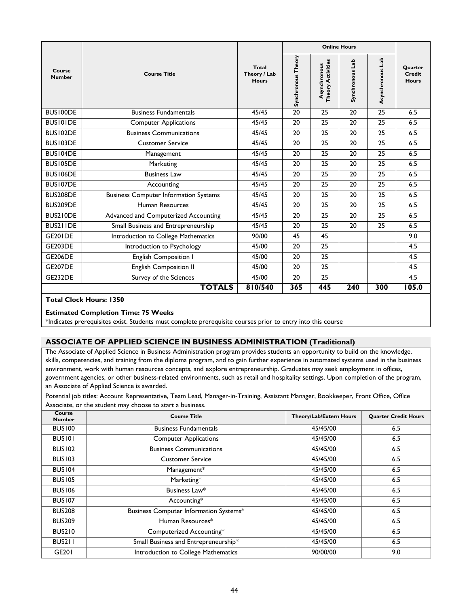|                                                               |                                              |                                       |                    |                                          | <b>Online Hours</b> |                  |                                   |
|---------------------------------------------------------------|----------------------------------------------|---------------------------------------|--------------------|------------------------------------------|---------------------|------------------|-----------------------------------|
| Course<br><b>Number</b>                                       | <b>Course Title</b>                          | Total<br>Theory / Lab<br><b>Hours</b> | Synchronous Theory | <b>Theory Activities</b><br>Asynchronous | dab<br>Synchronous  | Asynchronous Lab | Quarter<br>Credit<br><b>Hours</b> |
| BUS100DE                                                      | <b>Business Fundamentals</b>                 | 45/45                                 | 20                 | 25                                       | 20                  | 25               | 6.5                               |
| <b>BUSIOIDE</b>                                               | <b>Computer Applications</b>                 | 45/45                                 | 20                 | 25                                       | 20                  | 25               | 6.5                               |
| BUS102DE                                                      | <b>Business Communications</b>               | 45/45                                 | 20                 | 25                                       | 20                  | 25               | 6.5                               |
| BUS103DE                                                      | <b>Customer Service</b>                      | 45/45                                 | 20                 | 25                                       | 20                  | 25               | 6.5                               |
| BUS104DE                                                      | Management                                   | 45/45                                 | 20                 | 25                                       | 20                  | 25               | 6.5                               |
| BUS105DE                                                      | Marketing                                    | 45/45                                 | 20                 | 25                                       | 20                  | 25               | 6.5                               |
| BUS106DE                                                      | <b>Business Law</b>                          | 45/45                                 | 20                 | 25                                       | 20                  | 25               | 6.5                               |
| BUS107DE                                                      | Accounting                                   | 45/45                                 | 20                 | 25                                       | 20                  | 25               | 6.5                               |
| BUS208DE                                                      | <b>Business Computer Information Systems</b> | 45/45                                 | 20                 | 25                                       | 20                  | 25               | 6.5                               |
| BUS209DE                                                      | Human Resources                              | 45/45                                 | 20                 | 25                                       | 20                  | 25               | 6.5                               |
| BUS210DE                                                      | Advanced and Computerized Accounting         | 45/45                                 | 20                 | 25                                       | 20                  | 25               | 6.5                               |
| BUS211DE                                                      | Small Business and Entrepreneurship          | 45/45                                 | 20                 | 25                                       | 20                  | 25               | 6.5                               |
| <b>GE201DE</b>                                                | Introduction to College Mathematics          | 90/00                                 | 45                 | 45                                       |                     |                  | 9.0                               |
| <b>GE203DE</b>                                                | Introduction to Psychology                   | 45/00                                 | 20                 | 25                                       |                     |                  | 4.5                               |
| <b>GE206DE</b>                                                | English Composition I                        | 45/00                                 | 20                 | 25                                       |                     |                  | 4.5                               |
| <b>GE207DE</b>                                                | English Composition II                       | 45/00                                 | 20                 | 25                                       |                     |                  | 4.5                               |
| <b>GE232DE</b>                                                | Survey of the Sciences                       | 45/00                                 | 20                 | 25                                       |                     |                  | 4.5                               |
| 810/540<br>240<br>300<br>105.0<br><b>TOTALS</b><br>365<br>445 |                                              |                                       |                    |                                          |                     |                  |                                   |

## **Total Clock Hours: 1350**

#### **Estimated Completion Time: 75 Weeks**

\*Indicates prerequisites exist. Students must complete prerequisite courses prior to entry into this course

## **ASSOCIATE OF APPLIED SCIENCE IN BUSINESS ADMINISTRATION (Traditional)**

The Associate of Applied Science in Business Administration program provides students an opportunity to build on the knowledge, skills, competencies, and training from the diploma program, and to gain further experience in automated systems used in the business environment, work with human resources concepts, and explore entrepreneurship. Graduates may seek employment in offices, government agencies, or other business-related environments, such as retail and hospitality settings. Upon completion of the program, an Associate of Applied Science is awarded.

Potential job titles: Account Representative, Team Lead, Manager-in-Training, Assistant Manager, Bookkeeper, Front Office, Office Associate, or the student may choose to start a business.

| Course<br><b>Number</b> | <b>Course Title</b>                           | Theory/Lab/Extern Hours | <b>Quarter Credit Hours</b> |
|-------------------------|-----------------------------------------------|-------------------------|-----------------------------|
| <b>BUS100</b>           | <b>Business Fundamentals</b>                  | 45/45/00                | 6.5                         |
| <b>BUSIOI</b>           | <b>Computer Applications</b>                  | 45/45/00                | 6.5                         |
| <b>BUS102</b>           | <b>Business Communications</b>                | 45/45/00                | 6.5                         |
| <b>BUS103</b>           | <b>Customer Service</b>                       | 45/45/00                | 6.5                         |
| <b>BUS104</b>           | Management*                                   | 45/45/00                | 6.5                         |
| <b>BUS105</b>           | Marketing*                                    | 45/45/00                | 6.5                         |
| <b>BUS106</b>           | Business Law*                                 | 45/45/00                | 6.5                         |
| <b>BUS107</b>           | Accounting*                                   | 45/45/00                | 6.5                         |
| <b>BUS208</b>           | <b>Business Computer Information Systems*</b> | 45/45/00                | 6.5                         |
| <b>BUS209</b>           | Human Resources*                              | 45/45/00                | 6.5                         |
| <b>BUS210</b>           | Computerized Accounting*                      | 45/45/00                | 6.5                         |
| BUS211                  | Small Business and Entrepreneurship*          | 45/45/00                | 6.5                         |
| GE201                   | Introduction to College Mathematics           | 90/00/00                | 9.0                         |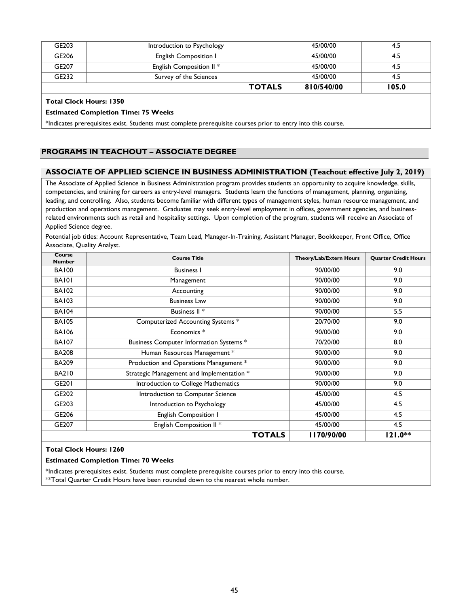| GE203 | Introduction to Psychology          | 45/00/00   | 4.5   |
|-------|-------------------------------------|------------|-------|
| GE206 | <b>English Composition I</b>        | 45/00/00   | 4.5   |
| GE207 | English Composition II <sup>*</sup> | 45/00/00   | 4.5   |
| GE232 | Survey of the Sciences              | 45/00/00   | 4.5   |
|       | <b>TOTALS</b>                       | 810/540/00 | 105.0 |

#### **Total Clock Hours: 1350**

#### **Estimated Completion Time: 75 Weeks**

\*Indicates prerequisites exist. Students must complete prerequisite courses prior to entry into this course.

## **PROGRAMS IN TEACHOUT – ASSOCIATE DEGREE**

#### **ASSOCIATE OF APPLIED SCIENCE IN BUSINESS ADMINISTRATION (Teachout effective July 2, 2019)**

The Associate of Applied Science in Business Administration program provides students an opportunity to acquire knowledge, skills, competencies, and training for careers as entry-level managers. Students learn the functions of management, planning, organizing, leading, and controlling. Also, students become familiar with different types of management styles, human resource management, and production and operations management. Graduates may seek entry-level employment in offices, government agencies, and businessrelated environments such as retail and hospitality settings. Upon completion of the program, students will receive an Associate of Applied Science degree.

Potential job titles: Account Representative, Team Lead, Manager-In-Training, Assistant Manager, Bookkeeper, Front Office, Office Associate, Quality Analyst.

| Course<br><b>Number</b> | <b>Course Title</b>                       | <b>Theory/Lab/Extern Hours</b> | <b>Ouarter Credit Hours</b> |
|-------------------------|-------------------------------------------|--------------------------------|-----------------------------|
| <b>BA100</b>            | <b>Business I</b>                         | 90/00/00                       | 9.0                         |
| <b>BA101</b>            | Management                                | 90/00/00                       | 9.0                         |
| <b>BA102</b>            | Accounting                                | 90/00/00                       | 9.0                         |
| <b>BA103</b>            | <b>Business Law</b>                       | 90/00/00                       | 9.0                         |
| <b>BA104</b>            | Business II <sup>*</sup>                  | 90/00/00                       | 5.5                         |
| <b>BA105</b>            | Computerized Accounting Systems *         | 20/70/00                       | 9.0                         |
| <b>BA106</b>            | Economics <sup>*</sup>                    | 90/00/00                       | 9.0                         |
| <b>BA107</b>            | Business Computer Information Systems *   | 70/20/00                       | 8.0                         |
| <b>BA208</b>            | Human Resources Management *              | 90/00/00                       | 9.0                         |
| <b>BA209</b>            | Production and Operations Management *    | 90/00/00                       | 9.0                         |
| <b>BA210</b>            | Strategic Management and Implementation * | 90/00/00                       | 9.0                         |
| GE201                   | Introduction to College Mathematics       | 90/00/00                       | 9.0                         |
| GE202                   | Introduction to Computer Science          | 45/00/00                       | 4.5                         |
| GE203                   | Introduction to Psychology                | 45/00/00                       | 4.5                         |
| GE206                   | English Composition I                     | 45/00/00                       | 4.5                         |
| GE207                   | English Composition II *                  | 45/00/00                       | 4.5                         |
|                         | <b>TOTALS</b>                             | 1170/90/00                     | 121.0**                     |

#### **Total Clock Hours: 1260**

#### **Estimated Completion Time: 70 Weeks**

\*Indicates prerequisites exist. Students must complete prerequisite courses prior to entry into this course. \*\*Total Quarter Credit Hours have been rounded down to the nearest whole number.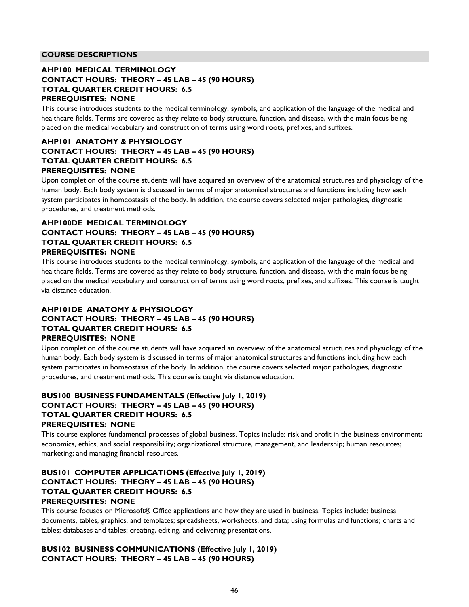#### **COURSE DESCRIPTIONS**

## **AHP100 MEDICAL TERMINOLOGY CONTACT HOURS: THEORY – 45 LAB – 45 (90 HOURS) TOTAL QUARTER CREDIT HOURS: 6.5 PREREQUISITES: NONE**

This course introduces students to the medical terminology, symbols, and application of the language of the medical and healthcare fields. Terms are covered as they relate to body structure, function, and disease, with the main focus being placed on the medical vocabulary and construction of terms using word roots, prefixes, and suffixes.

## **AHP101 ANATOMY & PHYSIOLOGY CONTACT HOURS: THEORY – 45 LAB – 45 (90 HOURS) TOTAL QUARTER CREDIT HOURS: 6.5 PREREQUISITES: NONE**

Upon completion of the course students will have acquired an overview of the anatomical structures and physiology of the human body. Each body system is discussed in terms of major anatomical structures and functions including how each system participates in homeostasis of the body. In addition, the course covers selected major pathologies, diagnostic procedures, and treatment methods.

## **AHP100DE MEDICAL TERMINOLOGY CONTACT HOURS: THEORY – 45 LAB – 45 (90 HOURS) TOTAL QUARTER CREDIT HOURS: 6.5 PREREQUISITES: NONE**

This course introduces students to the medical terminology, symbols, and application of the language of the medical and healthcare fields. Terms are covered as they relate to body structure, function, and disease, with the main focus being placed on the medical vocabulary and construction of terms using word roots, prefixes, and suffixes. This course is taught via distance education.

## **AHP101DE ANATOMY & PHYSIOLOGY CONTACT HOURS: THEORY – 45 LAB – 45 (90 HOURS) TOTAL QUARTER CREDIT HOURS: 6.5 PREREQUISITES: NONE**

Upon completion of the course students will have acquired an overview of the anatomical structures and physiology of the human body. Each body system is discussed in terms of major anatomical structures and functions including how each system participates in homeostasis of the body. In addition, the course covers selected major pathologies, diagnostic procedures, and treatment methods. This course is taught via distance education.

## **BUS100 BUSINESS FUNDAMENTALS (Effective July 1, 2019) CONTACT HOURS: THEORY – 45 LAB – 45 (90 HOURS) TOTAL QUARTER CREDIT HOURS: 6.5 PREREQUISITES: NONE**

This course explores fundamental processes of global business. Topics include: risk and profit in the business environment; economics, ethics, and social responsibility; organizational structure, management, and leadership; human resources; marketing; and managing financial resources.

## **BUS101 COMPUTER APPLICATIONS (Effective July 1, 2019) CONTACT HOURS: THEORY – 45 LAB – 45 (90 HOURS) TOTAL QUARTER CREDIT HOURS: 6.5 PREREQUISITES: NONE**

This course focuses on Microsoft® Office applications and how they are used in business. Topics include: business documents, tables, graphics, and templates; spreadsheets, worksheets, and data; using formulas and functions; charts and tables; databases and tables; creating, editing, and delivering presentations.

## **BUS102 BUSINESS COMMUNICATIONS (Effective July 1, 2019) CONTACT HOURS: THEORY – 45 LAB – 45 (90 HOURS)**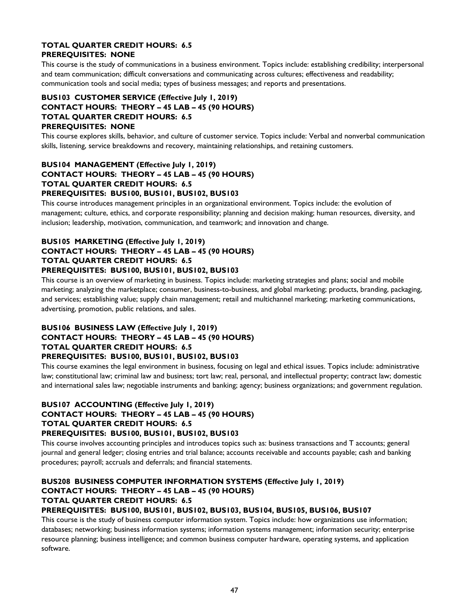## **TOTAL QUARTER CREDIT HOURS: 6.5 PREREQUISITES: NONE**

This course is the study of communications in a business environment. Topics include: establishing credibility; interpersonal and team communication; difficult conversations and communicating across cultures; effectiveness and readability; communication tools and social media; types of business messages; and reports and presentations.

## **BUS103 CUSTOMER SERVICE (Effective July 1, 2019) CONTACT HOURS: THEORY – 45 LAB – 45 (90 HOURS) TOTAL QUARTER CREDIT HOURS: 6.5 PREREQUISITES: NONE**

This course explores skills, behavior, and culture of customer service. Topics include: Verbal and nonverbal communication skills, listening, service breakdowns and recovery, maintaining relationships, and retaining customers.

## **BUS104 MANAGEMENT (Effective July 1, 2019) CONTACT HOURS: THEORY – 45 LAB – 45 (90 HOURS) TOTAL QUARTER CREDIT HOURS: 6.5 PREREQUISITES: BUS100, BUS101, BUS102, BUS103**

This course introduces management principles in an organizational environment. Topics include: the evolution of management; culture, ethics, and corporate responsibility; planning and decision making; human resources, diversity, and inclusion; leadership, motivation, communication, and teamwork; and innovation and change.

## **BUS105 MARKETING (Effective July 1, 2019) CONTACT HOURS: THEORY – 45 LAB – 45 (90 HOURS) TOTAL QUARTER CREDIT HOURS: 6.5 PREREQUISITES: BUS100, BUS101, BUS102, BUS103**

This course is an overview of marketing in business. Topics include: marketing strategies and plans; social and mobile marketing; analyzing the marketplace; consumer, business-to-business, and global marketing; products, branding, packaging, and services; establishing value; supply chain management; retail and multichannel marketing; marketing communications, advertising, promotion, public relations, and sales.

## **BUS106 BUSINESS LAW (Effective July 1, 2019) CONTACT HOURS: THEORY – 45 LAB – 45 (90 HOURS) TOTAL QUARTER CREDIT HOURS: 6.5 PREREQUISITES: BUS100, BUS101, BUS102, BUS103**

This course examines the legal environment in business, focusing on legal and ethical issues. Topics include: administrative law; constitutional law; criminal law and business; tort law; real, personal, and intellectual property; contract law; domestic and international sales law; negotiable instruments and banking; agency; business organizations; and government regulation.

## **BUS107 ACCOUNTING (Effective July 1, 2019) CONTACT HOURS: THEORY – 45 LAB – 45 (90 HOURS) TOTAL QUARTER CREDIT HOURS: 6.5 PREREQUISITES: BUS100, BUS101, BUS102, BUS103**

This course involves accounting principles and introduces topics such as: business transactions and T accounts; general journal and general ledger; closing entries and trial balance; accounts receivable and accounts payable; cash and banking procedures; payroll; accruals and deferrals; and financial statements.

# **BUS208 BUSINESS COMPUTER INFORMATION SYSTEMS (Effective July 1, 2019) CONTACT HOURS: THEORY – 45 LAB – 45 (90 HOURS) TOTAL QUARTER CREDIT HOURS: 6.5**

## **PREREQUISITES: BUS100, BUS101, BUS102, BUS103, BUS104, BUS105, BUS106, BUS107**

This course is the study of business computer information system. Topics include: how organizations use information; databases; networking; business information systems; information systems management; information security; enterprise resource planning; business intelligence; and common business computer hardware, operating systems, and application software.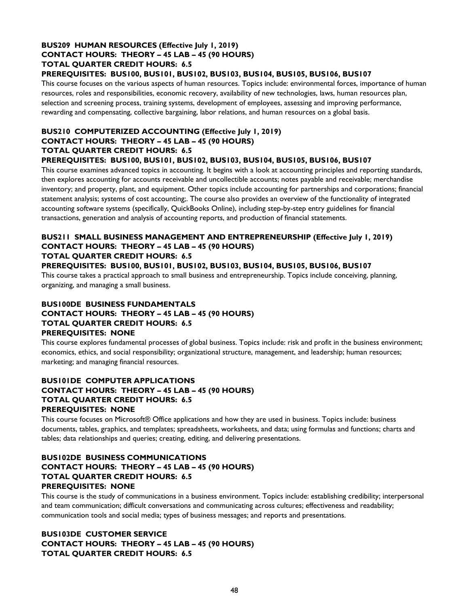## **BUS209 HUMAN RESOURCES (Effective July 1, 2019) CONTACT HOURS: THEORY – 45 LAB – 45 (90 HOURS) TOTAL QUARTER CREDIT HOURS: 6.5**

## **PREREQUISITES: BUS100, BUS101, BUS102, BUS103, BUS104, BUS105, BUS106, BUS107**

This course focuses on the various aspects of human resources. Topics include: environmental forces, importance of human resources, roles and responsibilities, economic recovery, availability of new technologies, laws, human resources plan, selection and screening process, training systems, development of employees, assessing and improving performance, rewarding and compensating, collective bargaining, labor relations, and human resources on a global basis.

## **BUS210 COMPUTERIZED ACCOUNTING (Effective July 1, 2019) CONTACT HOURS: THEORY – 45 LAB – 45 (90 HOURS) TOTAL QUARTER CREDIT HOURS: 6.5 PREREQUISITES: BUS100, BUS101, BUS102, BUS103, BUS104, BUS105, BUS106, BUS107**

This course examines advanced topics in accounting. It begins with a look at accounting principles and reporting standards, then explores accounting for accounts receivable and uncollectible accounts; notes payable and receivable; merchandise inventory; and property, plant, and equipment. Other topics include accounting for partnerships and corporations; financial statement analysis; systems of cost accounting;. The course also provides an overview of the functionality of integrated accounting software systems (specifically, QuickBooks Online), including step-by-step entry guidelines for financial transactions, generation and analysis of accounting reports, and production of financial statements.

## **BUS211 SMALL BUSINESS MANAGEMENT AND ENTREPRENEURSHIP (Effective July 1, 2019) CONTACT HOURS: THEORY – 45 LAB – 45 (90 HOURS) TOTAL QUARTER CREDIT HOURS: 6.5**

## **PREREQUISITES: BUS100, BUS101, BUS102, BUS103, BUS104, BUS105, BUS106, BUS107**

This course takes a practical approach to small business and entrepreneurship. Topics include conceiving, planning, organizing, and managing a small business.

## **BUS100DE BUSINESS FUNDAMENTALS CONTACT HOURS: THEORY – 45 LAB – 45 (90 HOURS) TOTAL QUARTER CREDIT HOURS: 6.5 PREREQUISITES: NONE**

This course explores fundamental processes of global business. Topics include: risk and profit in the business environment; economics, ethics, and social responsibility; organizational structure, management, and leadership; human resources; marketing; and managing financial resources.

## **BUS101DE COMPUTER APPLICATIONS CONTACT HOURS: THEORY – 45 LAB – 45 (90 HOURS) TOTAL QUARTER CREDIT HOURS: 6.5 PREREQUISITES: NONE**

This course focuses on Microsoft® Office applications and how they are used in business. Topics include: business documents, tables, graphics, and templates; spreadsheets, worksheets, and data; using formulas and functions; charts and tables; data relationships and queries; creating, editing, and delivering presentations.

## **BUS102DE BUSINESS COMMUNICATIONS CONTACT HOURS: THEORY – 45 LAB – 45 (90 HOURS) TOTAL QUARTER CREDIT HOURS: 6.5 PREREQUISITES: NONE**

This course is the study of communications in a business environment. Topics include: establishing credibility; interpersonal and team communication; difficult conversations and communicating across cultures; effectiveness and readability; communication tools and social media; types of business messages; and reports and presentations.

## **BUS103DE CUSTOMER SERVICE CONTACT HOURS: THEORY – 45 LAB – 45 (90 HOURS) TOTAL QUARTER CREDIT HOURS: 6.5**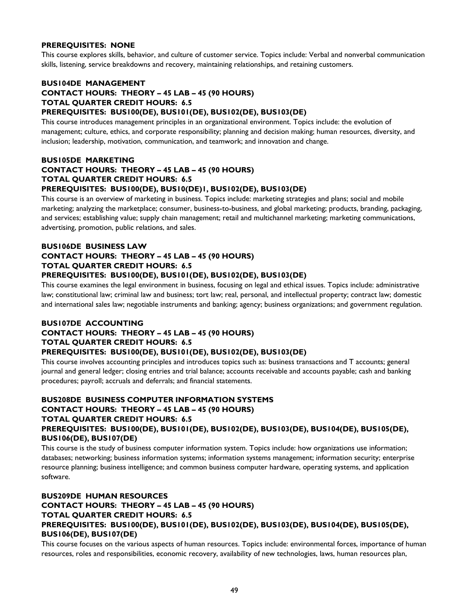### **PREREQUISITES: NONE**

This course explores skills, behavior, and culture of customer service. Topics include: Verbal and nonverbal communication skills, listening, service breakdowns and recovery, maintaining relationships, and retaining customers.

## **BUS104DE MANAGEMENT CONTACT HOURS: THEORY – 45 LAB – 45 (90 HOURS) TOTAL QUARTER CREDIT HOURS: 6.5 PREREQUISITES: BUS100(DE), BUS101(DE), BUS102(DE), BUS103(DE)**

This course introduces management principles in an organizational environment. Topics include: the evolution of management; culture, ethics, and corporate responsibility; planning and decision making; human resources, diversity, and inclusion; leadership, motivation, communication, and teamwork; and innovation and change.

## **BUS105DE MARKETING CONTACT HOURS: THEORY – 45 LAB – 45 (90 HOURS) TOTAL QUARTER CREDIT HOURS: 6.5 PREREQUISITES: BUS100(DE), BUS10(DE)1, BUS102(DE), BUS103(DE)**

This course is an overview of marketing in business. Topics include: marketing strategies and plans; social and mobile marketing; analyzing the marketplace; consumer, business-to-business, and global marketing; products, branding, packaging, and services; establishing value; supply chain management; retail and multichannel marketing; marketing communications, advertising, promotion, public relations, and sales.

## **BUS106DE BUSINESS LAW CONTACT HOURS: THEORY – 45 LAB – 45 (90 HOURS) TOTAL QUARTER CREDIT HOURS: 6.5 PREREQUISITES: BUS100(DE), BUS101(DE), BUS102(DE), BUS103(DE)**

This course examines the legal environment in business, focusing on legal and ethical issues. Topics include: administrative law; constitutional law; criminal law and business; tort law; real, personal, and intellectual property; contract law; domestic and international sales law; negotiable instruments and banking; agency; business organizations; and government regulation.

## **BUS107DE ACCOUNTING**

## **CONTACT HOURS: THEORY – 45 LAB – 45 (90 HOURS) TOTAL QUARTER CREDIT HOURS: 6.5 PREREQUISITES: BUS100(DE), BUS101(DE), BUS102(DE), BUS103(DE)**

This course involves accounting principles and introduces topics such as: business transactions and T accounts; general journal and general ledger; closing entries and trial balance; accounts receivable and accounts payable; cash and banking procedures; payroll; accruals and deferrals; and financial statements.

## **BUS208DE BUSINESS COMPUTER INFORMATION SYSTEMS CONTACT HOURS: THEORY – 45 LAB – 45 (90 HOURS) TOTAL QUARTER CREDIT HOURS: 6.5 PREREQUISITES: BUS100(DE), BUS101(DE), BUS102(DE), BUS103(DE), BUS104(DE), BUS105(DE), BUS106(DE), BUS107(DE)**

This course is the study of business computer information system. Topics include: how organizations use information; databases; networking; business information systems; information systems management; information security; enterprise resource planning; business intelligence; and common business computer hardware, operating systems, and application software.

## **BUS209DE HUMAN RESOURCES CONTACT HOURS: THEORY – 45 LAB – 45 (90 HOURS) TOTAL QUARTER CREDIT HOURS: 6.5 PREREQUISITES: BUS100(DE), BUS101(DE), BUS102(DE), BUS103(DE), BUS104(DE), BUS105(DE), BUS106(DE), BUS107(DE)**

This course focuses on the various aspects of human resources. Topics include: environmental forces, importance of human resources, roles and responsibilities, economic recovery, availability of new technologies, laws, human resources plan,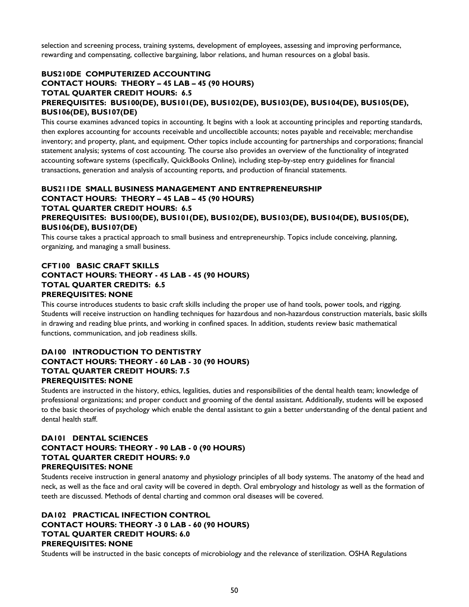selection and screening process, training systems, development of employees, assessing and improving performance, rewarding and compensating, collective bargaining, labor relations, and human resources on a global basis.

## **BUS210DE COMPUTERIZED ACCOUNTING CONTACT HOURS: THEORY – 45 LAB – 45 (90 HOURS) TOTAL QUARTER CREDIT HOURS: 6.5 PREREQUISITES: BUS100(DE), BUS101(DE), BUS102(DE), BUS103(DE), BUS104(DE), BUS105(DE), BUS106(DE), BUS107(DE)**

This course examines advanced topics in accounting. It begins with a look at accounting principles and reporting standards, then explores accounting for accounts receivable and uncollectible accounts; notes payable and receivable; merchandise inventory; and property, plant, and equipment. Other topics include accounting for partnerships and corporations; financial statement analysis; systems of cost accounting. The course also provides an overview of the functionality of integrated accounting software systems (specifically, QuickBooks Online), including step-by-step entry guidelines for financial transactions, generation and analysis of accounting reports, and production of financial statements.

## **BUS211DE SMALL BUSINESS MANAGEMENT AND ENTREPRENEURSHIP CONTACT HOURS: THEORY – 45 LAB – 45 (90 HOURS) TOTAL QUARTER CREDIT HOURS: 6.5 PREREQUISITES: BUS100(DE), BUS101(DE), BUS102(DE), BUS103(DE), BUS104(DE), BUS105(DE), BUS106(DE), BUS107(DE)**

This course takes a practical approach to small business and entrepreneurship. Topics include conceiving, planning, organizing, and managing a small business.

## **CFT100 BASIC CRAFT SKILLS CONTACT HOURS: THEORY - 45 LAB - 45 (90 HOURS) TOTAL QUARTER CREDITS: 6.5 PREREQUISITES: NONE**

This course introduces students to basic craft skills including the proper use of hand tools, power tools, and rigging. Students will receive instruction on handling techniques for hazardous and non-hazardous construction materials, basic skills in drawing and reading blue prints, and working in confined spaces. In addition, students review basic mathematical functions, communication, and job readiness skills.

## **DA100 INTRODUCTION TO DENTISTRY CONTACT HOURS: THEORY - 60 LAB - 30 (90 HOURS) TOTAL QUARTER CREDIT HOURS: 7.5 PREREQUISITES: NONE**

Students are instructed in the history, ethics, legalities, duties and responsibilities of the dental health team; knowledge of professional organizations; and proper conduct and grooming of the dental assistant. Additionally, students will be exposed to the basic theories of psychology which enable the dental assistant to gain a better understanding of the dental patient and dental health staff.

## **DA101 DENTAL SCIENCES CONTACT HOURS: THEORY - 90 LAB - 0 (90 HOURS) TOTAL QUARTER CREDIT HOURS: 9.0 PREREQUISITES: NONE**

Students receive instruction in general anatomy and physiology principles of all body systems. The anatomy of the head and neck, as well as the face and oral cavity will be covered in depth. Oral embryology and histology as well as the formation of teeth are discussed. Methods of dental charting and common oral diseases will be covered.

## **DA102 PRACTICAL INFECTION CONTROL CONTACT HOURS: THEORY -3 0 LAB - 60 (90 HOURS) TOTAL QUARTER CREDIT HOURS: 6.0 PREREQUISITES: NONE**

Students will be instructed in the basic concepts of microbiology and the relevance of sterilization. OSHA Regulations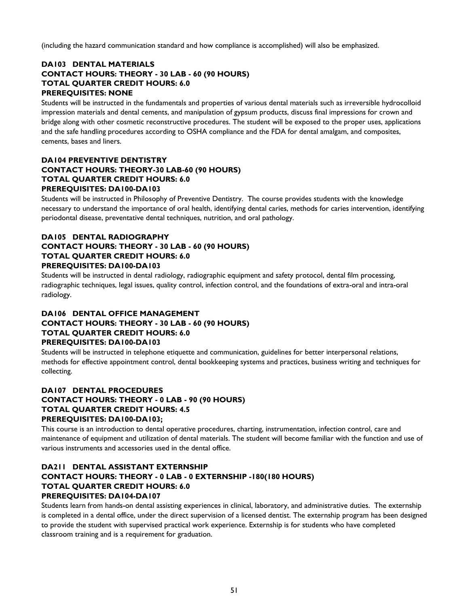(including the hazard communication standard and how compliance is accomplished) will also be emphasized.

## **DA103 DENTAL MATERIALS CONTACT HOURS: THEORY - 30 LAB - 60 (90 HOURS) TOTAL QUARTER CREDIT HOURS: 6.0 PREREQUISITES: NONE**

Students will be instructed in the fundamentals and properties of various dental materials such as irreversible hydrocolloid impression materials and dental cements, and manipulation of gypsum products, discuss final impressions for crown and bridge along with other cosmetic reconstructive procedures. The student will be exposed to the proper uses, applications and the safe handling procedures according to OSHA compliance and the FDA for dental amalgam, and composites, cements, bases and liners.

## **DA104 PREVENTIVE DENTISTRY CONTACT HOURS: THEORY-30 LAB-60 (90 HOURS) TOTAL QUARTER CREDIT HOURS: 6.0 PREREQUISITES: DA100-DA103**

Students will be instructed in Philosophy of Preventive Dentistry. The course provides students with the knowledge necessary to understand the importance of oral health, identifying dental caries, methods for caries intervention, identifying periodontal disease, preventative dental techniques, nutrition, and oral pathology.

## **DA105 DENTAL RADIOGRAPHY CONTACT HOURS: THEORY - 30 LAB - 60 (90 HOURS) TOTAL QUARTER CREDIT HOURS: 6.0 PREREQUISITES: DA100-DA103**

Students will be instructed in dental radiology, radiographic equipment and safety protocol, dental film processing, radiographic techniques, legal issues, quality control, infection control, and the foundations of extra-oral and intra-oral radiology.

## **DA106 DENTAL OFFICE MANAGEMENT CONTACT HOURS: THEORY - 30 LAB - 60 (90 HOURS) TOTAL QUARTER CREDIT HOURS: 6.0 PREREQUISITES: DA100-DA103**

Students will be instructed in telephone etiquette and communication, guidelines for better interpersonal relations, methods for effective appointment control, dental bookkeeping systems and practices, business writing and techniques for collecting.

## **DA107 DENTAL PROCEDURES CONTACT HOURS: THEORY - 0 LAB - 90 (90 HOURS) TOTAL QUARTER CREDIT HOURS: 4.5 PREREQUISITES: DA100-DA103;**

This course is an introduction to dental operative procedures, charting, instrumentation, infection control, care and maintenance of equipment and utilization of dental materials. The student will become familiar with the function and use of various instruments and accessories used in the dental office.

## **DA211 DENTAL ASSISTANT EXTERNSHIP CONTACT HOURS: THEORY - 0 LAB - 0 EXTERNSHIP -180(180 HOURS) TOTAL QUARTER CREDIT HOURS: 6.0 PREREQUISITES: DA104-DA107**

Students learn from hands-on dental assisting experiences in clinical, laboratory, and administrative duties. The externship is completed in a dental office, under the direct supervision of a licensed dentist. The externship program has been designed to provide the student with supervised practical work experience. Externship is for students who have completed classroom training and is a requirement for graduation.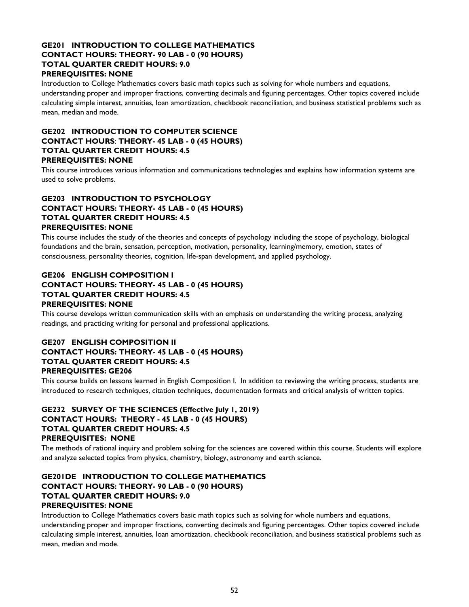## **GE201 INTRODUCTION TO COLLEGE MATHEMATICS CONTACT HOURS: THEORY- 90 LAB - 0 (90 HOURS) TOTAL QUARTER CREDIT HOURS: 9.0 PREREQUISITES: NONE**

Introduction to College Mathematics covers basic math topics such as solving for whole numbers and equations,

understanding proper and improper fractions, converting decimals and figuring percentages. Other topics covered include calculating simple interest, annuities, loan amortization, checkbook reconciliation, and business statistical problems such as mean, median and mode.

## **GE202 INTRODUCTION TO COMPUTER SCIENCE CONTACT HOURS**: **THEORY- 45 LAB - 0 (45 HOURS) TOTAL QUARTER CREDIT HOURS: 4.5 PREREQUISITES: NONE**

This course introduces various information and communications technologies and explains how information systems are used to solve problems.

## **GE203 INTRODUCTION TO PSYCHOLOGY CONTACT HOURS: THEORY- 45 LAB - 0 (45 HOURS) TOTAL QUARTER CREDIT HOURS: 4.5 PREREQUISITES: NONE**

This course includes the study of the theories and concepts of psychology including the scope of psychology, biological foundations and the brain, sensation, perception, motivation, personality, learning/memory, emotion, states of consciousness, personality theories, cognition, life-span development, and applied psychology.

## **GE206 ENGLISH COMPOSITION I CONTACT HOURS: THEORY- 45 LAB - 0 (45 HOURS) TOTAL QUARTER CREDIT HOURS: 4.5 PREREQUISITES: NONE**

This course develops written communication skills with an emphasis on understanding the writing process, analyzing readings, and practicing writing for personal and professional applications.

## **GE207 ENGLISH COMPOSITION II CONTACT HOURS: THEORY- 45 LAB - 0 (45 HOURS) TOTAL QUARTER CREDIT HOURS: 4.5 PREREQUISITES: GE206**

This course builds on lessons learned in English Composition I. In addition to reviewing the writing process, students are introduced to research techniques, citation techniques, documentation formats and critical analysis of written topics.

## **GE232 SURVEY OF THE SCIENCES (Effective July 1, 2019) CONTACT HOURS: THEORY - 45 LAB - 0 (45 HOURS) TOTAL QUARTER CREDIT HOURS: 4.5 PREREQUISITES: NONE**

The methods of rational inquiry and problem solving for the sciences are covered within this course. Students will explore and analyze selected topics from physics, chemistry, biology, astronomy and earth science.

## **GE201DE INTRODUCTION TO COLLEGE MATHEMATICS CONTACT HOURS: THEORY- 90 LAB - 0 (90 HOURS) TOTAL QUARTER CREDIT HOURS: 9.0 PREREQUISITES: NONE**

Introduction to College Mathematics covers basic math topics such as solving for whole numbers and equations, understanding proper and improper fractions, converting decimals and figuring percentages. Other topics covered include calculating simple interest, annuities, loan amortization, checkbook reconciliation, and business statistical problems such as mean, median and mode.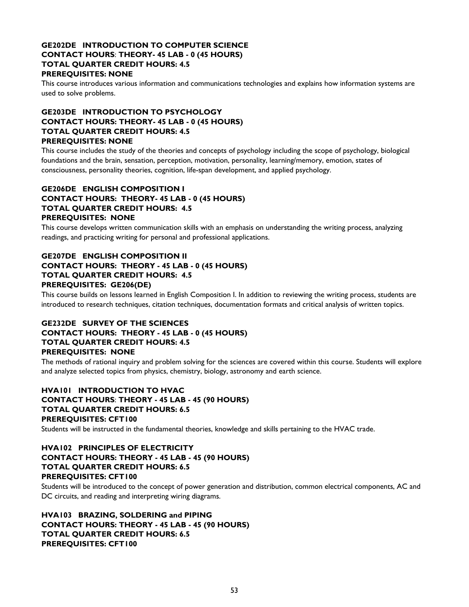## **GE202DE INTRODUCTION TO COMPUTER SCIENCE CONTACT HOURS**: **THEORY- 45 LAB - 0 (45 HOURS) TOTAL QUARTER CREDIT HOURS: 4.5 PREREQUISITES: NONE**

This course introduces various information and communications technologies and explains how information systems are used to solve problems.

## **GE203DE INTRODUCTION TO PSYCHOLOGY CONTACT HOURS: THEORY- 45 LAB - 0 (45 HOURS) TOTAL QUARTER CREDIT HOURS: 4.5 PREREQUISITES: NONE**

This course includes the study of the theories and concepts of psychology including the scope of psychology, biological foundations and the brain, sensation, perception, motivation, personality, learning/memory, emotion, states of consciousness, personality theories, cognition, life-span development, and applied psychology.

## **GE206DE ENGLISH COMPOSITION I CONTACT HOURS: THEORY- 45 LAB - 0 (45 HOURS) TOTAL QUARTER CREDIT HOURS: 4.5 PREREQUISITES: NONE**

This course develops written communication skills with an emphasis on understanding the writing process, analyzing readings, and practicing writing for personal and professional applications.

## **GE207DE ENGLISH COMPOSITION II CONTACT HOURS: THEORY - 45 LAB - 0 (45 HOURS) TOTAL QUARTER CREDIT HOURS: 4.5 PREREQUISITES: GE206(DE)**

This course builds on lessons learned in English Composition I. In addition to reviewing the writing process, students are introduced to research techniques, citation techniques, documentation formats and critical analysis of written topics.

## **GE232DE SURVEY OF THE SCIENCES CONTACT HOURS: THEORY - 45 LAB - 0 (45 HOURS) TOTAL QUARTER CREDIT HOURS: 4.5 PREREQUISITES: NONE**

The methods of rational inquiry and problem solving for the sciences are covered within this course. Students will explore and analyze selected topics from physics, chemistry, biology, astronomy and earth science.

## **HVA101 INTRODUCTION TO HVAC CONTACT HOURS**: **THEORY - 45 LAB - 45 (90 HOURS) TOTAL QUARTER CREDIT HOURS: 6.5 PREREQUISITES: CFT100**

Students will be instructed in the fundamental theories, knowledge and skills pertaining to the HVAC trade.

## **HVA102 PRINCIPLES OF ELECTRICITY CONTACT HOURS: THEORY - 45 LAB - 45 (90 HOURS) TOTAL QUARTER CREDIT HOURS: 6.5 PREREQUISITES: CFT100**

Students will be introduced to the concept of power generation and distribution, common electrical components, AC and DC circuits, and reading and interpreting wiring diagrams.

**HVA103 BRAZING, SOLDERING and PIPING CONTACT HOURS: THEORY - 45 LAB - 45 (90 HOURS) TOTAL QUARTER CREDIT HOURS: 6.5 PREREQUISITES: CFT100**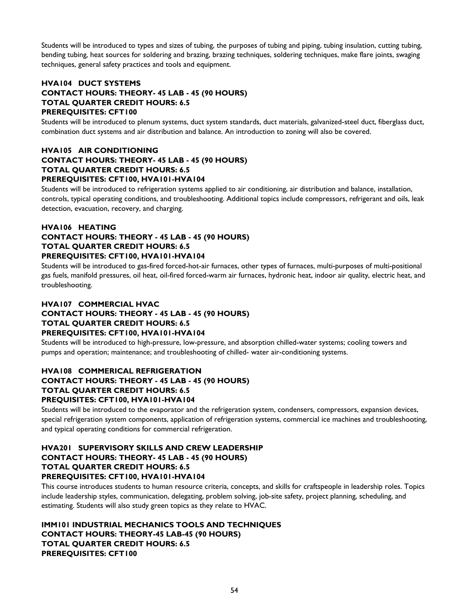Students will be introduced to types and sizes of tubing, the purposes of tubing and piping, tubing insulation, cutting tubing, bending tubing, heat sources for soldering and brazing, brazing techniques, soldering techniques, make flare joints, swaging techniques, general safety practices and tools and equipment.

## **HVA104 DUCT SYSTEMS CONTACT HOURS: THEORY- 45 LAB - 45 (90 HOURS) TOTAL QUARTER CREDIT HOURS: 6.5 PREREQUISITES: CFT100**

Students will be introduced to plenum systems, duct system standards, duct materials, galvanized-steel duct, fiberglass duct, combination duct systems and air distribution and balance. An introduction to zoning will also be covered.

## **HVA105 AIR CONDITIONING CONTACT HOURS: THEORY- 45 LAB - 45 (90 HOURS) TOTAL QUARTER CREDIT HOURS: 6.5 PREREQUISITES: CFT100, HVA101-HVA104**

Students will be introduced to refrigeration systems applied to air conditioning, air distribution and balance, installation, controls, typical operating conditions, and troubleshooting. Additional topics include compressors, refrigerant and oils, leak detection, evacuation, recovery, and charging.

# **HVA106 HEATING**

## **CONTACT HOURS: THEORY - 45 LAB - 45 (90 HOURS) TOTAL QUARTER CREDIT HOURS: 6.5 PREREQUISITES: CFT100, HVA101-HVA104**

Students will be introduced to gas-fired forced-hot-air furnaces, other types of furnaces, multi-purposes of multi-positional gas fuels, manifold pressures, oil heat, oil-fired forced-warm air furnaces, hydronic heat, indoor air quality, electric heat, and troubleshooting.

## **HVA107 COMMERCIAL HVAC CONTACT HOURS: THEORY - 45 LAB - 45 (90 HOURS) TOTAL QUARTER CREDIT HOURS: 6.5 PREREQUISITES: CFT100, HVA101-HVA104**

Students will be introduced to high-pressure, low-pressure, and absorption chilled-water systems; cooling towers and pumps and operation; maintenance; and troubleshooting of chilled- water air-conditioning systems.

## **HVA108 COMMERICAL REFRIGERATION CONTACT HOURS: THEORY - 45 LAB - 45 (90 HOURS) TOTAL QUARTER CREDIT HOURS: 6.5 PREQUISITES: CFT100, HVA101-HVA104**

Students will be introduced to the evaporator and the refrigeration system, condensers, compressors, expansion devices, special refrigeration system components, application of refrigeration systems, commercial ice machines and troubleshooting, and typical operating conditions for commercial refrigeration.

## **HVA201 SUPERVISORY SKILLS AND CREW LEADERSHIP CONTACT HOURS: THEORY- 45 LAB - 45 (90 HOURS) TOTAL QUARTER CREDIT HOURS: 6.5 PREREQUISITES: CFT100, HVA101-HVA104**

This course introduces students to human resource criteria, concepts, and skills for craftspeople in leadership roles. Topics include leadership styles, communication, delegating, problem solving, job-site safety, project planning, scheduling, and estimating. Students will also study green topics as they relate to HVAC.

**IMM101 INDUSTRIAL MECHANICS TOOLS AND TECHNIQUES CONTACT HOURS: THEORY-45 LAB-45 (90 HOURS) TOTAL QUARTER CREDIT HOURS: 6.5 PREREQUISITES: CFT100**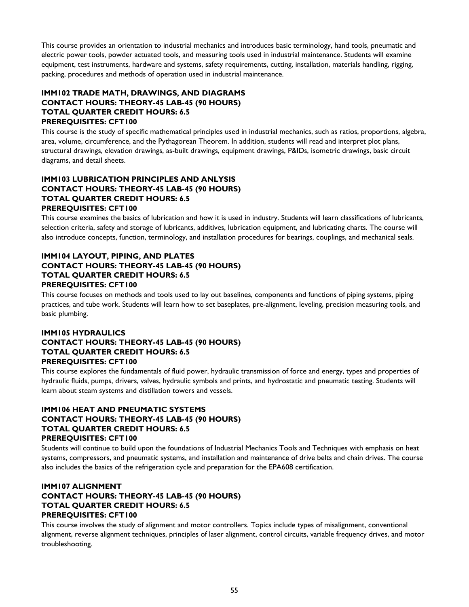This course provides an orientation to industrial mechanics and introduces basic terminology, hand tools, pneumatic and electric power tools, powder actuated tools, and measuring tools used in industrial maintenance. Students will examine equipment, test instruments, hardware and systems, safety requirements, cutting, installation, materials handling, rigging, packing, procedures and methods of operation used in industrial maintenance.

## **IMM102 TRADE MATH, DRAWINGS, AND DIAGRAMS CONTACT HOURS: THEORY-45 LAB-45 (90 HOURS) TOTAL QUARTER CREDIT HOURS: 6.5 PREREQUISITES: CFT100**

This course is the study of specific mathematical principles used in industrial mechanics, such as ratios, proportions, algebra, area, volume, circumference, and the Pythagorean Theorem. In addition, students will read and interpret plot plans, structural drawings, elevation drawings, as-built drawings, equipment drawings, P&IDs, isometric drawings, basic circuit diagrams, and detail sheets.

## **IMM103 LUBRICATION PRINCIPLES AND ANLYSIS CONTACT HOURS: THEORY-45 LAB-45 (90 HOURS) TOTAL QUARTER CREDIT HOURS: 6.5 PREREQUISITES: CFT100**

This course examines the basics of lubrication and how it is used in industry. Students will learn classifications of lubricants, selection criteria, safety and storage of lubricants, additives, lubrication equipment, and lubricating charts. The course will also introduce concepts, function, terminology, and installation procedures for bearings, couplings, and mechanical seals.

## **IMM104 LAYOUT, PIPING, AND PLATES CONTACT HOURS: THEORY-45 LAB-45 (90 HOURS) TOTAL QUARTER CREDIT HOURS: 6.5 PREREQUISITES: CFT100**

This course focuses on methods and tools used to lay out baselines, components and functions of piping systems, piping practices, and tube work. Students will learn how to set baseplates, pre-alignment, leveling, precision measuring tools, and basic plumbing.

## **IMM105 HYDRAULICS CONTACT HOURS: THEORY-45 LAB-45 (90 HOURS) TOTAL QUARTER CREDIT HOURS: 6.5 PREREQUISITES: CFT100**

This course explores the fundamentals of fluid power, hydraulic transmission of force and energy, types and properties of hydraulic fluids, pumps, drivers, valves, hydraulic symbols and prints, and hydrostatic and pneumatic testing. Students will learn about steam systems and distillation towers and vessels.

## **IMM106 HEAT AND PNEUMATIC SYSTEMS CONTACT HOURS: THEORY-45 LAB-45 (90 HOURS) TOTAL QUARTER CREDIT HOURS: 6.5 PREREQUISITES: CFT100**

Students will continue to build upon the foundations of Industrial Mechanics Tools and Techniques with emphasis on heat systems, compressors, and pneumatic systems, and installation and maintenance of drive belts and chain drives. The course also includes the basics of the refrigeration cycle and preparation for the EPA608 certification.

## **IMM107 ALIGNMENT CONTACT HOURS: THEORY-45 LAB-45 (90 HOURS) TOTAL QUARTER CREDIT HOURS: 6.5 PREREQUISITES: CFT100**

This course involves the study of alignment and motor controllers. Topics include types of misalignment, conventional alignment, reverse alignment techniques, principles of laser alignment, control circuits, variable frequency drives, and motor troubleshooting.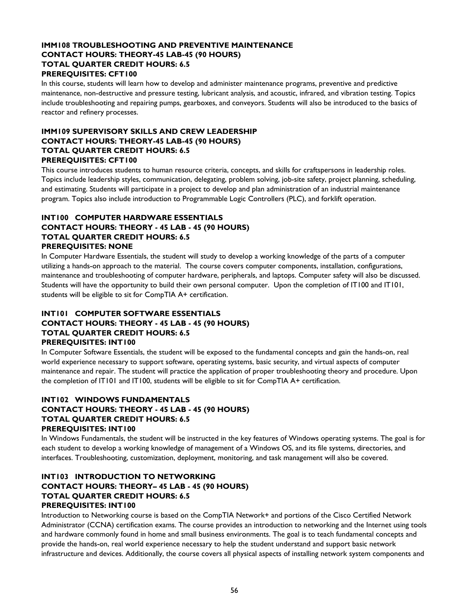## **IMM108 TROUBLESHOOTING AND PREVENTIVE MAINTENANCE CONTACT HOURS: THEORY-45 LAB-45 (90 HOURS) TOTAL QUARTER CREDIT HOURS: 6.5 PREREQUISITES: CFT100**

In this course, students will learn how to develop and administer maintenance programs, preventive and predictive maintenance, non-destructive and pressure testing, lubricant analysis, and acoustic, infrared, and vibration testing. Topics include troubleshooting and repairing pumps, gearboxes, and conveyors. Students will also be introduced to the basics of reactor and refinery processes.

## **IMM109 SUPERVISORY SKILLS AND CREW LEADERSHIP CONTACT HOURS: THEORY-45 LAB-45 (90 HOURS) TOTAL QUARTER CREDIT HOURS: 6.5 PREREQUISITES: CFT100**

This course introduces students to human resource criteria, concepts, and skills for craftspersons in leadership roles. Topics include leadership styles, communication, delegating, problem solving, job-site safety, project planning, scheduling, and estimating. Students will participate in a project to develop and plan administration of an industrial maintenance program. Topics also include introduction to Programmable Logic Controllers (PLC), and forklift operation.

## **INT100 COMPUTER HARDWARE ESSENTIALS CONTACT HOURS: THEORY - 45 LAB - 45 (90 HOURS) TOTAL QUARTER CREDIT HOURS: 6.5 PREREQUISITES: NONE**

In Computer Hardware Essentials, the student will study to develop a working knowledge of the parts of a computer utilizing a hands-on approach to the material. The course covers computer components, installation, configurations, maintenance and troubleshooting of computer hardware, peripherals, and laptops. Computer safety will also be discussed. Students will have the opportunity to build their own personal computer. Upon the completion of IT100 and IT101, students will be eligible to sit for CompTIA A+ certification.

## **INT101 COMPUTER SOFTWARE ESSENTIALS CONTACT HOURS: THEORY - 45 LAB - 45 (90 HOURS) TOTAL QUARTER CREDIT HOURS: 6.5 PREREQUISITES: INT100**

In Computer Software Essentials, the student will be exposed to the fundamental concepts and gain the hands-on, real world experience necessary to support software, operating systems, basic security, and virtual aspects of computer maintenance and repair. The student will practice the application of proper troubleshooting theory and procedure. Upon the completion of IT101 and IT100, students will be eligible to sit for CompTIA A+ certification.

## **INT102 WINDOWS FUNDAMENTALS CONTACT HOURS: THEORY - 45 LAB - 45 (90 HOURS) TOTAL QUARTER CREDIT HOURS: 6.5 PREREQUISITES: INT100**

In Windows Fundamentals, the student will be instructed in the key features of Windows operating systems. The goal is for each student to develop a working knowledge of management of a Windows OS, and its file systems, directories, and interfaces. Troubleshooting, customization, deployment, monitoring, and task management will also be covered.

## **INT103 INTRODUCTION TO NETWORKING CONTACT HOURS: THEORY– 45 LAB - 45 (90 HOURS) TOTAL QUARTER CREDIT HOURS: 6.5 PREREQUISITES: INT100**

Introduction to Networking course is based on the CompTIA Network+ and portions of the Cisco Certified Network Administrator (CCNA) certification exams. The course provides an introduction to networking and the Internet using tools and hardware commonly found in home and small business environments. The goal is to teach fundamental concepts and provide the hands-on, real world experience necessary to help the student understand and support basic network infrastructure and devices. Additionally, the course covers all physical aspects of installing network system components and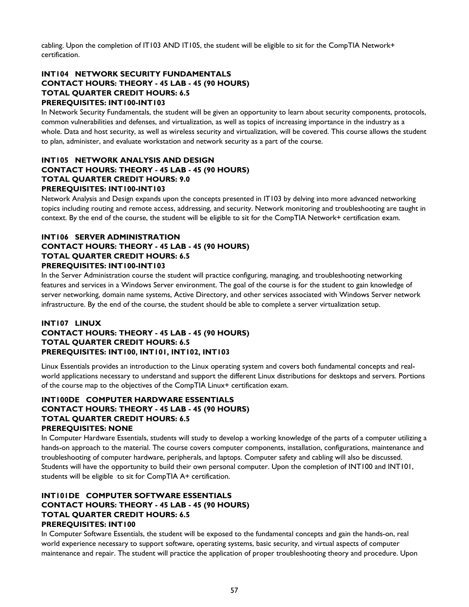cabling. Upon the completion of IT103 AND IT105, the student will be eligible to sit for the CompTIA Network+ certification.

## **INT104 NETWORK SECURITY FUNDAMENTALS CONTACT HOURS: THEORY - 45 LAB - 45 (90 HOURS) TOTAL QUARTER CREDIT HOURS: 6.5 PREREQUISITES: INT100-INT103**

In Network Security Fundamentals, the student will be given an opportunity to learn about security components, protocols, common vulnerabilities and defenses, and virtualization, as well as topics of increasing importance in the industry as a whole. Data and host security, as well as wireless security and virtualization, will be covered. This course allows the student to plan, administer, and evaluate workstation and network security as a part of the course.

## **INT105 NETWORK ANALYSIS AND DESIGN CONTACT HOURS: THEORY - 45 LAB - 45 (90 HOURS) TOTAL QUARTER CREDIT HOURS: 9.0 PREREQUISITES: INT100-INT103**

Network Analysis and Design expands upon the concepts presented in IT103 by delving into more advanced networking topics including routing and remote access, addressing, and security. Network monitoring and troubleshooting are taught in context. By the end of the course, the student will be eligible to sit for the CompTIA Network+ certification exam.

## **INT106 SERVER ADMINISTRATION CONTACT HOURS: THEORY - 45 LAB - 45 (90 HOURS) TOTAL QUARTER CREDIT HOURS: 6.5 PREREQUISITES: INT100-INT103**

In the Server Administration course the student will practice configuring, managing, and troubleshooting networking features and services in a Windows Server environment. The goal of the course is for the student to gain knowledge of server networking, domain name systems, Active Directory, and other services associated with Windows Server network infrastructure. By the end of the course, the student should be able to complete a server virtualization setup.

## **INT107 LINUX CONTACT HOURS: THEORY - 45 LAB - 45 (90 HOURS) TOTAL QUARTER CREDIT HOURS: 6.5 PREREQUISITES: INT100, INT101, INT102, INT103**

Linux Essentials provides an introduction to the Linux operating system and covers both fundamental concepts and realworld applications necessary to understand and support the different Linux distributions for desktops and servers. Portions of the course map to the objectives of the CompTIA Linux+ certification exam.

## **INT100DE COMPUTER HARDWARE ESSENTIALS CONTACT HOURS: THEORY - 45 LAB - 45 (90 HOURS) TOTAL QUARTER CREDIT HOURS: 6.5 PREREQUISITES: NONE**

In Computer Hardware Essentials, students will study to develop a working knowledge of the parts of a computer utilizing a hands-on approach to the material. The course covers computer components, installation, configurations, maintenance and troubleshooting of computer hardware, peripherals, and laptops. Computer safety and cabling will also be discussed. Students will have the opportunity to build their own personal computer. Upon the completion of INT100 and INT101, students will be eligible to sit for CompTIA A+ certification.

## **INT101DE COMPUTER SOFTWARE ESSENTIALS CONTACT HOURS: THEORY - 45 LAB - 45 (90 HOURS) TOTAL QUARTER CREDIT HOURS: 6.5 PREREQUISITES: INT100**

In Computer Software Essentials, the student will be exposed to the fundamental concepts and gain the hands-on, real world experience necessary to support software, operating systems, basic security, and virtual aspects of computer maintenance and repair. The student will practice the application of proper troubleshooting theory and procedure. Upon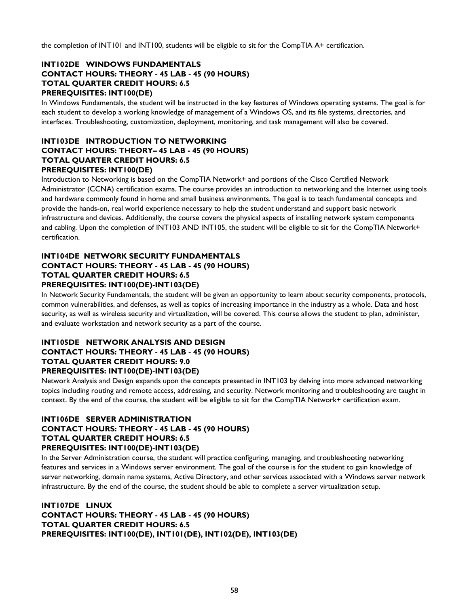the completion of INT101 and INT100, students will be eligible to sit for the CompTIA A+ certification.

## **INT102DE WINDOWS FUNDAMENTALS CONTACT HOURS: THEORY - 45 LAB - 45 (90 HOURS) TOTAL QUARTER CREDIT HOURS: 6.5 PREREQUISITES: INT100(DE)**

In Windows Fundamentals, the student will be instructed in the key features of Windows operating systems. The goal is for each student to develop a working knowledge of management of a Windows OS, and its file systems, directories, and interfaces. Troubleshooting, customization, deployment, monitoring, and task management will also be covered.

## **INT103DE INTRODUCTION TO NETWORKING CONTACT HOURS: THEORY– 45 LAB - 45 (90 HOURS) TOTAL QUARTER CREDIT HOURS: 6.5 PREREQUISITES: INT100(DE)**

Introduction to Networking is based on the CompTIA Network+ and portions of the Cisco Certified Network Administrator (CCNA) certification exams. The course provides an introduction to networking and the Internet using tools and hardware commonly found in home and small business environments. The goal is to teach fundamental concepts and provide the hands-on, real world experience necessary to help the student understand and support basic network infrastructure and devices. Additionally, the course covers the physical aspects of installing network system components and cabling. Upon the completion of INT103 AND INT105, the student will be eligible to sit for the CompTIA Network+ certification.

## **INT104DE NETWORK SECURITY FUNDAMENTALS CONTACT HOURS: THEORY - 45 LAB - 45 (90 HOURS) TOTAL QUARTER CREDIT HOURS: 6.5 PREREQUISITES: INT100(DE)-INT103(DE)**

In Network Security Fundamentals, the student will be given an opportunity to learn about security components, protocols, common vulnerabilities, and defenses, as well as topics of increasing importance in the industry as a whole. Data and host security, as well as wireless security and virtualization, will be covered. This course allows the student to plan, administer, and evaluate workstation and network security as a part of the course.

## **INT105DE NETWORK ANALYSIS AND DESIGN CONTACT HOURS: THEORY - 45 LAB - 45 (90 HOURS) TOTAL QUARTER CREDIT HOURS: 9.0 PREREQUISITES: INT100(DE)-INT103(DE)**

Network Analysis and Design expands upon the concepts presented in INT103 by delving into more advanced networking topics including routing and remote access, addressing, and security. Network monitoring and troubleshooting are taught in context. By the end of the course, the student will be eligible to sit for the CompTIA Network+ certification exam.

## **INT106DE SERVER ADMINISTRATION**

## **CONTACT HOURS: THEORY - 45 LAB - 45 (90 HOURS) TOTAL QUARTER CREDIT HOURS: 6.5 PREREQUISITES: INT100(DE)-INT103(DE)**

In the Server Administration course, the student will practice configuring, managing, and troubleshooting networking features and services in a Windows server environment. The goal of the course is for the student to gain knowledge of server networking, domain name systems, Active Directory, and other services associated with a Windows server network infrastructure. By the end of the course, the student should be able to complete a server virtualization setup.

**INT107DE LINUX CONTACT HOURS: THEORY - 45 LAB - 45 (90 HOURS) TOTAL QUARTER CREDIT HOURS: 6.5 PREREQUISITES: INT100(DE), INT101(DE), INT102(DE), INT103(DE)**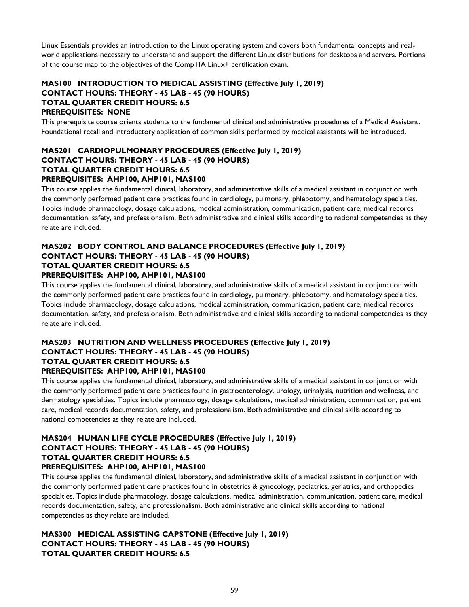Linux Essentials provides an introduction to the Linux operating system and covers both fundamental concepts and realworld applications necessary to understand and support the different Linux distributions for desktops and servers. Portions of the course map to the objectives of the CompTIA Linux+ certification exam.

## **MAS100 INTRODUCTION TO MEDICAL ASSISTING (Effective July 1, 2019) CONTACT HOURS: THEORY - 45 LAB - 45 (90 HOURS) TOTAL QUARTER CREDIT HOURS: 6.5 PREREQUISITES: NONE**

This prerequisite course orients students to the fundamental clinical and administrative procedures of a Medical Assistant. Foundational recall and introductory application of common skills performed by medical assistants will be introduced.

# **MAS201 CARDIOPULMONARY PROCEDURES (Effective July 1, 2019) CONTACT HOURS: THEORY - 45 LAB - 45 (90 HOURS) TOTAL QUARTER CREDIT HOURS: 6.5**

## **PREREQUISITES: AHP100, AHP101, MAS100**

This course applies the fundamental clinical, laboratory, and administrative skills of a medical assistant in conjunction with the commonly performed patient care practices found in cardiology, pulmonary, phlebotomy, and hematology specialties. Topics include pharmacology, dosage calculations, medical administration, communication, patient care, medical records documentation, safety, and professionalism. Both administrative and clinical skills according to national competencies as they relate are included.

## **MAS202 BODY CONTROL AND BALANCE PROCEDURES (Effective July 1, 2019) CONTACT HOURS: THEORY - 45 LAB - 45 (90 HOURS) TOTAL QUARTER CREDIT HOURS: 6.5**

## **PREREQUISITES: AHP100, AHP101, MAS100**

This course applies the fundamental clinical, laboratory, and administrative skills of a medical assistant in conjunction with the commonly performed patient care practices found in cardiology, pulmonary, phlebotomy, and hematology specialties. Topics include pharmacology, dosage calculations, medical administration, communication, patient care, medical records documentation, safety, and professionalism. Both administrative and clinical skills according to national competencies as they relate are included.

## **MAS203 NUTRITION AND WELLNESS PROCEDURES (Effective July 1, 2019) CONTACT HOURS: THEORY - 45 LAB - 45 (90 HOURS) TOTAL QUARTER CREDIT HOURS: 6.5 PREREQUISITES: AHP100, AHP101, MAS100**

This course applies the fundamental clinical, laboratory, and administrative skills of a medical assistant in conjunction with the commonly performed patient care practices found in gastroenterology, urology, urinalysis, nutrition and wellness, and dermatology specialties. Topics include pharmacology, dosage calculations, medical administration, communication, patient care, medical records documentation, safety, and professionalism. Both administrative and clinical skills according to national competencies as they relate are included.

## **MAS204 HUMAN LIFE CYCLE PROCEDURES (Effective July 1, 2019) CONTACT HOURS: THEORY - 45 LAB - 45 (90 HOURS) TOTAL QUARTER CREDIT HOURS: 6.5 PREREQUISITES: AHP100, AHP101, MAS100**

This course applies the fundamental clinical, laboratory, and administrative skills of a medical assistant in conjunction with the commonly performed patient care practices found in obstetrics & gynecology, pediatrics, geriatrics, and orthopedics specialties. Topics include pharmacology, dosage calculations, medical administration, communication, patient care, medical records documentation, safety, and professionalism. Both administrative and clinical skills according to national competencies as they relate are included.

## **MAS300 MEDICAL ASSISTING CAPSTONE (Effective July 1, 2019) CONTACT HOURS: THEORY - 45 LAB - 45 (90 HOURS) TOTAL QUARTER CREDIT HOURS: 6.5**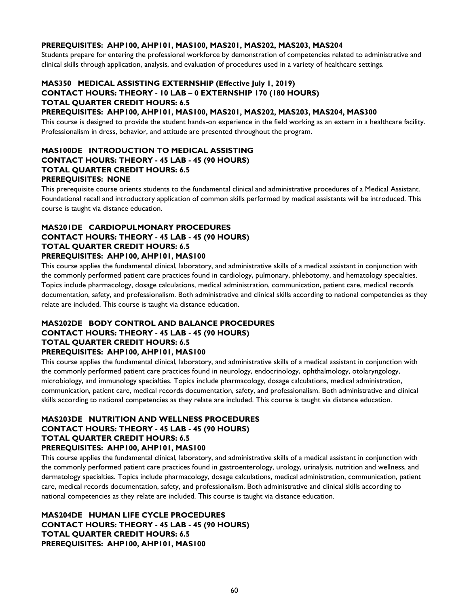#### **PREREQUISITES: AHP100, AHP101, MAS100, MAS201, MAS202, MAS203, MAS204**

Students prepare for entering the professional workforce by demonstration of competencies related to administrative and clinical skills through application, analysis, and evaluation of procedures used in a variety of healthcare settings.

# **MAS350 MEDICAL ASSISTING EXTERNSHIP (Effective July 1, 2019) CONTACT HOURS: THEORY - 10 LAB – 0 EXTERNSHIP 170 (180 HOURS) TOTAL QUARTER CREDIT HOURS: 6.5**

## **PREREQUISITES: AHP100, AHP101, MAS100, MAS201, MAS202, MAS203, MAS204, MAS300**

This course is designed to provide the student hands-on experience in the field working as an extern in a healthcare facility. Professionalism in dress, behavior, and attitude are presented throughout the program.

## **MAS100DE INTRODUCTION TO MEDICAL ASSISTING CONTACT HOURS: THEORY - 45 LAB - 45 (90 HOURS) TOTAL QUARTER CREDIT HOURS: 6.5 PREREQUISITES: NONE**

This prerequisite course orients students to the fundamental clinical and administrative procedures of a Medical Assistant. Foundational recall and introductory application of common skills performed by medical assistants will be introduced. This course is taught via distance education.

## **MAS201DE CARDIOPULMONARY PROCEDURES CONTACT HOURS: THEORY - 45 LAB - 45 (90 HOURS) TOTAL QUARTER CREDIT HOURS: 6.5 PREREQUISITES: AHP100, AHP101, MAS100**

This course applies the fundamental clinical, laboratory, and administrative skills of a medical assistant in conjunction with the commonly performed patient care practices found in cardiology, pulmonary, phlebotomy, and hematology specialties. Topics include pharmacology, dosage calculations, medical administration, communication, patient care, medical records documentation, safety, and professionalism. Both administrative and clinical skills according to national competencies as they relate are included. This course is taught via distance education.

## **MAS202DE BODY CONTROL AND BALANCE PROCEDURES CONTACT HOURS: THEORY - 45 LAB - 45 (90 HOURS) TOTAL QUARTER CREDIT HOURS: 6.5 PREREQUISITES: AHP100, AHP101, MAS100**

This course applies the fundamental clinical, laboratory, and administrative skills of a medical assistant in conjunction with the commonly performed patient care practices found in neurology, endocrinology, ophthalmology, otolaryngology, microbiology, and immunology specialties. Topics include pharmacology, dosage calculations, medical administration, communication, patient care, medical records documentation, safety, and professionalism. Both administrative and clinical skills according to national competencies as they relate are included. This course is taught via distance education.

## **MAS203DE NUTRITION AND WELLNESS PROCEDURES CONTACT HOURS: THEORY - 45 LAB - 45 (90 HOURS) TOTAL QUARTER CREDIT HOURS: 6.5 PREREQUISITES: AHP100, AHP101, MAS100**

This course applies the fundamental clinical, laboratory, and administrative skills of a medical assistant in conjunction with the commonly performed patient care practices found in gastroenterology, urology, urinalysis, nutrition and wellness, and dermatology specialties. Topics include pharmacology, dosage calculations, medical administration, communication, patient care, medical records documentation, safety, and professionalism. Both administrative and clinical skills according to national competencies as they relate are included. This course is taught via distance education.

**MAS204DE HUMAN LIFE CYCLE PROCEDURES CONTACT HOURS: THEORY - 45 LAB - 45 (90 HOURS) TOTAL QUARTER CREDIT HOURS: 6.5 PREREQUISITES: AHP100, AHP101, MAS100**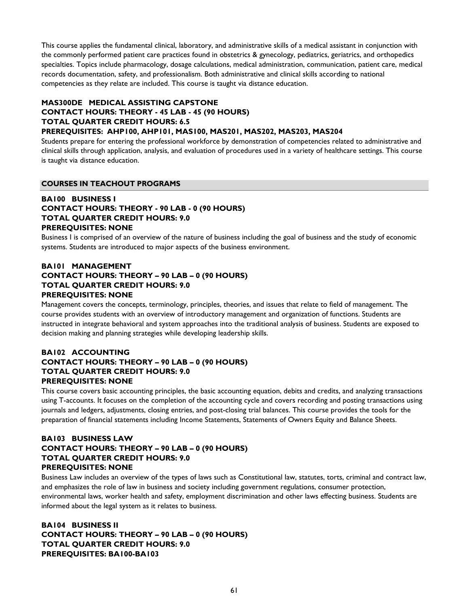This course applies the fundamental clinical, laboratory, and administrative skills of a medical assistant in conjunction with the commonly performed patient care practices found in obstetrics & gynecology, pediatrics, geriatrics, and orthopedics specialties. Topics include pharmacology, dosage calculations, medical administration, communication, patient care, medical records documentation, safety, and professionalism. Both administrative and clinical skills according to national competencies as they relate are included. This course is taught via distance education.

## **MAS300DE MEDICAL ASSISTING CAPSTONE CONTACT HOURS: THEORY - 45 LAB - 45 (90 HOURS) TOTAL QUARTER CREDIT HOURS: 6.5 PREREQUISITES: AHP100, AHP101, MAS100, MAS201, MAS202, MAS203, MAS204**

Students prepare for entering the professional workforce by demonstration of competencies related to administrative and clinical skills through application, analysis, and evaluation of procedures used in a variety of healthcare settings. This course

# is taught via distance education.

## **COURSES IN TEACHOUT PROGRAMS**

## **BA100 BUSINESS I CONTACT HOURS: THEORY - 90 LAB - 0 (90 HOURS) TOTAL QUARTER CREDIT HOURS: 9.0 PREREQUISITES: NONE**

Business I is comprised of an overview of the nature of business including the goal of business and the study of economic systems. Students are introduced to major aspects of the business environment.

## **BA101 MANAGEMENT CONTACT HOURS: THEORY – 90 LAB – 0 (90 HOURS) TOTAL QUARTER CREDIT HOURS: 9.0 PREREQUISITES: NONE**

Management covers the concepts, terminology, principles, theories, and issues that relate to field of management. The course provides students with an overview of introductory management and organization of functions. Students are instructed in integrate behavioral and system approaches into the traditional analysis of business. Students are exposed to decision making and planning strategies while developing leadership skills.

## **BA102 ACCOUNTING CONTACT HOURS: THEORY – 90 LAB – 0 (90 HOURS) TOTAL QUARTER CREDIT HOURS: 9.0 PREREQUISITES: NONE**

This course covers basic accounting principles, the basic accounting equation, debits and credits, and analyzing transactions using T-accounts. It focuses on the completion of the accounting cycle and covers recording and posting transactions using journals and ledgers, adjustments, closing entries, and post-closing trial balances. This course provides the tools for the preparation of financial statements including Income Statements, Statements of Owners Equity and Balance Sheets.

## **BA103 BUSINESS LAW CONTACT HOURS: THEORY – 90 LAB – 0 (90 HOURS) TOTAL QUARTER CREDIT HOURS: 9.0 PREREQUISITES: NONE**

Business Law includes an overview of the types of laws such as Constitutional law, statutes, torts, criminal and contract law, and emphasizes the role of law in business and society including government regulations, consumer protection, environmental laws, worker health and safety, employment discrimination and other laws effecting business. Students are informed about the legal system as it relates to business.

**BA104 BUSINESS II CONTACT HOURS: THEORY – 90 LAB – 0 (90 HOURS) TOTAL QUARTER CREDIT HOURS: 9.0 PREREQUISITES: BA100-BA103**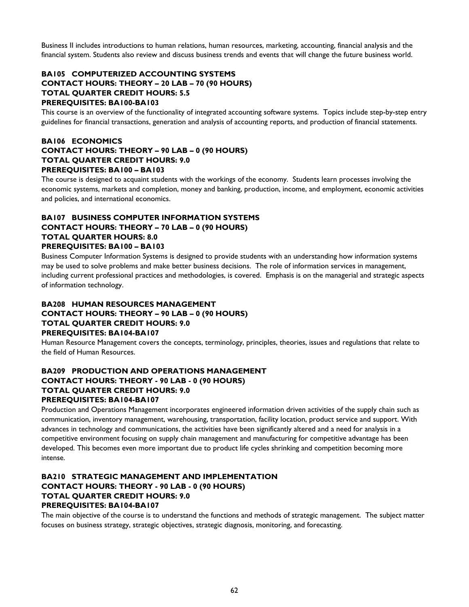Business II includes introductions to human relations, human resources, marketing, accounting, financial analysis and the financial system. Students also review and discuss business trends and events that will change the future business world.

## **BA105 COMPUTERIZED ACCOUNTING SYSTEMS CONTACT HOURS: THEORY – 20 LAB – 70 (90 HOURS) TOTAL QUARTER CREDIT HOURS: 5.5 PREREQUISITES: BA100-BA103**

This course is an overview of the functionality of integrated accounting software systems. Topics include step-by-step entry guidelines for financial transactions, generation and analysis of accounting reports, and production of financial statements.

## **BA106 ECONOMICS CONTACT HOURS: THEORY – 90 LAB – 0 (90 HOURS) TOTAL QUARTER CREDIT HOURS: 9.0 PREREQUISITES: BA100 – BA103**

The course is designed to acquaint students with the workings of the economy. Students learn processes involving the economic systems, markets and completion, money and banking, production, income, and employment, economic activities and policies, and international economics.

## **BA107 BUSINESS COMPUTER INFORMATION SYSTEMS CONTACT HOURS: THEORY – 70 LAB – 0 (90 HOURS) TOTAL QUARTER HOURS: 8.0 PREREQUISITES: BA100 – BA103**

Business Computer Information Systems is designed to provide students with an understanding how information systems may be used to solve problems and make better business decisions. The role of information services in management, including current professional practices and methodologies, is covered. Emphasis is on the managerial and strategic aspects of information technology.

## **BA208 HUMAN RESOURCES MANAGEMENT CONTACT HOURS: THEORY – 90 LAB – 0 (90 HOURS) TOTAL QUARTER CREDIT HOURS: 9.0 PREREQUISITES: BA104-BA107**

Human Resource Management covers the concepts, terminology, principles, theories, issues and regulations that relate to the field of Human Resources.

## **BA209 PRODUCTION AND OPERATIONS MANAGEMENT CONTACT HOURS: THEORY - 90 LAB - 0 (90 HOURS) TOTAL QUARTER CREDIT HOURS: 9.0 PREREQUISITES: BA104-BA107**

Production and Operations Management incorporates engineered information driven activities of the supply chain such as communication, inventory management, warehousing, transportation, facility location, product service and support. With advances in technology and communications, the activities have been significantly altered and a need for analysis in a competitive environment focusing on supply chain management and manufacturing for competitive advantage has been developed. This becomes even more important due to product life cycles shrinking and competition becoming more intense.

## **BA210 STRATEGIC MANAGEMENT AND IMPLEMENTATION CONTACT HOURS: THEORY - 90 LAB - 0 (90 HOURS) TOTAL QUARTER CREDIT HOURS: 9.0 PREREQUISITES: BA104-BA107**

The main objective of the course is to understand the functions and methods of strategic management. The subject matter focuses on business strategy, strategic objectives, strategic diagnosis, monitoring, and forecasting.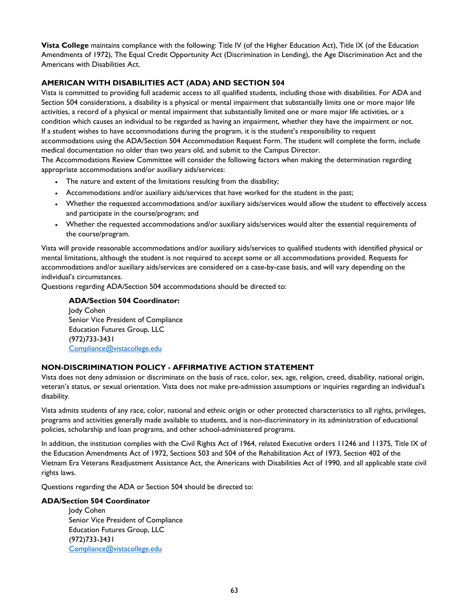**Vista College** maintains compliance with the following: Title IV (of the Higher Education Act), Title IX (of the Education Amendments of 1972), The Equal Credit Opportunity Act (Discrimination in Lending), the Age Discrimination Act and the Americans with Disabilities Act.

## **AMERICAN WITH DISABILITIES ACT (ADA) AND SECTION 504**

Vista is committed to providing full academic access to all qualified students, including those with disabilities. For ADA and Section 504 considerations, a disability is a physical or mental impairment that substantially limits one or more major life activities, a record of a physical or mental impairment that substantially limited one or more major life activities, or a condition which causes an individual to be regarded as having an impairment, whether they have the impairment or not. If a student wishes to have accommodations during the program, it is the student's responsibility to request accommodations using the ADA/Section 504 Accommodation Request Form. The student will complete the form, include medical documentation no older than two years old, and submit to the Campus Director.

The Accommodations Review Committee will consider the following factors when making the determination regarding appropriate accommodations and/or auxiliary aids/services:

- The nature and extent of the limitations resulting from the disability;
- Accommodations and/or auxiliary aids/services that have worked for the student in the past;
- Whether the requested accommodations and/or auxiliary aids/services would allow the student to effectively access and participate in the course/program; and
- Whether the requested accommodations and/or auxiliary aids/services would alter the essential requirements of the course/program.

Vista will provide reasonable accommodations and/or auxiliary aids/services to qualified students with identified physical or mental limitations, although the student is not required to accept some or all accommodations provided. Requests for accommodations and/or auxiliary aids/services are considered on a case-by-case basis, and will vary depending on the individual's circumstances.

Questions regarding ADA/Section 504 accommodations should be directed to:

**ADA/Section 504 Coordinator:**  Jody Cohen Senior Vice President of Compliance Education Futures Group, LLC (972)733-3431 Compliance@vistacollege.edu

## **NON-DISCRIMINATION POLICY - AFFIRMATIVE ACTION STATEMENT**

Vista does not deny admission or discriminate on the basis of race, color, sex, age, religion, creed, disability, national origin, veteran's status, or sexual orientation. Vista does not make pre-admission assumptions or inquiries regarding an individual's disability.

Vista admits students of any race, color, national and ethnic origin or other protected characteristics to all rights, privileges, programs and activities generally made available to students, and is non-discriminatory in its administration of educational policies, scholarship and loan programs, and other school-administered programs.

In addition, the institution complies with the Civil Rights Act of 1964, related Executive orders 11246 and 11375, Title IX of the Education Amendments Act of 1972, Sections 503 and 504 of the Rehabilitation Act of 1973, Section 402 of the Vietnam Era Veterans Readjustment Assistance Act, the Americans with Disabilities Act of 1990, and all applicable state civil rights laws.

Questions regarding the ADA or Section 504 should be directed to:

## **ADA/Section 504 Coordinator**

Jody Cohen Senior Vice President of Compliance Education Futures Group, LLC (972)733-3431 Compliance@vistacollege.edu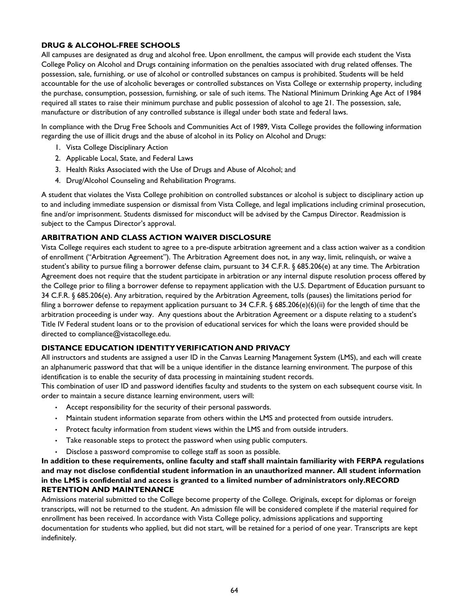## **DRUG & ALCOHOL-FREE SCHOOLS**

All campuses are designated as drug and alcohol free. Upon enrollment, the campus will provide each student the Vista College Policy on Alcohol and Drugs containing information on the penalties associated with drug related offenses. The possession, sale, furnishing, or use of alcohol or controlled substances on campus is prohibited. Students will be held accountable for the use of alcoholic beverages or controlled substances on Vista College or externship property, including the purchase, consumption, possession, furnishing, or sale of such items. The National Minimum Drinking Age Act of 1984 required all states to raise their minimum purchase and public possession of alcohol to age 21. The possession, sale, manufacture or distribution of any controlled substance is illegal under both state and federal laws.

In compliance with the Drug Free Schools and Communities Act of 1989, Vista College provides the following information regarding the use of illicit drugs and the abuse of alcohol in its Policy on Alcohol and Drugs:

- 1. Vista College Disciplinary Action
- 2. Applicable Local, State, and Federal Laws
- 3. Health Risks Associated with the Use of Drugs and Abuse of Alcohol; and
- 4. Drug/Alcohol Counseling and Rehabilitation Programs.

A student that violates the Vista College prohibition on controlled substances or alcohol is subject to disciplinary action up to and including immediate suspension or dismissal from Vista College, and legal implications including criminal prosecution, fine and/or imprisonment. Students dismissed for misconduct will be advised by the Campus Director. Readmission is subject to the Campus Director's approval.

## **ARBITRATION AND CLASS ACTION WAIVER DISCLOSURE**

Vista College requires each student to agree to a pre-dispute arbitration agreement and a class action waiver as a condition of enrollment ("Arbitration Agreement"). The Arbitration Agreement does not, in any way, limit, relinquish, or waive a student's ability to pursue filing a borrower defense claim, pursuant to 34 C.F.R. § 685.206(e) at any time. The Arbitration Agreement does not require that the student participate in arbitration or any internal dispute resolution process offered by the College prior to filing a borrower defense to repayment application with the U.S. Department of Education pursuant to 34 C.F.R. § 685.206(e). Any arbitration, required by the Arbitration Agreement, tolls (pauses) the limitations period for filing a borrower defense to repayment application pursuant to 34 C.F.R. § 685.206(e)(6)(ii) for the length of time that the arbitration proceeding is under way. Any questions about the Arbitration Agreement or a dispute relating to a student's Title IV Federal student loans or to the provision of educational services for which the loans were provided should be directed to compliance@vistacollege.edu.

#### **DISTANCE EDUCATION IDENTITY VERIFICATION AND PRIVACY**

All instructors and students are assigned a user ID in the Canvas Learning Management System (LMS), and each will create an alphanumeric password that that will be a unique identifier in the distance learning environment. The purpose of this identification is to enable the security of data processing in maintaining student records.

This combination of user ID and password identifies faculty and students to the system on each subsequent course visit. In order to maintain a secure distance learning environment, users will:

- Accept responsibility for the security of their personal passwords.
- Maintain student information separate from others within the LMS and protected from outside intruders.
- Protect faculty information from student views within the LMS and from outside intruders.
- Take reasonable steps to protect the password when using public computers.
- Disclose a password compromise to college staff as soon as possible.

**In addition to these requirements, online faculty and staff shall maintain familiarity with FERPA regulations and may not disclose confidential student information in an unauthorized manner. All student information in the LMS is confidential and access is granted to a limited number of administrators only.RECORD RETENTION AND MAINTENANCE** 

Admissions material submitted to the College become property of the College. Originals, except for diplomas or foreign transcripts, will not be returned to the student. An admission file will be considered complete if the material required for enrollment has been received. In accordance with Vista College policy, admissions applications and supporting documentation for students who applied, but did not start, will be retained for a period of one year. Transcripts are kept indefinitely.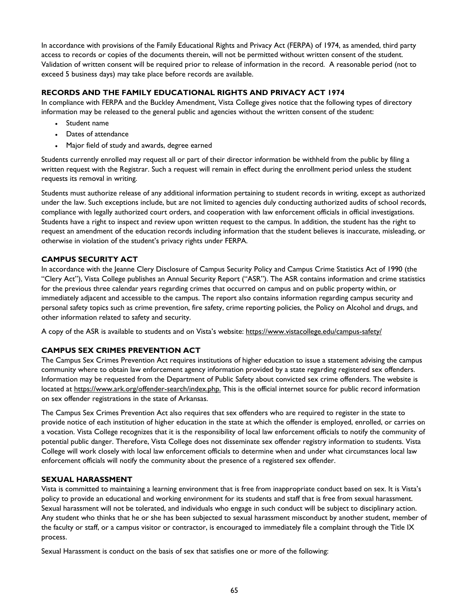In accordance with provisions of the Family Educational Rights and Privacy Act (FERPA) of 1974, as amended, third party access to records or copies of the documents therein, will not be permitted without written consent of the student. Validation of written consent will be required prior to release of information in the record. A reasonable period (not to exceed 5 business days) may take place before records are available.

## **RECORDS AND THE FAMILY EDUCATIONAL RIGHTS AND PRIVACY ACT 1974**

In compliance with FERPA and the Buckley Amendment, Vista College gives notice that the following types of directory information may be released to the general public and agencies without the written consent of the student:

- Student name
- Dates of attendance
- Major field of study and awards, degree earned

Students currently enrolled may request all or part of their director information be withheld from the public by filing a written request with the Registrar. Such a request will remain in effect during the enrollment period unless the student requests its removal in writing.

Students must authorize release of any additional information pertaining to student records in writing, except as authorized under the law. Such exceptions include, but are not limited to agencies duly conducting authorized audits of school records, compliance with legally authorized court orders, and cooperation with law enforcement officials in official investigations. Students have a right to inspect and review upon written request to the campus. In addition, the student has the right to request an amendment of the education records including information that the student believes is inaccurate, misleading, or otherwise in violation of the student's privacy rights under FERPA.

## **CAMPUS SECURITY ACT**

In accordance with the Jeanne Clery Disclosure of Campus Security Policy and Campus Crime Statistics Act of 1990 (the "Clery Act"), Vista College publishes an Annual Security Report ("ASR"). The ASR contains information and crime statistics for the previous three calendar years regarding crimes that occurred on campus and on public property within, or immediately adjacent and accessible to the campus. The report also contains information regarding campus security and personal safety topics such as crime prevention, fire safety, crime reporting policies, the Policy on Alcohol and drugs, and other information related to safety and security.

A copy of the ASR is available to students and on Vista's website: https://www.vistacollege.edu/campus-safety/

## **CAMPUS SEX CRIMES PREVENTION ACT**

The Campus Sex Crimes Prevention Act requires institutions of higher education to issue a statement advising the campus community where to obtain law enforcement agency information provided by a state regarding registered sex offenders. Information may be requested from the Department of Public Safety about convicted sex crime offenders. The website is located at https://www.ark.org/offender-search/index.php. This is the official internet source for public record information on sex offender registrations in the state of Arkansas.

The Campus Sex Crimes Prevention Act also requires that sex offenders who are required to register in the state to provide notice of each institution of higher education in the state at which the offender is employed, enrolled, or carries on a vocation. Vista College recognizes that it is the responsibility of local law enforcement officials to notify the community of potential public danger. Therefore, Vista College does not disseminate sex offender registry information to students. Vista College will work closely with local law enforcement officials to determine when and under what circumstances local law enforcement officials will notify the community about the presence of a registered sex offender.

#### **SEXUAL HARASSMENT**

Vista is committed to maintaining a learning environment that is free from inappropriate conduct based on sex. It is Vista's policy to provide an educational and working environment for its students and staff that is free from sexual harassment. Sexual harassment will not be tolerated, and individuals who engage in such conduct will be subject to disciplinary action. Any student who thinks that he or she has been subjected to sexual harassment misconduct by another student, member of the faculty or staff, or a campus visitor or contractor, is encouraged to immediately file a complaint through the Title IX process.

Sexual Harassment is conduct on the basis of sex that satisfies one or more of the following: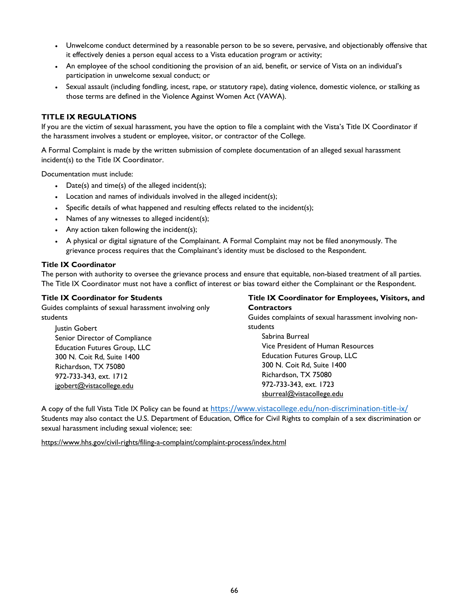- Unwelcome conduct determined by a reasonable person to be so severe, pervasive, and objectionably offensive that it effectively denies a person equal access to a Vista education program or activity;
- An employee of the school conditioning the provision of an aid, benefit, or service of Vista on an individual's participation in unwelcome sexual conduct; or
- Sexual assault (including fondling, incest, rape, or statutory rape), dating violence, domestic violence, or stalking as those terms are defined in the Violence Against Women Act (VAWA).

## **TITLE IX REGULATIONS**

If you are the victim of sexual harassment, you have the option to file a complaint with the Vista's Title IX Coordinator if the harassment involves a student or employee, visitor, or contractor of the College.

A Formal Complaint is made by the written submission of complete documentation of an alleged sexual harassment incident(s) to the Title IX Coordinator.

Documentation must include:

- Date(s) and time(s) of the alleged incident(s);
- Location and names of individuals involved in the alleged incident(s);
- Specific details of what happened and resulting effects related to the incident(s);
- Names of any witnesses to alleged incident(s);
- Any action taken following the incident(s);
- A physical or digital signature of the Complainant. A Formal Complaint may not be filed anonymously. The grievance process requires that the Complainant's identity must be disclosed to the Respondent.

#### **Title IX Coordinator**

The person with authority to oversee the grievance process and ensure that equitable, non-biased treatment of all parties. The Title IX Coordinator must not have a conflict of interest or bias toward either the Complainant or the Respondent.

| <b>Title IX Coordinator for Students</b>              | Title IX Coordinator for Employees, Visitors, and     |
|-------------------------------------------------------|-------------------------------------------------------|
| Guides complaints of sexual harassment involving only | <b>Contractors</b>                                    |
| students                                              | Guides complaints of sexual harassment involving non- |
| lustin Gobert                                         | students                                              |
| Senior Director of Compliance                         | Sabrina Burreal                                       |
| <b>Education Futures Group, LLC</b>                   | Vice President of Human Resources                     |
| 300 N. Coit Rd, Suite 1400                            | <b>Education Futures Group, LLC</b>                   |
| Richardson, TX 75080                                  | 300 N. Coit Rd, Suite 1400                            |
| 972-733-343, ext. 1712                                | Richardson, TX 75080                                  |
| igobert@vistacollege.edu                              | 972-733-343, ext. 1723                                |
|                                                       | sburreal@vistacollege.edu                             |

A copy of the full Vista Title IX Policy can be found at https://www.vistacollege.edu/non-discrimination-title-ix/ Students may also contact the U.S. Department of Education, Office for Civil Rights to complain of a sex discrimination or sexual harassment including sexual violence; see:

https://www.hhs.gov/civil-rights/filing-a-complaint/complaint-process/index.html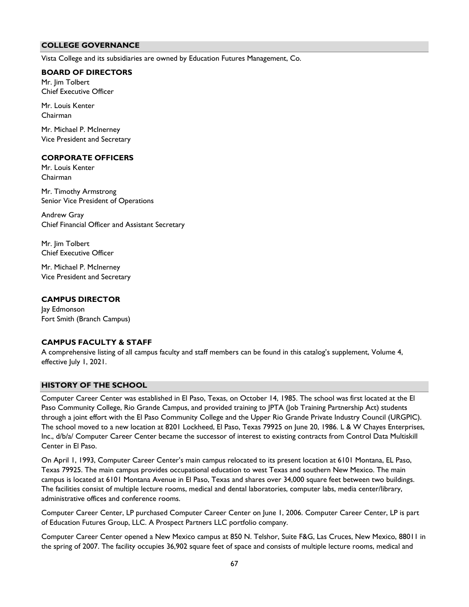#### **COLLEGE GOVERNANCE**

Vista College and its subsidiaries are owned by Education Futures Management, Co.

#### **BOARD OF DIRECTORS**

Mr. Jim Tolbert Chief Executive Officer

Mr. Louis Kenter Chairman

Mr. Michael P. McInerney Vice President and Secretary

#### **CORPORATE OFFICERS**

Mr. Louis Kenter Chairman

Mr. Timothy Armstrong Senior Vice President of Operations

Andrew Gray Chief Financial Officer and Assistant Secretary

Mr. Jim Tolbert Chief Executive Officer

Mr. Michael P. McInerney Vice President and Secretary

#### **CAMPUS DIRECTOR**

lay Edmonson Fort Smith (Branch Campus)

#### **CAMPUS FACULTY & STAFF**

A comprehensive listing of all campus faculty and staff members can be found in this catalog's supplement, Volume 4, effective July 1, 2021.

#### **HISTORY OF THE SCHOOL**

Computer Career Center was established in El Paso, Texas, on October 14, 1985. The school was first located at the El Paso Community College, Rio Grande Campus, and provided training to JPTA (Job Training Partnership Act) students through a joint effort with the El Paso Community College and the Upper Rio Grande Private Industry Council (URGPIC). The school moved to a new location at 8201 Lockheed, El Paso, Texas 79925 on June 20, 1986. L & W Chayes Enterprises, Inc., d/b/a/ Computer Career Center became the successor of interest to existing contracts from Control Data Multiskill Center in El Paso.

On April 1, 1993, Computer Career Center's main campus relocated to its present location at 6101 Montana, EL Paso, Texas 79925. The main campus provides occupational education to west Texas and southern New Mexico. The main campus is located at 6101 Montana Avenue in El Paso, Texas and shares over 34,000 square feet between two buildings. The facilities consist of multiple lecture rooms, medical and dental laboratories, computer labs, media center/library, administrative offices and conference rooms.

Computer Career Center, LP purchased Computer Career Center on June 1, 2006. Computer Career Center, LP is part of Education Futures Group, LLC. A Prospect Partners LLC portfolio company.

Computer Career Center opened a New Mexico campus at 850 N. Telshor, Suite F&G, Las Cruces, New Mexico, 88011 in the spring of 2007. The facility occupies 36,902 square feet of space and consists of multiple lecture rooms, medical and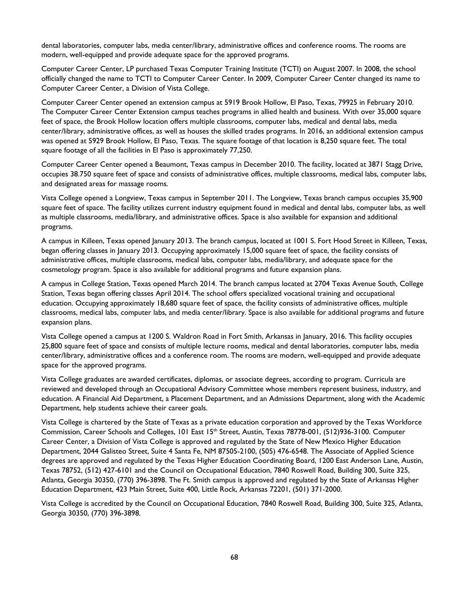dental laboratories, computer labs, media center/library, administrative offices and conference rooms. The rooms are modern, well-equipped and provide adequate space for the approved programs.

Computer Career Center, LP purchased Texas Computer Training Institute (TCTI) on August 2007. In 2008, the school officially changed the name to TCTI to Computer Career Center. In 2009, Computer Career Center changed its name to Computer Career Center, a Division of Vista College.

Computer Career Center opened an extension campus at 5919 Brook Hollow, El Paso, Texas, 79925 in February 2010. The Computer Career Center Extension campus teaches programs in allied health and business. With over 35,000 square feet of space, the Brook Hollow location offers multiple classrooms, computer labs, medical and dental labs, media center/library, administrative offices, as well as houses the skilled trades programs. In 2016, an additional extension campus was opened at 5929 Brook Hollow, El Paso, Texas. The square footage of that location is 8,250 square feet. The total square footage of all the facilities in El Paso is approximately 77,250.

Computer Career Center opened a Beaumont, Texas campus in December 2010. The facility, located at 3871 Stagg Drive, occupies 38.750 square feet of space and consists of administrative offices, multiple classrooms, medical labs, computer labs, and designated areas for massage rooms.

Vista College opened a Longview, Texas campus in September 2011. The Longview, Texas branch campus occupies 35,900 square feet of space. The facility utilizes current industry equipment found in medical and dental labs, computer labs, as well as multiple classrooms, media/library, and administrative offices. Space is also available for expansion and additional programs.

A campus in Killeen, Texas opened January 2013. The branch campus, located at 1001 S. Fort Hood Street in Killeen, Texas, began offering classes in January 2013. Occupying approximately 15,000 square feet of space, the facility consists of administrative offices, multiple classrooms, medical labs, computer labs, media/library, and adequate space for the cosmetology program. Space is also available for additional programs and future expansion plans.

A campus in College Station, Texas opened March 2014. The branch campus located at 2704 Texas Avenue South, College Station, Texas began offering classes April 2014. The school offers specialized vocational training and occupational education. Occupying approximately 18,680 square feet of space, the facility consists of administrative offices, multiple classrooms, medical labs, computer labs, and media center/library. Space is also available for additional programs and future expansion plans.

Vista College opened a campus at 1200 S. Waldron Road in Fort Smith, Arkansas in January, 2016. This facility occupies 25,800 square feet of space and consists of multiple lecture rooms, medical and dental laboratories, computer labs, media center/library, administrative offices and a conference room. The rooms are modern, well-equipped and provide adequate space for the approved programs.

Vista College graduates are awarded certificates, diplomas, or associate degrees, according to program. Curricula are reviewed and developed through an Occupational Advisory Committee whose members represent business, industry, and education. A Financial Aid Department, a Placement Department, and an Admissions Department, along with the Academic Department, help students achieve their career goals.

Vista College is chartered by the State of Texas as a private education corporation and approved by the Texas Workforce Commission, Career Schools and Colleges, 101 East 15<sup>th</sup> Street, Austin, Texas 78778-001, (512)936-3100. Computer Career Center, a Division of Vista College is approved and regulated by the State of New Mexico Higher Education Department, 2044 Galisteo Street, Suite 4 Santa Fe, NM 87505-2100, (505) 476-6548. The Associate of Applied Science degrees are approved and regulated by the Texas Higher Education Coordinating Board, 1200 East Anderson Lane, Austin, Texas 78752, (512) 427-6101 and the Council on Occupational Education, 7840 Roswell Road, Building 300, Suite 325, Atlanta, Georgia 30350, (770) 396-3898. The Ft. Smith campus is approved and regulated by the State of Arkansas Higher Education Department, 423 Main Street, Suite 400, Little Rock, Arkansas 72201, (501) 371-2000.

Vista College is accredited by the Council on Occupational Education, 7840 Roswell Road, Building 300, Suite 325, Atlanta, Georgia 30350, (770) 396-3898.